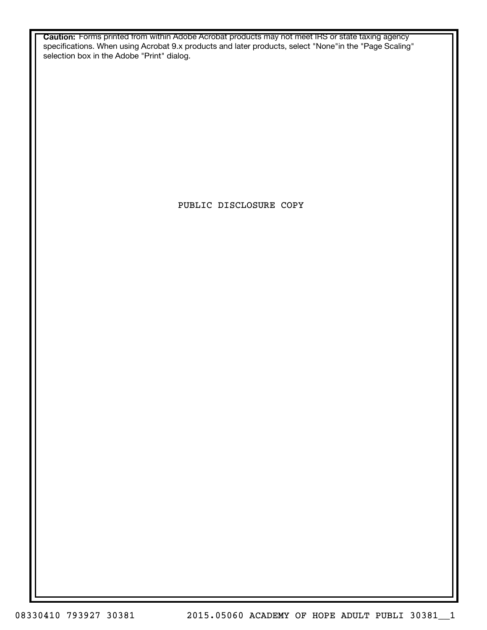**Caution:** Forms printed from within Adobe Acrobat products may not meet IRS or state taxing agency specifications. When using Acrobat 9.x products and later products, select "None"in the "Page Scaling" selection box in the Adobe "Print" dialog.

PUBLIC DISCLOSURE COPY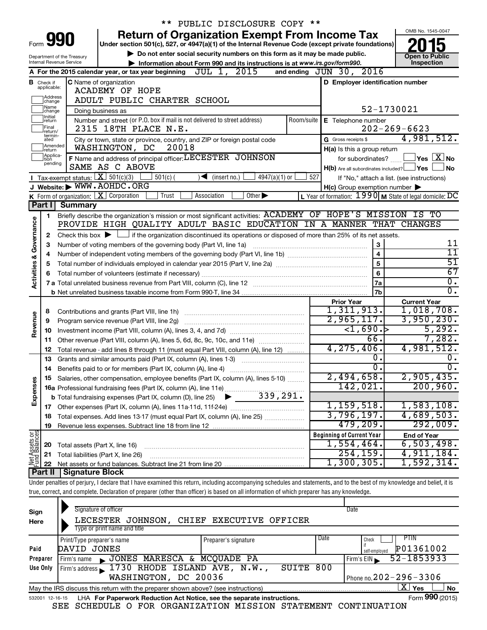|                                                                                                           |                               |                                        | ** PUBLIC DISCLOSURE COPY **                                                                                                                                               |            |                                                     |                                                                   |
|-----------------------------------------------------------------------------------------------------------|-------------------------------|----------------------------------------|----------------------------------------------------------------------------------------------------------------------------------------------------------------------------|------------|-----------------------------------------------------|-------------------------------------------------------------------|
|                                                                                                           |                               |                                        | <b>Return of Organization Exempt From Income Tax</b>                                                                                                                       |            |                                                     | OMB No. 1545-0047                                                 |
|                                                                                                           |                               | Form 990                               | Under section 501(c), 527, or 4947(a)(1) of the Internal Revenue Code (except private foundations)                                                                         |            |                                                     |                                                                   |
| Do not enter social security numbers on this form as it may be made public.<br>Department of the Treasury |                               |                                        |                                                                                                                                                                            |            |                                                     | <b>Open to Public</b>                                             |
|                                                                                                           |                               | Internal Revenue Service               | Information about Form 990 and its instructions is at www.irs.gov/form990.                                                                                                 |            |                                                     | Inspection                                                        |
|                                                                                                           |                               |                                        | A For the 2015 calendar year, or tax year beginning JUL 1, 2015                                                                                                            |            | and ending JUN 30, 2016                             |                                                                   |
|                                                                                                           | <b>B</b> Check if applicable: |                                        | <b>C</b> Name of organization                                                                                                                                              |            | D Employer identification number                    |                                                                   |
|                                                                                                           |                               |                                        | <b>ACADEMY OF HOPE</b>                                                                                                                                                     |            |                                                     |                                                                   |
|                                                                                                           | Address<br>change             |                                        | ADULT PUBLIC CHARTER SCHOOL                                                                                                                                                |            |                                                     |                                                                   |
|                                                                                                           | Name<br>change]<br>Initial    |                                        | Doing business as                                                                                                                                                          |            |                                                     | 52-1730021                                                        |
|                                                                                                           | return                        |                                        | Number and street (or P.O. box if mail is not delivered to street address)                                                                                                 | Room/suite | E Telephone number                                  |                                                                   |
|                                                                                                           | Final<br>return/<br>termin-   |                                        | 2315 18TH PLACE N.E.                                                                                                                                                       |            |                                                     | $202 - 269 - 6623$                                                |
|                                                                                                           | ated<br>Amended               |                                        | City or town, state or province, country, and ZIP or foreign postal code                                                                                                   |            | G Gross receipts \$                                 | 4,981,512.                                                        |
|                                                                                                           | Ireturn<br>Applica-           |                                        | 20018<br>WASHINGTON, DC                                                                                                                                                    |            | H(a) Is this a group return                         |                                                                   |
|                                                                                                           | ltion<br>pending              |                                        | F Name and address of principal officer: LECESTER JOHNSON                                                                                                                  |            | for subordinates?                                   | $ {\mathsf Y}$ es $ \overline{{\mathsf X}} $ No                   |
|                                                                                                           |                               |                                        | SAME AS C ABOVE                                                                                                                                                            |            | $H(b)$ Are all subordinates included? $\Box$ Yes    | l No                                                              |
|                                                                                                           |                               | Tax-exempt status: $X \over 301(c)(3)$ | $501(c)$ (<br>$\sqrt{\frac{1}{1}}$ (insert no.)<br>$4947(a)(1)$ or<br>J Website: WWW.AOHDC.ORG                                                                             | 527        |                                                     | If "No," attach a list. (see instructions)                        |
|                                                                                                           |                               |                                        | <b>K</b> Form of organization: $\boxed{\mathbf{X}}$ Corporation<br>Trust<br>Other $\blacktriangleright$<br>Association                                                     |            | $H(c)$ Group exemption number $\blacktriangleright$ | L Year of formation: $1990 \text{ m}$ State of legal domicile: DC |
|                                                                                                           | Part I                        | <b>Summary</b>                         |                                                                                                                                                                            |            |                                                     |                                                                   |
|                                                                                                           |                               |                                        | Briefly describe the organization's mission or most significant activities: ACADEMY OF HOPE'S MISSION IS TO                                                                |            |                                                     |                                                                   |
|                                                                                                           | 1                             |                                        | PROVIDE HIGH QUALITY ADULT BASIC EDUCATION IN A MANNER THAT CHANGES                                                                                                        |            |                                                     |                                                                   |
| Governance                                                                                                |                               |                                        | Check this box $\blacktriangleright$ $\Box$ if the organization discontinued its operations or disposed of more than 25% of its net assets.                                |            |                                                     |                                                                   |
|                                                                                                           | 2                             |                                        | Number of voting members of the governing body (Part VI, line 1a)                                                                                                          |            | 3                                                   | 11                                                                |
|                                                                                                           | 3<br>4                        |                                        |                                                                                                                                                                            |            | $\overline{\mathbf{4}}$                             | $\overline{11}$                                                   |
|                                                                                                           | 5                             |                                        |                                                                                                                                                                            |            | 5                                                   | $\overline{51}$                                                   |
|                                                                                                           | 6                             |                                        |                                                                                                                                                                            |            | 6                                                   | 67                                                                |
| <b>Activities &amp;</b>                                                                                   |                               |                                        |                                                                                                                                                                            |            | 7a                                                  | $\overline{0}$ .                                                  |
|                                                                                                           |                               |                                        |                                                                                                                                                                            |            | <b>7b</b>                                           | $\overline{0}$ .                                                  |
|                                                                                                           |                               |                                        |                                                                                                                                                                            |            | <b>Prior Year</b>                                   | <b>Current Year</b>                                               |
|                                                                                                           | 8                             |                                        |                                                                                                                                                                            |            | 1,311,913.                                          | 1,018,708.                                                        |
| Revenue                                                                                                   | 9                             |                                        | Program service revenue (Part VIII, line 2g)                                                                                                                               |            | 2,965,117.                                          | 3,950,230.                                                        |
|                                                                                                           | 10                            |                                        |                                                                                                                                                                            |            | $\overline{$ 1,690.}                                | 5,292.                                                            |
|                                                                                                           | 11                            |                                        | Other revenue (Part VIII, column (A), lines 5, 6d, 8c, 9c, 10c, and 11e)                                                                                                   |            | 66.                                                 | 7,282.                                                            |
|                                                                                                           | 12                            |                                        | Total revenue - add lines 8 through 11 (must equal Part VIII, column (A), line 12)                                                                                         |            | 4, 275, 406.                                        | 4,981,512.                                                        |
|                                                                                                           | 13                            |                                        | Grants and similar amounts paid (Part IX, column (A), lines 1-3)                                                                                                           |            | $\overline{0}$ .                                    | Ο.                                                                |
|                                                                                                           |                               |                                        |                                                                                                                                                                            |            | $\overline{0}$ .                                    | $\overline{0}$ .                                                  |
|                                                                                                           |                               |                                        | Salaries, other compensation, employee benefits (Part IX, column (A), lines 5-10)                                                                                          |            | 2,494,658.                                          | 2,905,435.                                                        |
|                                                                                                           |                               |                                        |                                                                                                                                                                            |            | 142,021.                                            | 200, 960.                                                         |
| Expenses                                                                                                  |                               |                                        |                                                                                                                                                                            |            |                                                     |                                                                   |
|                                                                                                           |                               |                                        |                                                                                                                                                                            |            | 1,159,518.                                          | 1,583,108.                                                        |
|                                                                                                           | 18                            |                                        | Total expenses. Add lines 13-17 (must equal Part IX, column (A), line 25)                                                                                                  |            | 3,796,197.                                          | 4,689,503.                                                        |
|                                                                                                           | 19                            |                                        |                                                                                                                                                                            |            | 479,209.                                            | 292,009.                                                          |
| Net Assets or                                                                                             |                               |                                        |                                                                                                                                                                            |            | <b>Beginning of Current Year</b>                    | <b>End of Year</b>                                                |
|                                                                                                           | 20                            | Total assets (Part X, line 16)         |                                                                                                                                                                            |            | 1,554,464.                                          | 6,503,498.                                                        |
|                                                                                                           | 21                            |                                        | Total liabilities (Part X, line 26)                                                                                                                                        |            | 254, 159.                                           | 4,911,184.                                                        |
|                                                                                                           | 22                            |                                        |                                                                                                                                                                            |            | 1,300,305.                                          | 1,592,314.                                                        |
|                                                                                                           | Part II                       | <b>Signature Block</b>                 |                                                                                                                                                                            |            |                                                     |                                                                   |
|                                                                                                           |                               |                                        | Under penalties of perjury, I declare that I have examined this return, including accompanying schedules and statements, and to the best of my knowledge and belief, it is |            |                                                     |                                                                   |
|                                                                                                           |                               |                                        | true, correct, and complete. Declaration of preparer (other than officer) is based on all information of which preparer has any knowledge.                                 |            |                                                     |                                                                   |
|                                                                                                           |                               |                                        | Signature of officer                                                                                                                                                       |            | Date                                                |                                                                   |
| Sign<br>Here                                                                                              |                               |                                        | LECESTER JOHNSON, CHIEF EXECUTIVE OFFICER                                                                                                                                  |            |                                                     |                                                                   |
|                                                                                                           |                               |                                        | Type or print name and title                                                                                                                                               |            |                                                     |                                                                   |
|                                                                                                           |                               |                                        |                                                                                                                                                                            |            |                                                     |                                                                   |

|          | Print/Type preparer's name                                                                            | Preparer's signature | Date | PHN<br>Check                                    |  |  |  |
|----------|-------------------------------------------------------------------------------------------------------|----------------------|------|-------------------------------------------------|--|--|--|
| Paid     | DAVID JONES                                                                                           |                      |      | P01361002<br>self-emploved                      |  |  |  |
| Preparer | JONES MARESCA & MCQUADE PA<br>Firm's name                                                             |                      |      | 52-1853933<br>Firm's EIN                        |  |  |  |
| Use Only | Firm's address 1730 RHODE ISLAND AVE, N.W.,                                                           | SUITE 800            |      |                                                 |  |  |  |
|          | WASHINGTON, DC 20036                                                                                  |                      |      | Phone no. $202 - 296 - 3306$                    |  |  |  |
|          | Yes<br><b>No</b><br>May the IRS discuss this return with the preparer shown above? (see instructions) |                      |      |                                                 |  |  |  |
|          |                                                                                                       |                      |      | $\mathbf{r} = \mathbf{0} \mathbf{0} \mathbf{0}$ |  |  |  |

532001 12-16-15 **For Paperwork Reduction Act Notice, see the separate instructions.** LHA Form (2015) SEE SCHEDULE O FOR ORGANIZATION MISSION STATEMENT CONTINUATION

Form **990** (2015)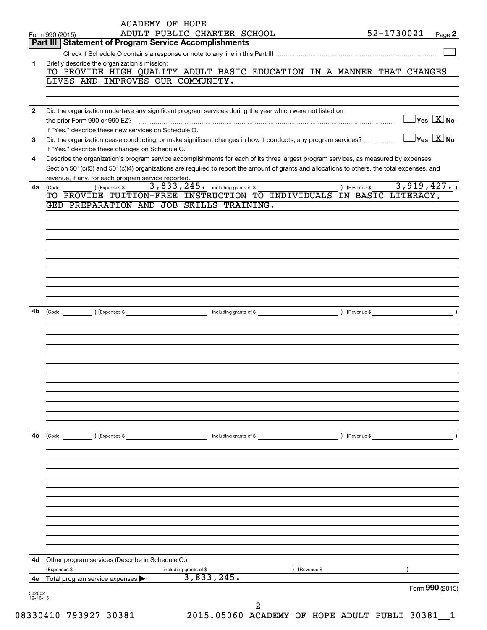|              | <b>ACADEMY OF HOPE</b><br>ADULT PUBLIC CHARTER SCHOOL<br>Form 990 (2015)                                                                                                                                                                                                             | 52-1730021                              | Page 2 |
|--------------|--------------------------------------------------------------------------------------------------------------------------------------------------------------------------------------------------------------------------------------------------------------------------------------|-----------------------------------------|--------|
|              | Part III   Statement of Program Service Accomplishments                                                                                                                                                                                                                              |                                         |        |
| 1            | Briefly describe the organization's mission:                                                                                                                                                                                                                                         |                                         |        |
|              | TO PROVIDE HIGH QUALITY ADULT BASIC EDUCATION IN A MANNER THAT CHANGES                                                                                                                                                                                                               |                                         |        |
|              | LIVES AND IMPROVES OUR COMMUNITY.                                                                                                                                                                                                                                                    |                                         |        |
| $\mathbf{2}$ | Did the organization undertake any significant program services during the year which were not listed on                                                                                                                                                                             |                                         |        |
|              | If "Yes," describe these new services on Schedule O.                                                                                                                                                                                                                                 | $\Box$ Yes $[\overline{\mathrm{X}}]$ No |        |
| 3            | Did the organization cease conducting, or make significant changes in how it conducts, any program services?<br>If "Yes," describe these changes on Schedule O.                                                                                                                      | $\Box$ Yes $[\overline{\mathrm{X}}]$ No |        |
| 4            | Describe the organization's program service accomplishments for each of its three largest program services, as measured by expenses.<br>Section 501(c)(3) and 501(c)(4) organizations are required to report the amount of grants and allocations to others, the total expenses, and |                                         |        |
|              | revenue, if any, for each program service reported.                                                                                                                                                                                                                                  |                                         |        |
| 4a           | 3,833,245. including grants of \$<br>) (Expenses \$<br>) (Revenue \$<br>(Code:<br>TO PROVIDE TUITION-FREE INSTRUCTION TO INDIVIDUALS IN BASIC LITERACY,                                                                                                                              | 3,919,427.                              |        |
|              | GED PREPARATION AND JOB SKILLS TRAINING.                                                                                                                                                                                                                                             |                                         |        |
|              |                                                                                                                                                                                                                                                                                      |                                         |        |
|              |                                                                                                                                                                                                                                                                                      |                                         |        |
|              |                                                                                                                                                                                                                                                                                      |                                         |        |
|              |                                                                                                                                                                                                                                                                                      |                                         |        |
|              |                                                                                                                                                                                                                                                                                      |                                         |        |
|              |                                                                                                                                                                                                                                                                                      |                                         |        |
| 4b           |                                                                                                                                                                                                                                                                                      |                                         |        |
|              |                                                                                                                                                                                                                                                                                      |                                         |        |
|              |                                                                                                                                                                                                                                                                                      |                                         |        |
|              |                                                                                                                                                                                                                                                                                      |                                         |        |
|              |                                                                                                                                                                                                                                                                                      |                                         |        |
|              |                                                                                                                                                                                                                                                                                      |                                         |        |
|              |                                                                                                                                                                                                                                                                                      |                                         |        |
|              |                                                                                                                                                                                                                                                                                      |                                         |        |
| 4с           | ) (Expenses \$<br>$\left(\text{Code:}\right)$<br>including grants of \$<br>(Revenue \$                                                                                                                                                                                               |                                         |        |
|              |                                                                                                                                                                                                                                                                                      |                                         |        |
|              |                                                                                                                                                                                                                                                                                      |                                         |        |
|              |                                                                                                                                                                                                                                                                                      |                                         |        |
|              |                                                                                                                                                                                                                                                                                      |                                         |        |
|              |                                                                                                                                                                                                                                                                                      |                                         |        |
|              |                                                                                                                                                                                                                                                                                      |                                         |        |
|              |                                                                                                                                                                                                                                                                                      |                                         |        |
|              |                                                                                                                                                                                                                                                                                      |                                         |        |
| 4d           | Other program services (Describe in Schedule O.)<br>(Expenses \$<br>(Revenue \$<br>including grants of \$                                                                                                                                                                            |                                         |        |
| 4е           | 3,833,245.<br>Total program service expenses                                                                                                                                                                                                                                         |                                         |        |
|              |                                                                                                                                                                                                                                                                                      | Form 990 (2015)                         |        |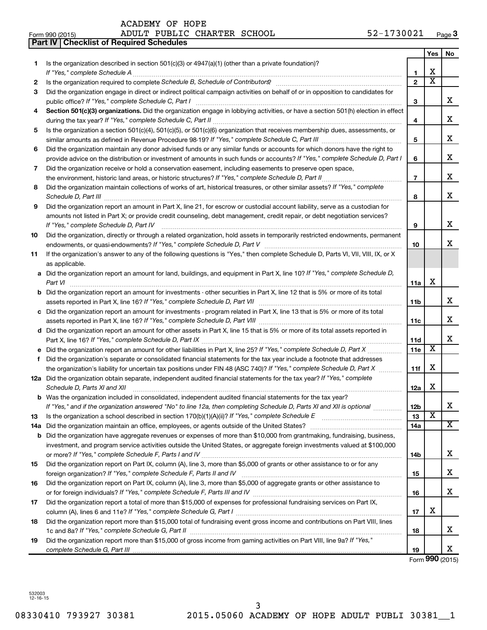|     | Part IV   Checklist of Required Schedules                                                                                                                                                                                           |                |                         |    |
|-----|-------------------------------------------------------------------------------------------------------------------------------------------------------------------------------------------------------------------------------------|----------------|-------------------------|----|
|     |                                                                                                                                                                                                                                     |                | Yes                     | No |
| 1   | Is the organization described in section 501(c)(3) or $4947(a)(1)$ (other than a private foundation)?                                                                                                                               |                |                         |    |
|     |                                                                                                                                                                                                                                     | 1              | X                       |    |
| 2   |                                                                                                                                                                                                                                     | $\overline{2}$ | $\overline{\text{x}}$   |    |
| 3   | Did the organization engage in direct or indirect political campaign activities on behalf of or in opposition to candidates for                                                                                                     |                |                         |    |
|     |                                                                                                                                                                                                                                     | 3              |                         | x  |
| 4   | Section 501(c)(3) organizations. Did the organization engage in lobbying activities, or have a section 501(h) election in effect                                                                                                    |                |                         |    |
|     |                                                                                                                                                                                                                                     | 4              |                         | x  |
| 5   | Is the organization a section 501(c)(4), 501(c)(5), or 501(c)(6) organization that receives membership dues, assessments, or                                                                                                        |                |                         |    |
|     |                                                                                                                                                                                                                                     | 5              |                         | х  |
| 6   | Did the organization maintain any donor advised funds or any similar funds or accounts for which donors have the right to                                                                                                           |                |                         |    |
|     | provide advice on the distribution or investment of amounts in such funds or accounts? If "Yes," complete Schedule D, Part I                                                                                                        | 6              |                         | х  |
| 7   | Did the organization receive or hold a conservation easement, including easements to preserve open space,                                                                                                                           |                |                         |    |
|     | the environment, historic land areas, or historic structures? If "Yes," complete Schedule D, Part II                                                                                                                                | $\overline{7}$ |                         | х  |
| 8   | Did the organization maintain collections of works of art, historical treasures, or other similar assets? If "Yes," complete                                                                                                        |                |                         |    |
|     | Schedule D, Part III <b>Marting Community</b> Contract of the Community Contract of the Community Contract of the Community Contract of the Community Contract of the Community Contract of the Community Community Community Contr | 8              |                         | х  |
| 9   | Did the organization report an amount in Part X, line 21, for escrow or custodial account liability, serve as a custodian for                                                                                                       |                |                         |    |
|     | amounts not listed in Part X; or provide credit counseling, debt management, credit repair, or debt negotiation services?                                                                                                           |                |                         |    |
|     | If "Yes," complete Schedule D, Part IV                                                                                                                                                                                              | 9              |                         | х  |
| 10  | Did the organization, directly or through a related organization, hold assets in temporarily restricted endowments, permanent                                                                                                       |                |                         |    |
|     |                                                                                                                                                                                                                                     | 10             |                         | х  |
| 11  | If the organization's answer to any of the following questions is "Yes," then complete Schedule D, Parts VI, VII, VIII, IX, or X                                                                                                    |                |                         |    |
|     | as applicable.                                                                                                                                                                                                                      |                |                         |    |
|     | a Did the organization report an amount for land, buildings, and equipment in Part X, line 10? If "Yes," complete Schedule D,                                                                                                       |                |                         |    |
|     | Part VI                                                                                                                                                                                                                             | 11a            | X                       |    |
|     | <b>b</b> Did the organization report an amount for investments - other securities in Part X, line 12 that is 5% or more of its total                                                                                                |                |                         |    |
|     |                                                                                                                                                                                                                                     | 11b            |                         | x  |
|     | c Did the organization report an amount for investments - program related in Part X, line 13 that is 5% or more of its total                                                                                                        |                |                         |    |
|     |                                                                                                                                                                                                                                     | 11c            |                         | x  |
|     | d Did the organization report an amount for other assets in Part X, line 15 that is 5% or more of its total assets reported in                                                                                                      |                |                         |    |
|     |                                                                                                                                                                                                                                     | 11d            |                         | х  |
|     | e Did the organization report an amount for other liabilities in Part X, line 25? If "Yes," complete Schedule D, Part X                                                                                                             | 11e            | $\overline{\textbf{x}}$ |    |
| f.  | Did the organization's separate or consolidated financial statements for the tax year include a footnote that addresses                                                                                                             |                |                         |    |
|     | the organization's liability for uncertain tax positions under FIN 48 (ASC 740)? If "Yes," complete Schedule D, Part X                                                                                                              | 11f            | X                       |    |
|     | 12a Did the organization obtain separate, independent audited financial statements for the tax year? If "Yes," complete                                                                                                             |                |                         |    |
|     | Schedule D, Parts XI and XII                                                                                                                                                                                                        | 12a            | X                       |    |
| b   | Was the organization included in consolidated, independent audited financial statements for the tax year?                                                                                                                           |                |                         |    |
|     | If "Yes," and if the organization answered "No" to line 12a, then completing Schedule D, Parts XI and XII is optional                                                                                                               | 12b            |                         | х  |
| 13  |                                                                                                                                                                                                                                     | 13             | $\overline{\textbf{x}}$ |    |
| 14a |                                                                                                                                                                                                                                     | 14a            |                         | х  |
| b   | Did the organization have aggregate revenues or expenses of more than \$10,000 from grantmaking, fundraising, business,                                                                                                             |                |                         |    |
|     | investment, and program service activities outside the United States, or aggregate foreign investments valued at \$100,000                                                                                                          |                |                         |    |
|     |                                                                                                                                                                                                                                     | 14b            |                         | х  |
| 15  | Did the organization report on Part IX, column (A), line 3, more than \$5,000 of grants or other assistance to or for any                                                                                                           |                |                         |    |
|     |                                                                                                                                                                                                                                     | 15             |                         | x  |
| 16  | Did the organization report on Part IX, column (A), line 3, more than \$5,000 of aggregate grants or other assistance to                                                                                                            |                |                         |    |
|     |                                                                                                                                                                                                                                     | 16             |                         | x  |
| 17  | Did the organization report a total of more than \$15,000 of expenses for professional fundraising services on Part IX,                                                                                                             |                |                         |    |
|     |                                                                                                                                                                                                                                     | 17             |                         |    |
| 18  | Did the organization report more than \$15,000 total of fundraising event gross income and contributions on Part VIII, lines                                                                                                        |                | X                       |    |
|     |                                                                                                                                                                                                                                     | 18             |                         | x  |
| 19  | Did the organization report more than \$15,000 of gross income from gaming activities on Part VIII, line 9a? If "Yes,"                                                                                                              |                |                         |    |
|     |                                                                                                                                                                                                                                     | 19             |                         | x  |

Form **990** (2015)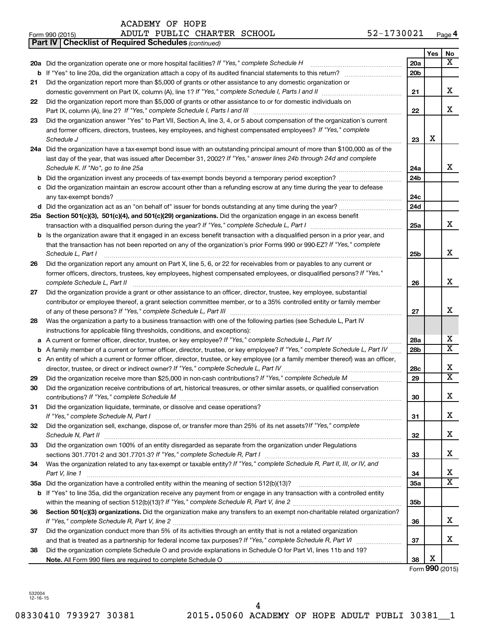| ACADEMY OF HOPE |  |  |
|-----------------|--|--|
|-----------------|--|--|

| Form 990 (2015) | PUBLIC CHARTER SCHOOL<br>ADULT | 1730021<br><u>- ^</u><br>– ∠د<br>Page 4 |
|-----------------|--------------------------------|-----------------------------------------|
|-----------------|--------------------------------|-----------------------------------------|

|    | <b>Part IV   Checklist of Required Schedules (continued)</b>                                                                        |                 |     |                         |
|----|-------------------------------------------------------------------------------------------------------------------------------------|-----------------|-----|-------------------------|
|    |                                                                                                                                     |                 | Yes | No                      |
|    | 20a Did the organization operate one or more hospital facilities? If "Yes," complete Schedule H                                     | 20a             |     | x                       |
|    |                                                                                                                                     | 20 <sub>b</sub> |     |                         |
| 21 | Did the organization report more than \$5,000 of grants or other assistance to any domestic organization or                         |                 |     |                         |
|    |                                                                                                                                     | 21              |     | x                       |
| 22 | Did the organization report more than \$5,000 of grants or other assistance to or for domestic individuals on                       |                 |     |                         |
|    |                                                                                                                                     | 22              |     | x                       |
| 23 | Did the organization answer "Yes" to Part VII, Section A, line 3, 4, or 5 about compensation of the organization's current          |                 |     |                         |
|    | and former officers, directors, trustees, key employees, and highest compensated employees? If "Yes," complete                      |                 |     |                         |
|    | Schedule J                                                                                                                          | 23              | X   |                         |
|    | 24a Did the organization have a tax-exempt bond issue with an outstanding principal amount of more than \$100,000 as of the         |                 |     |                         |
|    | last day of the year, that was issued after December 31, 2002? If "Yes," answer lines 24b through 24d and complete                  |                 |     | x                       |
|    | Schedule K. If "No", go to line 25a                                                                                                 | 24a             |     |                         |
|    |                                                                                                                                     | 24b             |     |                         |
|    | c Did the organization maintain an escrow account other than a refunding escrow at any time during the year to defease              |                 |     |                         |
|    | d Did the organization act as an "on behalf of" issuer for bonds outstanding at any time during the year?                           | 24c<br>24d      |     |                         |
|    |                                                                                                                                     |                 |     |                         |
|    | 25a Section 501(c)(3), 501(c)(4), and 501(c)(29) organizations. Did the organization engage in an excess benefit                    | 25a             |     | x                       |
|    | <b>b</b> Is the organization aware that it engaged in an excess benefit transaction with a disqualified person in a prior year, and |                 |     |                         |
|    | that the transaction has not been reported on any of the organization's prior Forms 990 or 990-EZ? If "Yes," complete               |                 |     |                         |
|    | Schedule L, Part I                                                                                                                  | 25b             |     | x                       |
| 26 | Did the organization report any amount on Part X, line 5, 6, or 22 for receivables from or payables to any current or               |                 |     |                         |
|    | former officers, directors, trustees, key employees, highest compensated employees, or disqualified persons? If "Yes,"              |                 |     |                         |
|    | complete Schedule L, Part II                                                                                                        | 26              |     | x                       |
| 27 | Did the organization provide a grant or other assistance to an officer, director, trustee, key employee, substantial                |                 |     |                         |
|    | contributor or employee thereof, a grant selection committee member, or to a 35% controlled entity or family member                 |                 |     |                         |
|    |                                                                                                                                     | 27              |     | х                       |
| 28 | Was the organization a party to a business transaction with one of the following parties (see Schedule L, Part IV                   |                 |     |                         |
|    | instructions for applicable filing thresholds, conditions, and exceptions):                                                         |                 |     |                         |
| а  | A current or former officer, director, trustee, or key employee? If "Yes," complete Schedule L, Part IV                             | 28a             |     | x                       |
| b  | A family member of a current or former officer, director, trustee, or key employee? If "Yes," complete Schedule L, Part IV          | 28b             |     | $\overline{\mathtt{x}}$ |
|    | c An entity of which a current or former officer, director, trustee, or key employee (or a family member thereof) was an officer,   |                 |     |                         |
|    | director, trustee, or direct or indirect owner? If "Yes," complete Schedule L, Part IV                                              | 28c             |     | x                       |
| 29 |                                                                                                                                     | 29              |     | $\overline{\mathtt{x}}$ |
| 30 | Did the organization receive contributions of art, historical treasures, or other similar assets, or qualified conservation         |                 |     |                         |
|    |                                                                                                                                     | 30              |     | Χ                       |
| 31 | Did the organization liquidate, terminate, or dissolve and cease operations?                                                        |                 |     |                         |
|    | Did the organization sell, exchange, dispose of, or transfer more than 25% of its net assets?/f "Yes," complete                     | 31              |     | x                       |
| 32 |                                                                                                                                     | 32              |     | х                       |
| 33 | Did the organization own 100% of an entity disregarded as separate from the organization under Regulations                          |                 |     |                         |
|    |                                                                                                                                     | 33              |     | x                       |
| 34 | Was the organization related to any tax-exempt or taxable entity? If "Yes," complete Schedule R, Part II, III, or IV, and           |                 |     |                         |
|    | Part V, line 1                                                                                                                      | 34              |     | x                       |
|    |                                                                                                                                     | 35a             |     | $\overline{\mathtt{x}}$ |
|    | b If "Yes" to line 35a, did the organization receive any payment from or engage in any transaction with a controlled entity         |                 |     |                         |
|    |                                                                                                                                     | 35 <sub>b</sub> |     |                         |
| 36 | Section 501(c)(3) organizations. Did the organization make any transfers to an exempt non-charitable related organization?          |                 |     |                         |
|    |                                                                                                                                     | 36              |     | x                       |
| 37 | Did the organization conduct more than 5% of its activities through an entity that is not a related organization                    |                 |     |                         |
|    |                                                                                                                                     | 37              |     | х                       |
| 38 | Did the organization complete Schedule O and provide explanations in Schedule O for Part VI, lines 11b and 19?                      |                 |     |                         |
|    |                                                                                                                                     | 38              | х   |                         |
|    |                                                                                                                                     |                 |     | Form 990 (2015)         |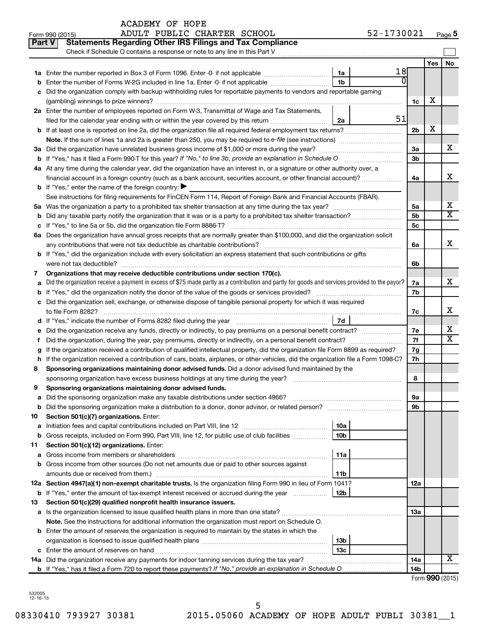|               | ADULT PUBLIC CHARTER SCHOOL<br>Form 990 (2015)                                                                                                  |                        | 52-1730021     |                |     | Page 5                |
|---------------|-------------------------------------------------------------------------------------------------------------------------------------------------|------------------------|----------------|----------------|-----|-----------------------|
| <b>Part V</b> | <b>Statements Regarding Other IRS Filings and Tax Compliance</b>                                                                                |                        |                |                |     |                       |
|               | Check if Schedule O contains a response or note to any line in this Part V                                                                      |                        |                |                |     |                       |
|               |                                                                                                                                                 |                        |                |                | Yes | No                    |
|               |                                                                                                                                                 | 1a                     | 18             |                |     |                       |
| b             | Enter the number of Forms W-2G included in line 1a. Enter -0- if not applicable                                                                 | 1 <sub>b</sub>         | $\overline{0}$ |                |     |                       |
| c             | Did the organization comply with backup withholding rules for reportable payments to vendors and reportable gaming                              |                        |                |                |     |                       |
|               |                                                                                                                                                 |                        |                | 1c             | х   |                       |
|               | 2a Enter the number of employees reported on Form W-3, Transmittal of Wage and Tax Statements,                                                  |                        |                |                |     |                       |
|               | filed for the calendar year ending with or within the year covered by this return                                                               | 2a                     | 51             |                |     |                       |
|               |                                                                                                                                                 |                        |                | 2 <sub>b</sub> | X   |                       |
|               |                                                                                                                                                 |                        |                |                |     |                       |
|               | 3a Did the organization have unrelated business gross income of \$1,000 or more during the year?                                                |                        |                | 3a             |     | х                     |
|               | b If "Yes," has it filed a Form 990-T for this year? If "No," to line 3b, provide an explanation in Schedule O                                  |                        |                | 3b             |     |                       |
|               | 4a At any time during the calendar year, did the organization have an interest in, or a signature or other authority over, a                    |                        |                |                |     |                       |
|               | financial account in a foreign country (such as a bank account, securities account, or other financial account)?                                |                        |                | 4a             |     | x                     |
|               | <b>b</b> If "Yes," enter the name of the foreign country: $\blacktriangleright$                                                                 |                        |                |                |     |                       |
|               | See instructions for filing requirements for FinCEN Form 114, Report of Foreign Bank and Financial Accounts (FBAR).                             |                        |                |                |     |                       |
|               |                                                                                                                                                 |                        |                | 5a             |     | х                     |
| b             |                                                                                                                                                 |                        |                | 5b             |     | $\overline{\text{X}}$ |
|               |                                                                                                                                                 |                        |                | 5c             |     |                       |
|               | 6a Does the organization have annual gross receipts that are normally greater than \$100,000, and did the organization solicit                  |                        |                |                |     |                       |
|               |                                                                                                                                                 |                        |                | 6a             |     | x                     |
|               | <b>b</b> If "Yes," did the organization include with every solicitation an express statement that such contributions or gifts                   |                        |                |                |     |                       |
|               | were not tax deductible?                                                                                                                        |                        |                | 6b             |     |                       |
| 7             | Organizations that may receive deductible contributions under section 170(c).                                                                   |                        |                |                |     |                       |
| a             | Did the organization receive a payment in excess of \$75 made partly as a contribution and partly for goods and services provided to the payor? |                        |                |                |     | x                     |
| b             |                                                                                                                                                 |                        |                | 7b             |     |                       |
|               | c Did the organization sell, exchange, or otherwise dispose of tangible personal property for which it was required                             |                        |                |                |     |                       |
|               |                                                                                                                                                 |                        |                | 7c             |     | x                     |
|               |                                                                                                                                                 | 7d                     |                |                |     |                       |
|               |                                                                                                                                                 |                        |                | 7e             |     | х                     |
| Ť.            | Did the organization, during the year, pay premiums, directly or indirectly, on a personal benefit contract?                                    |                        |                | 7f             |     | $\overline{\text{X}}$ |
| g             | If the organization received a contribution of qualified intellectual property, did the organization file Form 8899 as required?                |                        |                | 7g             |     |                       |
|               | h If the organization received a contribution of cars, boats, airplanes, or other vehicles, did the organization file a Form 1098-C?            |                        |                | 7h             |     |                       |
| 8             | Sponsoring organizations maintaining donor advised funds. Did a donor advised fund maintained by the                                            |                        |                |                |     |                       |
|               |                                                                                                                                                 |                        |                | 8              |     |                       |
|               | Sponsoring organizations maintaining donor advised funds.                                                                                       |                        |                |                |     |                       |
| а             | Did the sponsoring organization make any taxable distributions under section 4966?                                                              |                        |                | 9а             |     |                       |
| b             | Did the sponsoring organization make a distribution to a donor, donor advisor, or related person?                                               |                        |                | 9b             |     |                       |
| 10            | Section 501(c)(7) organizations. Enter:                                                                                                         |                        |                |                |     |                       |
| a             | Gross receipts, included on Form 990, Part VIII, line 12, for public use of club facilities                                                     | 10a<br>10 <sub>b</sub> |                |                |     |                       |
| b             |                                                                                                                                                 |                        |                |                |     |                       |
| 11            | Section 501(c)(12) organizations. Enter:                                                                                                        | 11a                    |                |                |     |                       |
| а             | Gross income from other sources (Do not net amounts due or paid to other sources against                                                        |                        |                |                |     |                       |
| b             |                                                                                                                                                 | 11b                    |                |                |     |                       |
|               | 12a Section 4947(a)(1) non-exempt charitable trusts. Is the organization filing Form 990 in lieu of Form 1041?                                  |                        |                | 12a            |     |                       |
|               | <b>b</b> If "Yes," enter the amount of tax-exempt interest received or accrued during the year                                                  | 12b                    |                |                |     |                       |
| 13            | Section 501(c)(29) qualified nonprofit health insurance issuers.                                                                                |                        |                |                |     |                       |
| а             |                                                                                                                                                 |                        |                | 1За            |     |                       |
|               | Note. See the instructions for additional information the organization must report on Schedule O.                                               |                        |                |                |     |                       |
|               | <b>b</b> Enter the amount of reserves the organization is required to maintain by the states in which the                                       |                        |                |                |     |                       |
|               |                                                                                                                                                 | 13b                    |                |                |     |                       |
|               |                                                                                                                                                 | 13c                    |                |                |     |                       |
|               | 14a Did the organization receive any payments for indoor tanning services during the tax year?                                                  |                        |                | 14a            |     | х                     |
|               |                                                                                                                                                 |                        |                | 14b            |     |                       |
|               |                                                                                                                                                 |                        |                |                |     |                       |

Form (2015) **990**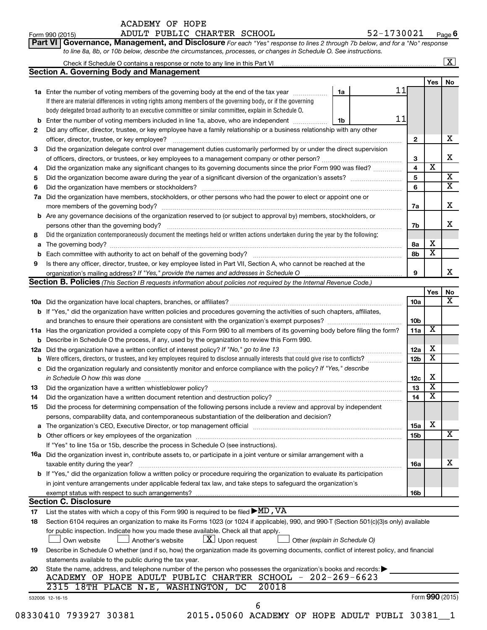|    | <b>ACADEMY OF HOPE</b>                                                                                                                                                                |                         |                              |                         |
|----|---------------------------------------------------------------------------------------------------------------------------------------------------------------------------------------|-------------------------|------------------------------|-------------------------|
|    | 52-1730021<br>ADULT PUBLIC CHARTER SCHOOL<br>Form 990 (2015)                                                                                                                          |                         |                              | Page 6                  |
|    | Governance, Management, and Disclosure For each "Yes" response to lines 2 through 7b below, and for a "No" response<br>Part VI                                                        |                         |                              |                         |
|    | to line 8a, 8b, or 10b below, describe the circumstances, processes, or changes in Schedule O. See instructions.                                                                      |                         |                              |                         |
|    | Check if Schedule O contains a response or note to any line in this Part VI [11] [11] [11] [11] [11] [11] Check if Schedule O contains a response or note to any line in this Part VI |                         |                              | $\overline{\mathbf{x}}$ |
|    | <b>Section A. Governing Body and Management</b>                                                                                                                                       |                         |                              |                         |
|    |                                                                                                                                                                                       |                         | Yes                          | No.                     |
|    | 11<br>1a Enter the number of voting members of the governing body at the end of the tax year<br>1a                                                                                    |                         |                              |                         |
|    | If there are material differences in voting rights among members of the governing body, or if the governing                                                                           |                         |                              |                         |
|    | body delegated broad authority to an executive committee or similar committee, explain in Schedule O.                                                                                 |                         |                              |                         |
| b  | 11<br>Enter the number of voting members included in line 1a, above, who are independent<br>1b                                                                                        |                         |                              |                         |
| 2  | Did any officer, director, trustee, or key employee have a family relationship or a business relationship with any other                                                              |                         |                              |                         |
|    |                                                                                                                                                                                       | 2                       |                              | x                       |
| 3  | Did the organization delegate control over management duties customarily performed by or under the direct supervision                                                                 |                         |                              |                         |
|    |                                                                                                                                                                                       | 3                       |                              | x                       |
| 4  |                                                                                                                                                                                       | $\overline{\mathbf{4}}$ | $\overline{\textbf{x}}$      |                         |
|    | Did the organization make any significant changes to its governing documents since the prior Form 990 was filed?                                                                      | 5                       |                              | $\overline{\mathbf{X}}$ |
| 5  |                                                                                                                                                                                       | 6                       |                              | $\overline{\mathtt{x}}$ |
| 6  |                                                                                                                                                                                       |                         |                              |                         |
|    | 7a Did the organization have members, stockholders, or other persons who had the power to elect or appoint one or                                                                     |                         |                              | х                       |
|    |                                                                                                                                                                                       | 7a                      |                              |                         |
|    | <b>b</b> Are any governance decisions of the organization reserved to (or subject to approval by) members, stockholders, or                                                           |                         |                              | x.                      |
|    | persons other than the governing body?<br>Did the organization contemporaneously document the meetings held or written actions undertaken during the year by the following:           | 7b                      |                              |                         |
| 8  |                                                                                                                                                                                       |                         |                              |                         |
|    |                                                                                                                                                                                       | 8а                      | x<br>$\overline{\texttt{x}}$ |                         |
|    |                                                                                                                                                                                       | 8b                      |                              |                         |
| 9  | Is there any officer, director, trustee, or key employee listed in Part VII, Section A, who cannot be reached at the                                                                  |                         |                              | x                       |
|    | organization's mailing address? If "Yes," provide the names and addresses in Schedule O manual content content                                                                        | 9                       |                              |                         |
|    | Section B. Policies (This Section B requests information about policies not required by the Internal Revenue Code.)                                                                   |                         |                              |                         |
|    |                                                                                                                                                                                       |                         | Yes                          | No<br>X                 |
|    |                                                                                                                                                                                       | 10a                     |                              |                         |
|    | <b>b</b> If "Yes," did the organization have written policies and procedures governing the activities of such chapters, affiliates,                                                   |                         |                              |                         |
|    | and branches to ensure their operations are consistent with the organization's exempt purposes?                                                                                       | 10b                     |                              |                         |
|    | 11a Has the organization provided a complete copy of this Form 990 to all members of its governing body before filing the form?                                                       | 11a                     | X                            |                         |
|    | <b>b</b> Describe in Schedule O the process, if any, used by the organization to review this Form 990.                                                                                |                         |                              |                         |
|    | 12a Did the organization have a written conflict of interest policy? If "No," go to line 13                                                                                           | 12a                     | х                            |                         |
| b  | Were officers, directors, or trustees, and key employees required to disclose annually interests that could give rise to conflicts?                                                   | 12b                     | $\overline{\textbf{x}}$      |                         |
|    | c Did the organization regularly and consistently monitor and enforce compliance with the policy? If "Yes," describe                                                                  |                         |                              |                         |
|    | in Schedule O how this was done encounteral contracts and a set of the set of the set of the set of the set of                                                                        | 12c                     | X                            |                         |
| 13 |                                                                                                                                                                                       | 13                      | х                            |                         |
| 14 |                                                                                                                                                                                       | 14                      | $\overline{\mathbf{x}}$      |                         |
| 15 | Did the process for determining compensation of the following persons include a review and approval by independent                                                                    |                         |                              |                         |
|    | persons, comparability data, and contemporaneous substantiation of the deliberation and decision?                                                                                     |                         |                              |                         |
|    |                                                                                                                                                                                       | 15a                     | x                            |                         |
| b  |                                                                                                                                                                                       | 15b                     |                              | х                       |
|    | If "Yes" to line 15a or 15b, describe the process in Schedule O (see instructions).                                                                                                   |                         |                              |                         |
|    | <b>16a</b> Did the organization invest in, contribute assets to, or participate in a joint venture or similar arrangement with a                                                      |                         |                              |                         |
|    | taxable entity during the year?                                                                                                                                                       | 16a                     |                              | х                       |
|    | b If "Yes," did the organization follow a written policy or procedure requiring the organization to evaluate its participation                                                        |                         |                              |                         |
|    | in joint venture arrangements under applicable federal tax law, and take steps to safeguard the organization's                                                                        |                         |                              |                         |

| <b>Section C. Disclosure</b> |  |                             |  |
|------------------------------|--|-----------------------------|--|
|                              |  | $\sim$ $\sim$ $\sim$ $\sim$ |  |

exempt status with respect to such arrangements?

List the states with which a copy of this Form 990 is required to be filed  $\blacktriangleright$ MD, VA

| 17 | List the states with which a copy of this Form 990 is required to be filed $\blacktriangleright$ ML , V A                                                                                                          |
|----|--------------------------------------------------------------------------------------------------------------------------------------------------------------------------------------------------------------------|
| 18 | Section 6104 requires an organization to make its Forms 1023 (or 1024 if applicable), 990, and 990-T (Section 501(c)(3)s only) available                                                                           |
|    | for public inspection. Indicate how you made these available. Check all that apply.<br>$\boxed{\mathbf{X}}$ Upon request $\boxed{\phantom{a}}$ Other (explain in Schedule O)<br>Another's website<br>∫ Own website |
| 19 | Describe in Schedule O whether (and if so, how) the organization made its governing documents, conflict of interest policy, and financial                                                                          |
|    | statements available to the public during the tax year.                                                                                                                                                            |
| 20 | State the name, address, and telephone number of the person who possesses the organization's books and records:<br>HOPE ADULT PUBLIC CHARTER SCHOOL - 202-269-6623<br>OF.<br>ACADEMY                               |
|    | 2315 18TH PLACE N.E. WASHINGTON, DC 20018                                                                                                                                                                          |
|    | Form 990 (2015)<br>532006 12-16-15                                                                                                                                                                                 |
|    |                                                                                                                                                                                                                    |

08330410 793927 30381 2015.05060 ACADEMY OF HOPE ADULT PUBLI 30381 1

**16b**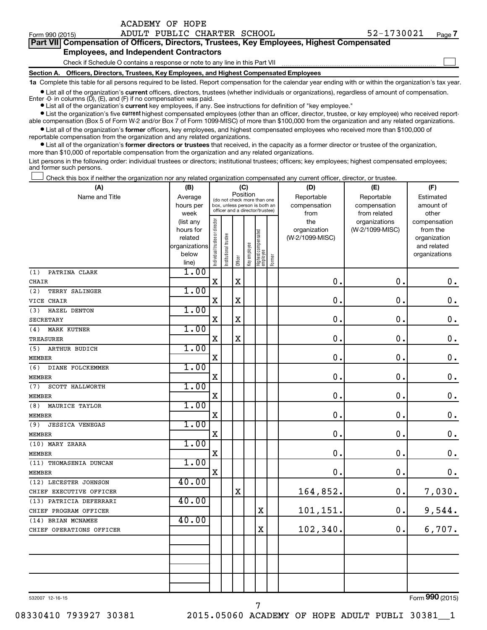Form 990 (2015) Page ADULT PUBLIC CHARTER SCHOOL 52-1730021

| <b>Part VIII Compensation of Officers, Directors, Trustees, Key Employees, Highest Compensated</b> |  |
|----------------------------------------------------------------------------------------------------|--|
| <b>Employees, and Independent Contractors</b>                                                      |  |
| Check if Schedule O contains a response or note to any line in this Part VII                       |  |

**Section A. Officers, Directors, Trustees, Key Employees, and Highest Compensated Employees**

**1a**  Complete this table for all persons required to be listed. Report compensation for the calendar year ending with or within the organization's tax year.

**•** List all of the organization's current officers, directors, trustees (whether individuals or organizations), regardless of amount of compensation. Enter -0- in columns  $(D)$ ,  $(E)$ , and  $(F)$  if no compensation was paid.

**•** List all of the organization's **current** key employees, if any. See instructions for definition of "key employee."

**•** List the organization's five current highest compensated employees (other than an officer, director, trustee, or key employee) who received reportable compensation (Box 5 of Form W-2 and/or Box 7 of Form 1099-MISC) of more than \$100,000 from the organization and any related organizations.

**•** List all of the organization's former officers, key employees, and highest compensated employees who received more than \$100,000 of reportable compensation from the organization and any related organizations.

**•** List all of the organization's former directors or trustees that received, in the capacity as a former director or trustee of the organization, more than \$10,000 of reportable compensation from the organization and any related organizations.

List persons in the following order: individual trustees or directors; institutional trustees; officers; key employees; highest compensated employees; and former such persons.

Check this box if neither the organization nor any related organization compensated any current officer, director, or trustee.  $\Box$ 

| (A)                                    | (B)            |                                |                       |             | (C)          |                                                                  |        | (D)             | (E)             | (F)                |
|----------------------------------------|----------------|--------------------------------|-----------------------|-------------|--------------|------------------------------------------------------------------|--------|-----------------|-----------------|--------------------|
| Name and Title                         | Average        |                                |                       |             | Position     | (do not check more than one                                      |        | Reportable      | Reportable      | Estimated          |
|                                        | hours per      |                                |                       |             |              | box, unless person is both an<br>officer and a director/trustee) |        | compensation    | compensation    | amount of          |
|                                        | week           |                                |                       |             |              |                                                                  |        | from            | from related    | other              |
|                                        | (list any      |                                |                       |             |              |                                                                  |        | the             | organizations   | compensation       |
|                                        | hours for      |                                |                       |             |              |                                                                  |        | organization    | (W-2/1099-MISC) | from the           |
|                                        | related        |                                |                       |             |              |                                                                  |        | (W-2/1099-MISC) |                 | organization       |
|                                        | organizations  |                                |                       |             |              |                                                                  |        |                 |                 | and related        |
|                                        | below<br>line) | Individual trustee or director | Institutional trustee | Officer     | Key employee | Highest compensated<br>employee                                  | Former |                 |                 | organizations      |
| PATRINA CLARK<br>(1)                   | 1.00           |                                |                       |             |              |                                                                  |        |                 |                 |                    |
| CHAIR                                  |                | $\mathbf X$                    |                       | $\mathbf X$ |              |                                                                  |        | $\mathbf 0$ .   | $\mathbf 0$ .   | $\mathbf 0$ .      |
| (2)<br>TERRY SALINGER                  | 1.00           |                                |                       |             |              |                                                                  |        |                 |                 |                    |
| VICE CHAIR                             |                | $\mathbf X$                    |                       | $\mathbf X$ |              |                                                                  |        | 0               | $\mathbf 0$ .   | $\mathbf 0$ .      |
| HAZEL DENTON<br>(3)                    | 1.00           |                                |                       |             |              |                                                                  |        |                 |                 |                    |
| <b>SECRETARY</b>                       |                | X                              |                       | $\mathbf X$ |              |                                                                  |        | $\mathbf 0$     | $\mathbf 0$     | $\boldsymbol{0}$ . |
| (4)                                    | 1.00           |                                |                       |             |              |                                                                  |        |                 |                 |                    |
| <b>MARK KUTNER</b><br><b>TREASURER</b> |                | $\mathbf X$                    |                       | $\mathbf X$ |              |                                                                  |        | $\mathbf 0$ .   | $\mathbf 0$ .   | $\boldsymbol{0}$ . |
| (5)<br>ARTHUR BUDICH                   | 1.00           |                                |                       |             |              |                                                                  |        |                 |                 |                    |
| <b>MEMBER</b>                          |                | X                              |                       |             |              |                                                                  |        | 0.              | $\mathbf 0$ .   | $\mathbf 0$ .      |
| (6)<br>DIANE FOLCKEMMER                | 1.00           |                                |                       |             |              |                                                                  |        |                 |                 |                    |
| <b>MEMBER</b>                          |                | $\mathbf X$                    |                       |             |              |                                                                  |        | $\mathbf 0$ .   | $\mathbf 0$ .   | $\mathbf 0$ .      |
| SCOTT HALLWORTH<br>(7)                 | 1.00           |                                |                       |             |              |                                                                  |        |                 |                 |                    |
| <b>MEMBER</b>                          |                | $\mathbf x$                    |                       |             |              |                                                                  |        | 0.              | $\mathbf 0$ .   | $\mathbf 0$ .      |
| MAURICE TAYLOR<br>(8)                  | 1.00           |                                |                       |             |              |                                                                  |        |                 |                 |                    |
| <b>MEMBER</b>                          |                | $\mathbf X$                    |                       |             |              |                                                                  |        | 0.              | $\mathbf 0$ .   | $\mathbf 0$ .      |
| <b>JESSICA VENEGAS</b><br>(9)          | 1.00           |                                |                       |             |              |                                                                  |        |                 |                 |                    |
| <b>MEMBER</b>                          |                | $\mathbf x$                    |                       |             |              |                                                                  |        | 0.              | $\mathbf 0$ .   | $\mathbf 0$ .      |
| (10) MARY ZRARA                        | 1.00           |                                |                       |             |              |                                                                  |        |                 |                 |                    |
| <b>MEMBER</b>                          |                | $\mathbf X$                    |                       |             |              |                                                                  |        | 0.              | 0.              | $\mathbf 0$ .      |
| (11) THOMASENIA DUNCAN                 | 1.00           |                                |                       |             |              |                                                                  |        |                 |                 |                    |
| <b>MEMBER</b>                          |                | $\mathbf x$                    |                       |             |              |                                                                  |        | 0.              | $\mathbf 0$ .   | $\mathbf 0$ .      |
| (12) LECESTER JOHNSON                  | 40.00          |                                |                       |             |              |                                                                  |        |                 |                 |                    |
| CHIEF EXECUTIVE OFFICER                |                |                                |                       | $\mathbf X$ |              |                                                                  |        | 164,852.        | 0.              | 7,030.             |
| (13) PATRICIA DEFERRARI                | 40.00          |                                |                       |             |              |                                                                  |        |                 |                 |                    |
| CHIEF PROGRAM OFFICER                  |                |                                |                       |             |              | X                                                                |        | 101,151.        | 0.              | 9,544.             |
| (14) BRIAN MCNAMEE                     | 40.00          |                                |                       |             |              |                                                                  |        |                 |                 |                    |
| CHIEF OPERATIONS OFFICER               |                |                                |                       |             |              | X                                                                |        | 102,340.        | 0.              | 6,707.             |
|                                        |                |                                |                       |             |              |                                                                  |        |                 |                 |                    |
|                                        |                |                                |                       |             |              |                                                                  |        |                 |                 |                    |
|                                        |                |                                |                       |             |              |                                                                  |        |                 |                 |                    |
|                                        |                |                                |                       |             |              |                                                                  |        |                 |                 |                    |
|                                        |                |                                |                       |             |              |                                                                  |        |                 |                 |                    |
|                                        |                |                                |                       |             |              |                                                                  |        |                 |                 |                    |

7

532007 12-16-15

Form (2015) **990**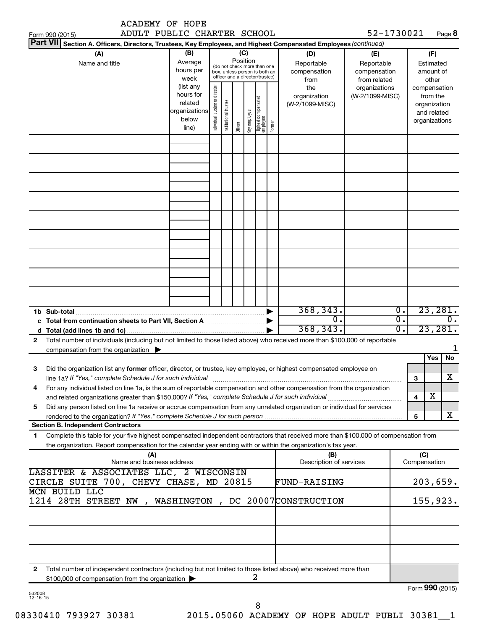|        | <b>ACADEMY OF HOPE</b><br>ADULT PUBLIC CHARTER SCHOOL                                                                                                                                                                                                  |                                                                      |                                                                                                                    |                       |         |              |                                 |        |                                           | 52-1730021                                        |                                   |                                        |                                                                          |                             |
|--------|--------------------------------------------------------------------------------------------------------------------------------------------------------------------------------------------------------------------------------------------------------|----------------------------------------------------------------------|--------------------------------------------------------------------------------------------------------------------|-----------------------|---------|--------------|---------------------------------|--------|-------------------------------------------|---------------------------------------------------|-----------------------------------|----------------------------------------|--------------------------------------------------------------------------|-----------------------------|
|        | Form 990 (2015)<br><b>Part VII</b><br>Section A. Officers, Directors, Trustees, Key Employees, and Highest Compensated Employees (continued)                                                                                                           |                                                                      |                                                                                                                    |                       |         |              |                                 |        |                                           |                                                   |                                   |                                        |                                                                          | Page 8                      |
|        | (A)<br>Name and title                                                                                                                                                                                                                                  | (B)<br>Average<br>hours per<br>week                                  | (C)<br>Position<br>(do not check more than one<br>box, unless person is both an<br>officer and a director/trustee) |                       |         |              |                                 |        | (D)<br>Reportable<br>compensation<br>from | (E)<br>Reportable<br>compensation<br>from related |                                   | (F)<br>Estimated<br>amount of<br>other |                                                                          |                             |
|        |                                                                                                                                                                                                                                                        | (list any<br>hours for<br>related<br>organizations<br>below<br>line) | Individual trustee or director                                                                                     | Institutional trustee | Officer | Key employee | Highest compensated<br>employee | Former | the<br>organization<br>(W-2/1099-MISC)    | organizations<br>(W-2/1099-MISC)                  |                                   |                                        | compensation<br>from the<br>organization<br>and related<br>organizations |                             |
|        |                                                                                                                                                                                                                                                        |                                                                      |                                                                                                                    |                       |         |              |                                 |        |                                           |                                                   |                                   |                                        |                                                                          |                             |
|        |                                                                                                                                                                                                                                                        |                                                                      |                                                                                                                    |                       |         |              |                                 |        |                                           |                                                   |                                   |                                        |                                                                          |                             |
|        |                                                                                                                                                                                                                                                        |                                                                      |                                                                                                                    |                       |         |              |                                 |        |                                           |                                                   |                                   |                                        |                                                                          |                             |
|        |                                                                                                                                                                                                                                                        |                                                                      |                                                                                                                    |                       |         |              |                                 |        |                                           |                                                   |                                   |                                        |                                                                          |                             |
|        |                                                                                                                                                                                                                                                        |                                                                      |                                                                                                                    |                       |         |              |                                 |        |                                           |                                                   |                                   |                                        |                                                                          |                             |
|        |                                                                                                                                                                                                                                                        |                                                                      |                                                                                                                    |                       |         |              |                                 |        |                                           |                                                   |                                   |                                        |                                                                          |                             |
|        | 1b Sub-total                                                                                                                                                                                                                                           |                                                                      |                                                                                                                    |                       |         |              |                                 |        | 368, 343.                                 |                                                   | $\overline{0}$ .                  |                                        |                                                                          | 23,281.                     |
|        |                                                                                                                                                                                                                                                        |                                                                      |                                                                                                                    |                       |         |              |                                 |        | $\overline{0}$ .<br>368, 343.             |                                                   | $\overline{\mathfrak{o}}$ .<br>σ. |                                        |                                                                          | 0.<br>23,281.               |
| 2      | Total number of individuals (including but not limited to those listed above) who received more than \$100,000 of reportable                                                                                                                           |                                                                      |                                                                                                                    |                       |         |              |                                 |        |                                           |                                                   |                                   |                                        |                                                                          |                             |
|        | compensation from the organization $\blacktriangleright$                                                                                                                                                                                               |                                                                      |                                                                                                                    |                       |         |              |                                 |        |                                           |                                                   |                                   |                                        |                                                                          | 1                           |
| З      | Did the organization list any <b>former</b> officer, director, or trustee, key employee, or highest compensated employee on<br>line 1a? If "Yes," complete Schedule J for such individual manufactured content content from the content of the         |                                                                      |                                                                                                                    |                       |         |              |                                 |        |                                           |                                                   |                                   | 3                                      | Yes                                                                      | No<br>$\overline{\text{X}}$ |
| 4      | For any individual listed on line 1a, is the sum of reportable compensation and other compensation from the organization                                                                                                                               |                                                                      |                                                                                                                    |                       |         |              |                                 |        |                                           |                                                   |                                   | 4                                      | x                                                                        |                             |
| 5      | Did any person listed on line 1a receive or accrue compensation from any unrelated organization or individual for services                                                                                                                             |                                                                      |                                                                                                                    |                       |         |              |                                 |        |                                           |                                                   |                                   |                                        |                                                                          | x                           |
|        | <b>Section B. Independent Contractors</b>                                                                                                                                                                                                              |                                                                      |                                                                                                                    |                       |         |              |                                 |        |                                           |                                                   |                                   | 5                                      |                                                                          |                             |
| 1      | Complete this table for your five highest compensated independent contractors that received more than \$100,000 of compensation from<br>the organization. Report compensation for the calendar year ending with or within the organization's tax year. |                                                                      |                                                                                                                    |                       |         |              |                                 |        |                                           |                                                   |                                   |                                        |                                                                          |                             |
|        | (A)<br>Name and business address                                                                                                                                                                                                                       |                                                                      |                                                                                                                    |                       |         |              |                                 |        | (B)<br>Description of services            |                                                   |                                   | (C)<br>Compensation                    |                                                                          |                             |
|        | LASSITER & ASSOCIATES LLC, 2 WISCONSIN<br>CIRCLE SUITE 700, CHEVY CHASE, MD 20815                                                                                                                                                                      |                                                                      |                                                                                                                    |                       |         |              |                                 |        | FUND-RAISING                              |                                                   |                                   |                                        |                                                                          | 203,659.                    |
|        | <b>MCN BUILD LLC</b>                                                                                                                                                                                                                                   |                                                                      |                                                                                                                    |                       |         |              |                                 |        |                                           |                                                   |                                   |                                        |                                                                          |                             |
|        | 1214 28TH STREET NW, WASHINGTON, DC 20007CONSTRUCTION                                                                                                                                                                                                  |                                                                      |                                                                                                                    |                       |         |              |                                 |        |                                           |                                                   |                                   |                                        |                                                                          | 155,923.                    |
|        |                                                                                                                                                                                                                                                        |                                                                      |                                                                                                                    |                       |         |              |                                 |        |                                           |                                                   |                                   |                                        |                                                                          |                             |
|        |                                                                                                                                                                                                                                                        |                                                                      |                                                                                                                    |                       |         |              |                                 |        |                                           |                                                   |                                   |                                        |                                                                          |                             |
| 2      | Total number of independent contractors (including but not limited to those listed above) who received more than<br>\$100,000 of compensation from the organization                                                                                    |                                                                      |                                                                                                                    |                       |         |              | 2                               |        |                                           |                                                   |                                   |                                        |                                                                          |                             |
| 532008 |                                                                                                                                                                                                                                                        |                                                                      |                                                                                                                    |                       |         |              |                                 |        |                                           |                                                   |                                   | Form 990 (2015)                        |                                                                          |                             |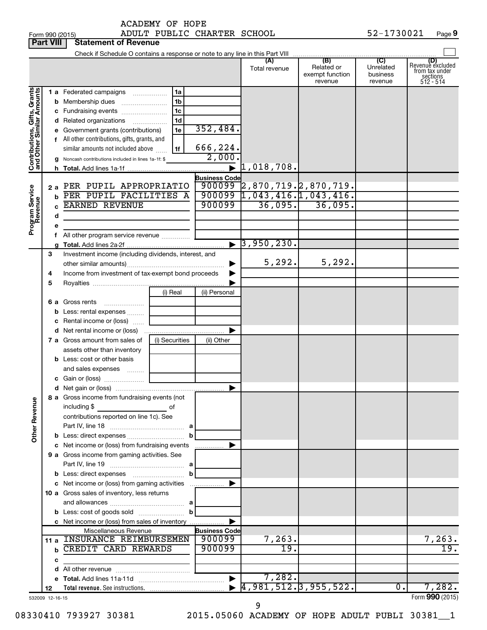Form 990 (2015) Page ADULT PUBLIC CHARTER SCHOOL 52-1730021 **Part VIII Statement of Revenue**<br> **Part VIII** Statement of Revenue

|                                                           | <u>. a.c. will</u> | <b>URIGHIGHL UI HEIGHUG</b>                              |                |                       |                                        |                                                 |                                         |                                                                      |
|-----------------------------------------------------------|--------------------|----------------------------------------------------------|----------------|-----------------------|----------------------------------------|-------------------------------------------------|-----------------------------------------|----------------------------------------------------------------------|
|                                                           |                    |                                                          |                |                       | (A)<br>Total revenue                   | (B)<br>Related or<br>exempt function<br>revenue | (C)<br>Unrelated<br>business<br>revenue | (D)<br>Revenue excluded<br>from tax under<br>sections<br>$512 - 514$ |
| Contributions, Gifts, Grants<br>and Other Similar Amounts |                    | <b>1 a</b> Federated campaigns                           | 1a             |                       |                                        |                                                 |                                         |                                                                      |
|                                                           |                    | <b>b</b> Membership dues                                 | 1 <sub>b</sub> |                       |                                        |                                                 |                                         |                                                                      |
|                                                           |                    | c Fundraising events                                     | 1 <sub>c</sub> |                       |                                        |                                                 |                                         |                                                                      |
|                                                           |                    | d Related organizations                                  | 1 <sub>d</sub> |                       |                                        |                                                 |                                         |                                                                      |
|                                                           |                    | e Government grants (contributions)                      | 1e             | 352,484.              |                                        |                                                 |                                         |                                                                      |
|                                                           |                    | f All other contributions, gifts, grants, and            |                |                       |                                        |                                                 |                                         |                                                                      |
|                                                           |                    | similar amounts not included above                       | 1f             | 666,224.              |                                        |                                                 |                                         |                                                                      |
|                                                           | g                  | Noncash contributions included in lines 1a-1f: \$        |                | 2,000.                |                                        |                                                 |                                         |                                                                      |
|                                                           |                    |                                                          |                | $\blacktriangleright$ | 1,018,708.                             |                                                 |                                         |                                                                      |
|                                                           |                    |                                                          |                | <b>Business Code</b>  |                                        |                                                 |                                         |                                                                      |
|                                                           |                    | 2 a PER PUPIL APPROPRIATIO                               |                |                       | $900099$ 2,870,719. 2,870,719.         |                                                 |                                         |                                                                      |
|                                                           |                    | <b>b</b> PER PUPIL FACILITIES A                          |                | 900099                | 900099 1,043,416.1,043,416.<br>36,095. | 36,095.                                         |                                         |                                                                      |
|                                                           |                    | <b>EARNED REVENUE</b>                                    |                |                       |                                        |                                                 |                                         |                                                                      |
|                                                           | d                  |                                                          |                |                       |                                        |                                                 |                                         |                                                                      |
| Program Service<br>Revenue                                |                    |                                                          |                |                       |                                        |                                                 |                                         |                                                                      |
|                                                           |                    | All other program service revenue <i></i>                |                |                       | $\blacktriangleright$ 3,950,230.       |                                                 |                                         |                                                                      |
|                                                           | 3                  | Investment income (including dividends, interest, and    |                |                       |                                        |                                                 |                                         |                                                                      |
|                                                           |                    |                                                          |                | ▶                     | 5,292.                                 | 5, 292.                                         |                                         |                                                                      |
|                                                           | 4                  | Income from investment of tax-exempt bond proceeds       |                |                       |                                        |                                                 |                                         |                                                                      |
|                                                           | 5                  |                                                          |                |                       |                                        |                                                 |                                         |                                                                      |
|                                                           |                    |                                                          | (i) Real       | (ii) Personal         |                                        |                                                 |                                         |                                                                      |
|                                                           | 6а                 | Gross rents                                              |                |                       |                                        |                                                 |                                         |                                                                      |
|                                                           |                    | <b>b</b> Less: rental expenses <i>many</i>               |                |                       |                                        |                                                 |                                         |                                                                      |
|                                                           |                    | c Rental income or (loss)                                |                |                       |                                        |                                                 |                                         |                                                                      |
|                                                           |                    |                                                          |                | $\blacktriangleright$ |                                        |                                                 |                                         |                                                                      |
|                                                           |                    | 7 a Gross amount from sales of                           | (i) Securities | (ii) Other            |                                        |                                                 |                                         |                                                                      |
|                                                           |                    | assets other than inventory                              |                |                       |                                        |                                                 |                                         |                                                                      |
|                                                           |                    | <b>b</b> Less: cost or other basis                       |                |                       |                                        |                                                 |                                         |                                                                      |
|                                                           |                    | and sales expenses <i>www.res</i>                        |                |                       |                                        |                                                 |                                         |                                                                      |
|                                                           |                    |                                                          |                |                       |                                        |                                                 |                                         |                                                                      |
|                                                           |                    |                                                          |                |                       |                                        |                                                 |                                         |                                                                      |
| Ф                                                         |                    | 8 a Gross income from fundraising events (not            |                |                       |                                        |                                                 |                                         |                                                                      |
|                                                           |                    | including \$                                             | оf             |                       |                                        |                                                 |                                         |                                                                      |
|                                                           |                    | contributions reported on line 1c). See                  |                |                       |                                        |                                                 |                                         |                                                                      |
| <b>Other Revenu</b>                                       |                    |                                                          | а              |                       |                                        |                                                 |                                         |                                                                      |
|                                                           |                    | <b>b</b> Less: direct expenses <i>manually contained</i> |                |                       |                                        |                                                 |                                         |                                                                      |
|                                                           |                    | c Net income or (loss) from fundraising events           |                | .                     |                                        |                                                 |                                         |                                                                      |
|                                                           |                    | 9 a Gross income from gaming activities. See             |                |                       |                                        |                                                 |                                         |                                                                      |
|                                                           |                    |                                                          |                |                       |                                        |                                                 |                                         |                                                                      |
|                                                           |                    | c Net income or (loss) from gaming activities            | b              |                       |                                        |                                                 |                                         |                                                                      |
|                                                           |                    |                                                          |                |                       |                                        |                                                 |                                         |                                                                      |
|                                                           |                    | 10 a Gross sales of inventory, less returns              |                |                       |                                        |                                                 |                                         |                                                                      |
|                                                           |                    |                                                          | b              |                       |                                        |                                                 |                                         |                                                                      |
|                                                           |                    | c Net income or (loss) from sales of inventory           |                |                       |                                        |                                                 |                                         |                                                                      |
|                                                           |                    | Miscellaneous Revenue                                    |                | <b>Business Code</b>  |                                        |                                                 |                                         |                                                                      |
|                                                           |                    | 11 a INSURANCE REIMBURSEMEN                              |                | 900099                | 7,263.                                 |                                                 |                                         | 7,263.                                                               |
|                                                           | b                  | CREDIT CARD REWARDS                                      |                | 900099                | 19                                     |                                                 |                                         | 19                                                                   |
|                                                           | с                  |                                                          |                |                       |                                        |                                                 |                                         |                                                                      |
|                                                           |                    |                                                          |                |                       |                                        |                                                 |                                         |                                                                      |
|                                                           |                    |                                                          |                |                       | 7,282.                                 |                                                 |                                         |                                                                      |
|                                                           | 12                 |                                                          |                |                       | 4,981,512.3,955,522.                   |                                                 | 0.                                      | 7,282.                                                               |
|                                                           | 532009 12-16-15    |                                                          |                |                       |                                        |                                                 |                                         | Form 990 (2015)                                                      |

9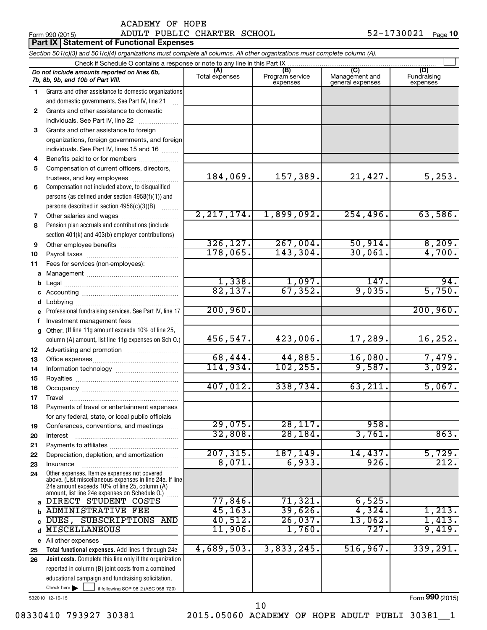### Form 990 (2015) Page ADULT PUBLIC CHARTER SCHOOL 52-1730021

|          | <b>Part IX Statement of Functional Expenses</b>                                                                                                                                                               |                       |                                    |                                           |                                |  |  |  |  |
|----------|---------------------------------------------------------------------------------------------------------------------------------------------------------------------------------------------------------------|-----------------------|------------------------------------|-------------------------------------------|--------------------------------|--|--|--|--|
|          | Section 501(c)(3) and 501(c)(4) organizations must complete all columns. All other organizations must complete column (A).                                                                                    |                       |                                    |                                           |                                |  |  |  |  |
|          | Check if Schedule O contains a response or note to any line in this Part IX.                                                                                                                                  |                       |                                    |                                           |                                |  |  |  |  |
|          | Do not include amounts reported on lines 6b,<br>7b, 8b, 9b, and 10b of Part VIII.                                                                                                                             | (A)<br>Total expenses | (B)<br>Program service<br>expenses | (C)<br>Management and<br>general expenses | (D)<br>Fundraising<br>expenses |  |  |  |  |
| 1.       | Grants and other assistance to domestic organizations                                                                                                                                                         |                       |                                    |                                           |                                |  |  |  |  |
|          | and domestic governments. See Part IV, line 21                                                                                                                                                                |                       |                                    |                                           |                                |  |  |  |  |
| 2        | Grants and other assistance to domestic                                                                                                                                                                       |                       |                                    |                                           |                                |  |  |  |  |
|          | individuals. See Part IV, line 22                                                                                                                                                                             |                       |                                    |                                           |                                |  |  |  |  |
| 3        | Grants and other assistance to foreign                                                                                                                                                                        |                       |                                    |                                           |                                |  |  |  |  |
|          | organizations, foreign governments, and foreign                                                                                                                                                               |                       |                                    |                                           |                                |  |  |  |  |
|          | individuals. See Part IV, lines 15 and 16                                                                                                                                                                     |                       |                                    |                                           |                                |  |  |  |  |
| 4        | Benefits paid to or for members                                                                                                                                                                               |                       |                                    |                                           |                                |  |  |  |  |
| 5        | Compensation of current officers, directors,                                                                                                                                                                  | 184,069.              | 157,389.                           | 21,427.                                   | 5,253.                         |  |  |  |  |
|          | trustees, and key employees                                                                                                                                                                                   |                       |                                    |                                           |                                |  |  |  |  |
| 6        | Compensation not included above, to disqualified<br>persons (as defined under section 4958(f)(1)) and                                                                                                         |                       |                                    |                                           |                                |  |  |  |  |
|          | persons described in section 4958(c)(3)(B)                                                                                                                                                                    |                       |                                    |                                           |                                |  |  |  |  |
| 7        | Other salaries and wages                                                                                                                                                                                      | 2, 217, 174.          | 1,899,092.                         | 254, 496.                                 | 63,586.                        |  |  |  |  |
| 8        | Pension plan accruals and contributions (include                                                                                                                                                              |                       |                                    |                                           |                                |  |  |  |  |
|          | section 401(k) and 403(b) employer contributions)                                                                                                                                                             |                       |                                    |                                           |                                |  |  |  |  |
| 9        | Other employee benefits                                                                                                                                                                                       | 326, 127.             | 267,004.                           | 50,914.                                   |                                |  |  |  |  |
| 10       |                                                                                                                                                                                                               | 178,065.              | 143,304.                           | 30,061.                                   | $\frac{8,209}{4,700}$          |  |  |  |  |
| 11       | Fees for services (non-employees):                                                                                                                                                                            |                       |                                    |                                           |                                |  |  |  |  |
| а        |                                                                                                                                                                                                               |                       |                                    |                                           |                                |  |  |  |  |
| b        |                                                                                                                                                                                                               | 1,338.                | $\frac{1,097.}{67,352.}$           | 147.                                      | 94.                            |  |  |  |  |
| с        |                                                                                                                                                                                                               | 82,137.               |                                    | 9,035.                                    | $\overline{5,750}$ .           |  |  |  |  |
| d        |                                                                                                                                                                                                               |                       |                                    |                                           |                                |  |  |  |  |
|          | Professional fundraising services. See Part IV, line 17                                                                                                                                                       | 200,960.              |                                    |                                           | 200,960.                       |  |  |  |  |
| f        | Investment management fees                                                                                                                                                                                    |                       |                                    |                                           |                                |  |  |  |  |
| g        | Other. (If line 11g amount exceeds 10% of line 25,                                                                                                                                                            |                       |                                    |                                           |                                |  |  |  |  |
|          | column (A) amount, list line 11g expenses on Sch O.)                                                                                                                                                          | 456,547.              | 423,006.                           | 17,289.                                   | 16, 252.                       |  |  |  |  |
| 12       |                                                                                                                                                                                                               | 68,444.               | 44,885.                            | 16,080.                                   |                                |  |  |  |  |
| 13       |                                                                                                                                                                                                               | 114,934.              | 102, 255.                          | 9,587.                                    | $\frac{7,479}{3,092}$          |  |  |  |  |
| 14       |                                                                                                                                                                                                               |                       |                                    |                                           |                                |  |  |  |  |
| 15<br>16 |                                                                                                                                                                                                               | 407,012.              | 338,734.                           | 63,211                                    | 5,067.                         |  |  |  |  |
| 17       | Travel                                                                                                                                                                                                        |                       |                                    |                                           |                                |  |  |  |  |
| 18       | Payments of travel or entertainment expenses                                                                                                                                                                  |                       |                                    |                                           |                                |  |  |  |  |
|          | for any federal, state, or local public officials                                                                                                                                                             |                       |                                    |                                           |                                |  |  |  |  |
| 19       | Conferences, conventions, and meetings                                                                                                                                                                        | 29,075.               | 28,117.                            | 958.                                      |                                |  |  |  |  |
| 20       | Interest                                                                                                                                                                                                      | 32,808.               | 28, 184.                           | 3,761                                     | 863.                           |  |  |  |  |
| 21       |                                                                                                                                                                                                               |                       |                                    |                                           |                                |  |  |  |  |
| 22       | Depreciation, depletion, and amortization                                                                                                                                                                     | 207, 315.             | 187,149.                           | 14,437.                                   | 5,729.                         |  |  |  |  |
| 23       | Insurance                                                                                                                                                                                                     | 8,071.                | 6,933.                             | 926.                                      | 212.                           |  |  |  |  |
| 24       | Other expenses. Itemize expenses not covered<br>above. (List miscellaneous expenses in line 24e. If line<br>24e amount exceeds 10% of line 25, column (A)<br>amount, list line 24e expenses on Schedule O.) [ |                       |                                    |                                           |                                |  |  |  |  |
| a        | DIRECT STUDENT COSTS                                                                                                                                                                                          | $77,846$ .            | 71,321.                            | 6,525.                                    |                                |  |  |  |  |
| b        | <b>ADMINISTRATIVE FEE</b>                                                                                                                                                                                     | 45, 163.              | 39,626.                            | 4,324.                                    | 1,213.                         |  |  |  |  |
| C        | DUES, SUBSCRIPTIONS AND                                                                                                                                                                                       | 40,512.               | 26,037.                            | $13,062$ .                                | 1,413.                         |  |  |  |  |
| d        | <b>MISCELLANEOUS</b>                                                                                                                                                                                          | 11,906.               | 1,760.                             | 727.                                      | 9,419.                         |  |  |  |  |
| е        | All other expenses                                                                                                                                                                                            | 4,689,503.            | 3,833,245.                         | 516, 967.                                 | 339, 291.                      |  |  |  |  |
| 25       | Total functional expenses. Add lines 1 through 24e<br>Joint costs. Complete this line only if the organization                                                                                                |                       |                                    |                                           |                                |  |  |  |  |
| 26       | reported in column (B) joint costs from a combined                                                                                                                                                            |                       |                                    |                                           |                                |  |  |  |  |
|          | educational campaign and fundraising solicitation.                                                                                                                                                            |                       |                                    |                                           |                                |  |  |  |  |
|          | Check here $\blacktriangleright$<br>if following SOP 98-2 (ASC 958-720)                                                                                                                                       |                       |                                    |                                           |                                |  |  |  |  |

532010 12-16-15

Form (2015) **990**

08330410 793927 30381 2015.05060 ACADEMY OF HOPE ADULT PUBLI 30381\_1

10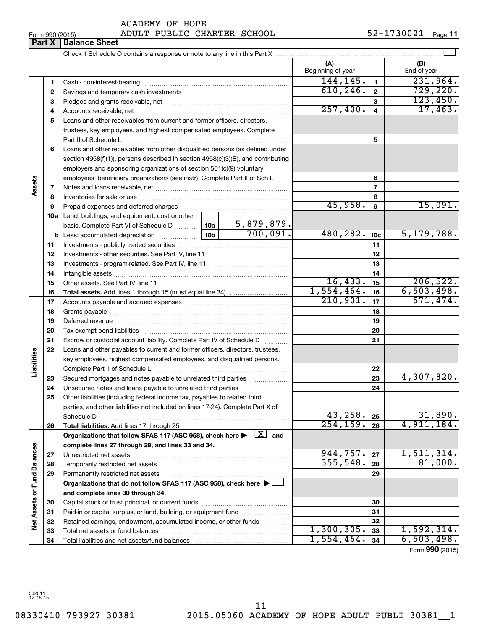# Form 990 (2015) Page ADULT PUBLIC CHARTER SCHOOL 52-1730021

|                      | Part X | <b>Balance Sheet</b>                                                                                                         |  |                          |                         |                                 |
|----------------------|--------|------------------------------------------------------------------------------------------------------------------------------|--|--------------------------|-------------------------|---------------------------------|
|                      |        |                                                                                                                              |  |                          |                         |                                 |
|                      |        |                                                                                                                              |  | (A)<br>Beginning of year |                         | (B)<br>End of year              |
|                      | 1      |                                                                                                                              |  | 144, 145.                | 1                       | 231,964.                        |
|                      | 2      |                                                                                                                              |  | 610, 246.                | $\overline{2}$          | 729,220.                        |
|                      | З      |                                                                                                                              |  |                          | 3                       | 123,450.                        |
|                      | 4      |                                                                                                                              |  | 257,400.                 | $\overline{\mathbf{4}}$ | 17,463.                         |
|                      | 5      | Loans and other receivables from current and former officers, directors,                                                     |  |                          |                         |                                 |
|                      |        | trustees, key employees, and highest compensated employees. Complete                                                         |  |                          |                         |                                 |
|                      |        | Part II of Schedule L                                                                                                        |  |                          | 5                       |                                 |
|                      | 6      | Loans and other receivables from other disqualified persons (as defined under                                                |  |                          |                         |                                 |
|                      |        | section $4958(f)(1)$ , persons described in section $4958(c)(3)(B)$ , and contributing                                       |  |                          |                         |                                 |
|                      |        | employers and sponsoring organizations of section 501(c)(9) voluntary                                                        |  |                          |                         |                                 |
|                      |        | employees' beneficiary organizations (see instr). Complete Part II of Sch L                                                  |  |                          | 6                       |                                 |
| Assets               | 7      |                                                                                                                              |  |                          | 7                       |                                 |
|                      | 8      |                                                                                                                              |  |                          | 8                       |                                 |
|                      | 9      |                                                                                                                              |  | 45,958.                  | 9                       | 15,091.                         |
|                      |        | <b>10a</b> Land, buildings, and equipment: cost or other                                                                     |  |                          |                         |                                 |
|                      |        |                                                                                                                              |  |                          |                         |                                 |
|                      |        |                                                                                                                              |  | 480,282.                 | 10 <sub>c</sub>         | 5,179,788.                      |
|                      | 11     |                                                                                                                              |  |                          | 11                      |                                 |
|                      | 12     |                                                                                                                              |  |                          | 12                      |                                 |
|                      | 13     |                                                                                                                              |  |                          | 13                      |                                 |
|                      | 14     |                                                                                                                              |  |                          | 14                      |                                 |
|                      | 15     |                                                                                                                              |  | 16,433.                  | 15                      | 206,522.                        |
|                      | 16     |                                                                                                                              |  | 1,554,464.               | 16                      | 6,503,498.                      |
|                      | 17     |                                                                                                                              |  | 210,901.                 | 17                      | 571,474.                        |
|                      | 18     |                                                                                                                              |  |                          | 18                      |                                 |
|                      | 19     |                                                                                                                              |  |                          | 19                      |                                 |
|                      | 20     |                                                                                                                              |  |                          | 20                      |                                 |
|                      | 21     | Escrow or custodial account liability. Complete Part IV of Schedule D                                                        |  |                          | 21                      |                                 |
|                      | 22     | Loans and other payables to current and former officers, directors, trustees,                                                |  |                          |                         |                                 |
|                      |        | key employees, highest compensated employees, and disqualified persons.                                                      |  |                          |                         |                                 |
| Liabilities          |        |                                                                                                                              |  |                          | 22                      |                                 |
|                      | 23     | Secured mortgages and notes payable to unrelated third parties                                                               |  |                          | 23                      | 4,307,820.                      |
|                      | 24     | Unsecured notes and loans payable to unrelated third parties                                                                 |  |                          | 24                      |                                 |
|                      | 25     | Other liabilities (including federal income tax, payables to related third                                                   |  |                          |                         |                                 |
|                      |        | parties, and other liabilities not included on lines 17-24). Complete Part X of                                              |  |                          |                         |                                 |
|                      |        | Schedule D                                                                                                                   |  | 43,258.                  | 25                      | 31,890.                         |
|                      | 26     | Total liabilities. Add lines 17 through 25                                                                                   |  | 254, 159.                | 26                      | 4,911,184.                      |
|                      |        | Organizations that follow SFAS 117 (ASC 958), check here $\blacktriangleright \begin{array}{c} \boxed{X} \\ \end{array}$ and |  |                          |                         |                                 |
|                      |        | complete lines 27 through 29, and lines 33 and 34.                                                                           |  |                          |                         |                                 |
|                      | 27     |                                                                                                                              |  | 944,757.                 | 27                      | 1,511,314.                      |
|                      | 28     |                                                                                                                              |  | 355,548.                 | 28                      | 81,000.                         |
| <b>Fund Balances</b> | 29     | Permanently restricted net assets                                                                                            |  |                          | 29                      |                                 |
|                      |        | Organizations that do not follow SFAS 117 (ASC 958), check here >                                                            |  |                          |                         |                                 |
|                      |        | and complete lines 30 through 34.                                                                                            |  |                          |                         |                                 |
|                      | 30     |                                                                                                                              |  |                          | 30                      |                                 |
|                      | 31     | Paid-in or capital surplus, or land, building, or equipment fund                                                             |  |                          | 31                      |                                 |
| Net Assets or        | 32     | Retained earnings, endowment, accumulated income, or other funds                                                             |  |                          | 32                      |                                 |
|                      | 33     |                                                                                                                              |  | 1,300,305.               | 33                      | 1,592,314.                      |
|                      | 34     |                                                                                                                              |  | 1,554,464.               | 34                      | 6,503,498.<br>$000 \text{ mas}$ |

Form (2015) **990**

532011 12-16-15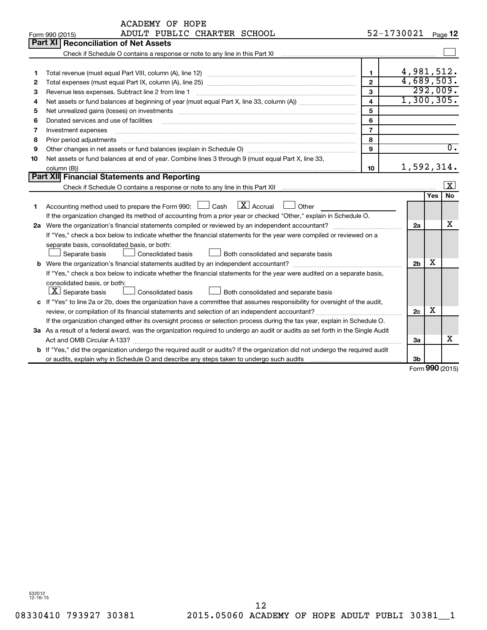|    | <b>ACADEMY OF HOPE</b>                                                                                                          |                         |                |     |                  |  |
|----|---------------------------------------------------------------------------------------------------------------------------------|-------------------------|----------------|-----|------------------|--|
|    | ADULT PUBLIC CHARTER SCHOOL<br>Form 990 (2015)                                                                                  |                         | 52-1730021     |     | Page 12          |  |
|    | Part XI<br><b>Reconciliation of Net Assets</b>                                                                                  |                         |                |     |                  |  |
|    |                                                                                                                                 |                         |                |     |                  |  |
|    |                                                                                                                                 |                         |                |     |                  |  |
| 1  |                                                                                                                                 | 1                       | 4,981,512.     |     |                  |  |
| 2  |                                                                                                                                 | $\mathbf{2}$            | 4,689,503.     |     |                  |  |
| 3  | Revenue less expenses. Subtract line 2 from line 1                                                                              | 3                       |                |     | 292,009.         |  |
| 4  |                                                                                                                                 | $\overline{\mathbf{4}}$ | 1,300,305.     |     |                  |  |
| 5  |                                                                                                                                 | 5                       |                |     |                  |  |
| 6  | Donated services and use of facilities                                                                                          | 6                       |                |     |                  |  |
| 7  | Investment expenses                                                                                                             | $\overline{7}$          |                |     |                  |  |
| 8  | Prior period adjustments                                                                                                        | 8                       |                |     | $\overline{0}$ . |  |
| 9  | 9                                                                                                                               |                         |                |     |                  |  |
| 10 | Net assets or fund balances at end of year. Combine lines 3 through 9 (must equal Part X, line 33,                              |                         |                |     |                  |  |
|    | 1,592,314.<br>10<br>column (B))                                                                                                 |                         |                |     |                  |  |
|    | Part XII Financial Statements and Reporting                                                                                     |                         |                |     |                  |  |
|    |                                                                                                                                 |                         |                |     | X                |  |
|    |                                                                                                                                 |                         |                | Yes | No               |  |
| 1  | $\boxed{\text{X}}$ Accrual<br>Accounting method used to prepare the Form 990: $\Box$ Cash<br>Other                              |                         |                |     |                  |  |
|    | If the organization changed its method of accounting from a prior year or checked "Other," explain in Schedule O.               |                         |                |     |                  |  |
|    |                                                                                                                                 |                         | 2a             |     | x                |  |
|    | If "Yes," check a box below to indicate whether the financial statements for the year were compiled or reviewed on a            |                         |                |     |                  |  |
|    | separate basis, consolidated basis, or both:                                                                                    |                         |                |     |                  |  |
|    | Separate basis<br><b>Consolidated basis</b><br>Both consolidated and separate basis                                             |                         |                |     |                  |  |
|    |                                                                                                                                 |                         | 2 <sub>b</sub> | х   |                  |  |
|    | If "Yes," check a box below to indicate whether the financial statements for the year were audited on a separate basis,         |                         |                |     |                  |  |
|    | consolidated basis, or both:                                                                                                    |                         |                |     |                  |  |
|    | $\lfloor x \rfloor$ Separate basis<br>Consolidated basis<br>Both consolidated and separate basis                                |                         |                |     |                  |  |
|    | c If "Yes" to line 2a or 2b, does the organization have a committee that assumes responsibility for oversight of the audit,     |                         |                |     |                  |  |
|    |                                                                                                                                 |                         | 2c             | x   |                  |  |
|    | If the organization changed either its oversight process or selection process during the tax year, explain in Schedule O.       |                         |                |     |                  |  |
|    | 3a As a result of a federal award, was the organization required to undergo an audit or audits as set forth in the Single Audit |                         |                |     |                  |  |
|    |                                                                                                                                 |                         | За             |     | x                |  |
|    | b If "Yes," did the organization undergo the required audit or audits? If the organization did not undergo the required audit   |                         |                |     |                  |  |
|    |                                                                                                                                 |                         | 3b             |     |                  |  |

Form (2015) **990**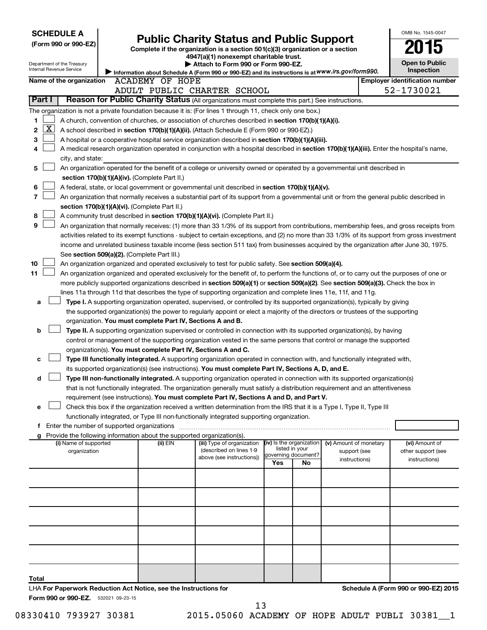| <b>SCHEDULE A</b>                                                                                                                                                                                                                                                   | OMB No. 1545-0047                     |  |
|---------------------------------------------------------------------------------------------------------------------------------------------------------------------------------------------------------------------------------------------------------------------|---------------------------------------|--|
| <b>Public Charity Status and Public Support</b><br>(Form 990 or 990-EZ)                                                                                                                                                                                             |                                       |  |
| Complete if the organization is a section 501(c)(3) organization or a section<br>4947(a)(1) nonexempt charitable trust.                                                                                                                                             |                                       |  |
| Attach to Form 990 or Form 990-EZ.<br>Department of the Treasury                                                                                                                                                                                                    | <b>Open to Public</b>                 |  |
| Internal Revenue Service<br>Information about Schedule A (Form 990 or 990-EZ) and its instructions is at WWW.irs.gov/form990.                                                                                                                                       | Inspection                            |  |
| Name of the organization<br>ACADEMY OF HOPE                                                                                                                                                                                                                         | <b>Employer identification number</b> |  |
| ADULT PUBLIC CHARTER SCHOOL<br>Part I<br>Reason for Public Charity Status (All organizations must complete this part.) See instructions.                                                                                                                            | 52-1730021                            |  |
|                                                                                                                                                                                                                                                                     |                                       |  |
| The organization is not a private foundation because it is: (For lines 1 through 11, check only one box.)                                                                                                                                                           |                                       |  |
| A church, convention of churches, or association of churches described in section 170(b)(1)(A)(i).<br>1<br>  X                                                                                                                                                      |                                       |  |
| 2<br>A school described in section 170(b)(1)(A)(ii). (Attach Schedule E (Form 990 or 990-EZ).)<br>3<br>A hospital or a cooperative hospital service organization described in section 170(b)(1)(A)(iii).                                                            |                                       |  |
| A medical research organization operated in conjunction with a hospital described in section 170(b)(1)(A)(iii). Enter the hospital's name,<br>4                                                                                                                     |                                       |  |
| city, and state:                                                                                                                                                                                                                                                    |                                       |  |
| An organization operated for the benefit of a college or university owned or operated by a governmental unit described in<br>5                                                                                                                                      |                                       |  |
| section 170(b)(1)(A)(iv). (Complete Part II.)                                                                                                                                                                                                                       |                                       |  |
| 6<br>A federal, state, or local government or governmental unit described in section 170(b)(1)(A)(v).                                                                                                                                                               |                                       |  |
| 7<br>An organization that normally receives a substantial part of its support from a governmental unit or from the general public described in                                                                                                                      |                                       |  |
| section 170(b)(1)(A)(vi). (Complete Part II.)                                                                                                                                                                                                                       |                                       |  |
| 8<br>A community trust described in section 170(b)(1)(A)(vi). (Complete Part II.)                                                                                                                                                                                   |                                       |  |
| 9<br>An organization that normally receives: (1) more than 33 1/3% of its support from contributions, membership fees, and gross receipts from                                                                                                                      |                                       |  |
| activities related to its exempt functions - subject to certain exceptions, and (2) no more than 33 1/3% of its support from gross investment                                                                                                                       |                                       |  |
| income and unrelated business taxable income (less section 511 tax) from businesses acquired by the organization after June 30, 1975.                                                                                                                               |                                       |  |
| See section 509(a)(2). (Complete Part III.)                                                                                                                                                                                                                         |                                       |  |
| 10<br>An organization organized and operated exclusively to test for public safety. See section 509(a)(4).                                                                                                                                                          |                                       |  |
| 11<br>An organization organized and operated exclusively for the benefit of, to perform the functions of, or to carry out the purposes of one or                                                                                                                    |                                       |  |
| more publicly supported organizations described in section 509(a)(1) or section 509(a)(2). See section 509(a)(3). Check the box in                                                                                                                                  |                                       |  |
| lines 11a through 11d that describes the type of supporting organization and complete lines 11e, 11f, and 11g.                                                                                                                                                      |                                       |  |
| Type I. A supporting organization operated, supervised, or controlled by its supported organization(s), typically by giving<br>a<br>the supported organization(s) the power to regularly appoint or elect a majority of the directors or trustees of the supporting |                                       |  |
| organization. You must complete Part IV, Sections A and B.                                                                                                                                                                                                          |                                       |  |
| Type II. A supporting organization supervised or controlled in connection with its supported organization(s), by having<br>b                                                                                                                                        |                                       |  |
| control or management of the supporting organization vested in the same persons that control or manage the supported                                                                                                                                                |                                       |  |
| organization(s). You must complete Part IV, Sections A and C.                                                                                                                                                                                                       |                                       |  |
| Type III functionally integrated. A supporting organization operated in connection with, and functionally integrated with,<br>с                                                                                                                                     |                                       |  |
| its supported organization(s) (see instructions). You must complete Part IV, Sections A, D, and E.                                                                                                                                                                  |                                       |  |
| Type III non-functionally integrated. A supporting organization operated in connection with its supported organization(s)<br>d                                                                                                                                      |                                       |  |
| that is not functionally integrated. The organization generally must satisfy a distribution requirement and an attentiveness                                                                                                                                        |                                       |  |
| requirement (see instructions). You must complete Part IV, Sections A and D, and Part V.                                                                                                                                                                            |                                       |  |
| Check this box if the organization received a written determination from the IRS that it is a Type I, Type II, Type III<br>e                                                                                                                                        |                                       |  |
| functionally integrated, or Type III non-functionally integrated supporting organization.                                                                                                                                                                           |                                       |  |
| f Enter the number of supported organizations                                                                                                                                                                                                                       |                                       |  |
| g Provide the following information about the supported organization(s).<br>(iv) Is the organization<br>(ii) EIN<br>(i) Name of supported<br>(iii) Type of organization<br>(v) Amount of monetary                                                                   | (vi) Amount of                        |  |
| listed in your<br>(described on lines 1-9<br>organization<br>support (see                                                                                                                                                                                           | other support (see                    |  |
| governing document?<br>above (see instructions))<br>instructions)<br>Yes<br>No                                                                                                                                                                                      | instructions)                         |  |
|                                                                                                                                                                                                                                                                     |                                       |  |
|                                                                                                                                                                                                                                                                     |                                       |  |
|                                                                                                                                                                                                                                                                     |                                       |  |
|                                                                                                                                                                                                                                                                     |                                       |  |
|                                                                                                                                                                                                                                                                     |                                       |  |
|                                                                                                                                                                                                                                                                     |                                       |  |
|                                                                                                                                                                                                                                                                     |                                       |  |
|                                                                                                                                                                                                                                                                     |                                       |  |
|                                                                                                                                                                                                                                                                     |                                       |  |
|                                                                                                                                                                                                                                                                     |                                       |  |
|                                                                                                                                                                                                                                                                     |                                       |  |
|                                                                                                                                                                                                                                                                     |                                       |  |
| Total<br>LHA For Paperwork Reduction Act Notice, see the Instructions for                                                                                                                                                                                           | Schedule A (Form 990 or 990-EZ) 2015  |  |

08330410 793927 30381 2015.05060 ACADEMY OF HOPE ADULT PUBLI 30381\_1 13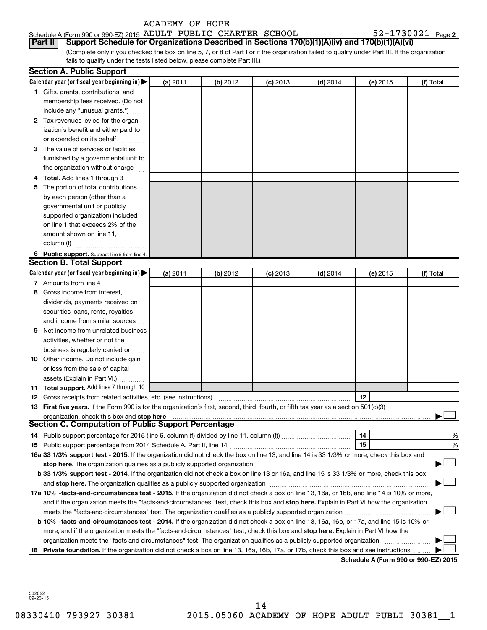| Schedule A (Form 990 or 990-EZ) 2015 ADULT PUBLIC CHARTER SCHOOL |  |  | $52 - 1730021$ Page 2                                                                                         |  |
|------------------------------------------------------------------|--|--|---------------------------------------------------------------------------------------------------------------|--|
|                                                                  |  |  | <b>Part II</b> Support Schedule for Organizations Described in Sections 170(b)(1)(A)(iv) and 170(b)(1)(A)(vi) |  |

(Complete only if you checked the box on line 5, 7, or 8 of Part I or if the organization failed to qualify under Part III. If the organization fails to qualify under the tests listed below, please complete Part III.)

|   | <b>Section A. Public Support</b>                                                                                                                                                                                               |          |          |            |            |          |           |
|---|--------------------------------------------------------------------------------------------------------------------------------------------------------------------------------------------------------------------------------|----------|----------|------------|------------|----------|-----------|
|   | Calendar year (or fiscal year beginning in)                                                                                                                                                                                    | (a) 2011 | (b) 2012 | $(c)$ 2013 | $(d)$ 2014 | (e) 2015 | (f) Total |
|   | 1 Gifts, grants, contributions, and                                                                                                                                                                                            |          |          |            |            |          |           |
|   | membership fees received. (Do not                                                                                                                                                                                              |          |          |            |            |          |           |
|   | include any "unusual grants.")                                                                                                                                                                                                 |          |          |            |            |          |           |
|   | 2 Tax revenues levied for the organ-                                                                                                                                                                                           |          |          |            |            |          |           |
|   | ization's benefit and either paid to                                                                                                                                                                                           |          |          |            |            |          |           |
|   | or expended on its behalf                                                                                                                                                                                                      |          |          |            |            |          |           |
|   | 3 The value of services or facilities                                                                                                                                                                                          |          |          |            |            |          |           |
|   | furnished by a governmental unit to                                                                                                                                                                                            |          |          |            |            |          |           |
|   | the organization without charge                                                                                                                                                                                                |          |          |            |            |          |           |
|   | 4 Total. Add lines 1 through 3                                                                                                                                                                                                 |          |          |            |            |          |           |
|   | 5 The portion of total contributions                                                                                                                                                                                           |          |          |            |            |          |           |
|   | by each person (other than a                                                                                                                                                                                                   |          |          |            |            |          |           |
|   | governmental unit or publicly                                                                                                                                                                                                  |          |          |            |            |          |           |
|   | supported organization) included                                                                                                                                                                                               |          |          |            |            |          |           |
|   | on line 1 that exceeds 2% of the                                                                                                                                                                                               |          |          |            |            |          |           |
|   | amount shown on line 11,                                                                                                                                                                                                       |          |          |            |            |          |           |
|   | column (f)                                                                                                                                                                                                                     |          |          |            |            |          |           |
|   | 6 Public support. Subtract line 5 from line 4.                                                                                                                                                                                 |          |          |            |            |          |           |
|   | <b>Section B. Total Support</b>                                                                                                                                                                                                |          |          |            |            |          |           |
|   | Calendar year (or fiscal year beginning in)                                                                                                                                                                                    | (a) 2011 | (b) 2012 | $(c)$ 2013 | $(d)$ 2014 | (e) 2015 | (f) Total |
|   | 7 Amounts from line 4                                                                                                                                                                                                          |          |          |            |            |          |           |
|   | 8 Gross income from interest.                                                                                                                                                                                                  |          |          |            |            |          |           |
|   |                                                                                                                                                                                                                                |          |          |            |            |          |           |
|   | dividends, payments received on                                                                                                                                                                                                |          |          |            |            |          |           |
|   | securities loans, rents, royalties                                                                                                                                                                                             |          |          |            |            |          |           |
|   | and income from similar sources                                                                                                                                                                                                |          |          |            |            |          |           |
| 9 | Net income from unrelated business                                                                                                                                                                                             |          |          |            |            |          |           |
|   | activities, whether or not the                                                                                                                                                                                                 |          |          |            |            |          |           |
|   | business is regularly carried on                                                                                                                                                                                               |          |          |            |            |          |           |
|   | 10 Other income. Do not include gain                                                                                                                                                                                           |          |          |            |            |          |           |
|   | or loss from the sale of capital                                                                                                                                                                                               |          |          |            |            |          |           |
|   | assets (Explain in Part VI.)                                                                                                                                                                                                   |          |          |            |            |          |           |
|   | 11 Total support. Add lines 7 through 10                                                                                                                                                                                       |          |          |            |            |          |           |
|   | <b>12</b> Gross receipts from related activities, etc. (see instructions)                                                                                                                                                      |          |          |            |            | 12       |           |
|   | 13 First five years. If the Form 990 is for the organization's first, second, third, fourth, or fifth tax year as a section 501(c)(3)                                                                                          |          |          |            |            |          |           |
|   | organization, check this box and stop here                                                                                                                                                                                     |          |          |            |            |          |           |
|   | Section C. Computation of Public Support Percentage                                                                                                                                                                            |          |          |            |            |          |           |
|   |                                                                                                                                                                                                                                |          |          |            |            | 14       | %         |
|   |                                                                                                                                                                                                                                |          |          |            |            | 15       | %         |
|   | 16a 33 1/3% support test - 2015. If the organization did not check the box on line 13, and line 14 is 33 1/3% or more, check this box and                                                                                      |          |          |            |            |          |           |
|   | stop here. The organization qualifies as a publicly supported organization manufactured content and the supported organization manufactured and the supported or state and the supported or state and the supported or support |          |          |            |            |          |           |
|   | b 33 1/3% support test - 2014. If the organization did not check a box on line 13 or 16a, and line 15 is 33 1/3% or more, check this box                                                                                       |          |          |            |            |          |           |
|   |                                                                                                                                                                                                                                |          |          |            |            |          |           |
|   | 17a 10% -facts-and-circumstances test - 2015. If the organization did not check a box on line 13, 16a, or 16b, and line 14 is 10% or more,                                                                                     |          |          |            |            |          |           |
|   | and if the organization meets the "facts-and-circumstances" test, check this box and stop here. Explain in Part VI how the organization                                                                                        |          |          |            |            |          |           |
|   |                                                                                                                                                                                                                                |          |          |            |            |          |           |
|   | b 10% -facts-and-circumstances test - 2014. If the organization did not check a box on line 13, 16a, 16b, or 17a, and line 15 is 10% or                                                                                        |          |          |            |            |          |           |
|   | more, and if the organization meets the "facts-and-circumstances" test, check this box and stop here. Explain in Part VI how the                                                                                               |          |          |            |            |          |           |
|   | organization meets the "facts-and-circumstances" test. The organization qualifies as a publicly supported organization                                                                                                         |          |          |            |            |          |           |
|   | 18 Private foundation. If the organization did not check a box on line 13, 16a, 16b, 17a, or 17b, check this box and see instructions.                                                                                         |          |          |            |            |          |           |
|   |                                                                                                                                                                                                                                |          |          |            |            |          |           |

**Schedule A (Form 990 or 990-EZ) 2015**

532022 09-23-15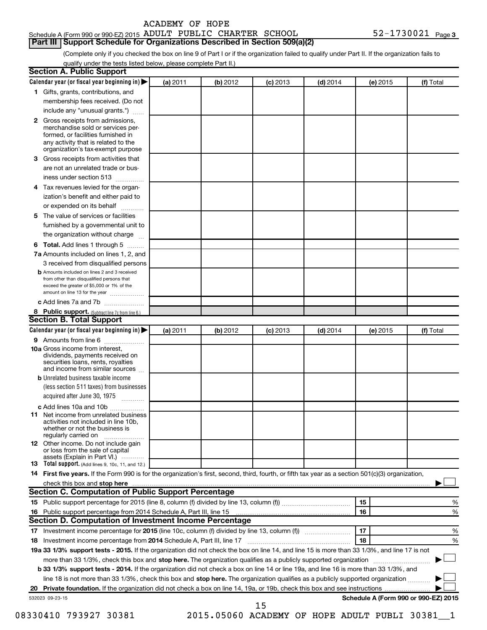| ACADEMY OF HOPE |  |  |
|-----------------|--|--|
|-----------------|--|--|

# Schedule A (Form 990 or 990-EZ) 2015  $\,$  ADULT PUBLIC CHARTER SCHOOL  $\,$  52-1730021  $\,$  Page **Part III Support Schedule for Organizations Described in Section 509(a)(2)**

(Complete only if you checked the box on line 9 of Part I or if the organization failed to qualify under Part II. If the organization fails to qualify under the tests listed below, please complete Part II.)

|                 | Calendar year (or fiscal year beginning in)                                                                                                                                                                                   | (a) 2011 | (b) 2012 | $(c)$ 2013 | $(d)$ 2014 | (e) 2015 | (f) Total                                      |
|-----------------|-------------------------------------------------------------------------------------------------------------------------------------------------------------------------------------------------------------------------------|----------|----------|------------|------------|----------|------------------------------------------------|
|                 | 1 Gifts, grants, contributions, and                                                                                                                                                                                           |          |          |            |            |          |                                                |
|                 | membership fees received. (Do not                                                                                                                                                                                             |          |          |            |            |          |                                                |
|                 | include any "unusual grants.")                                                                                                                                                                                                |          |          |            |            |          |                                                |
|                 | 2 Gross receipts from admissions,                                                                                                                                                                                             |          |          |            |            |          |                                                |
|                 | merchandise sold or services per-                                                                                                                                                                                             |          |          |            |            |          |                                                |
|                 | formed, or facilities furnished in                                                                                                                                                                                            |          |          |            |            |          |                                                |
|                 | any activity that is related to the<br>organization's tax-exempt purpose                                                                                                                                                      |          |          |            |            |          |                                                |
| 3               | Gross receipts from activities that                                                                                                                                                                                           |          |          |            |            |          |                                                |
|                 | are not an unrelated trade or bus-                                                                                                                                                                                            |          |          |            |            |          |                                                |
|                 | iness under section 513                                                                                                                                                                                                       |          |          |            |            |          |                                                |
| 4               | Tax revenues levied for the organ-                                                                                                                                                                                            |          |          |            |            |          |                                                |
|                 | ization's benefit and either paid to                                                                                                                                                                                          |          |          |            |            |          |                                                |
|                 | or expended on its behalf<br>.                                                                                                                                                                                                |          |          |            |            |          |                                                |
| 5               | The value of services or facilities                                                                                                                                                                                           |          |          |            |            |          |                                                |
|                 | furnished by a governmental unit to                                                                                                                                                                                           |          |          |            |            |          |                                                |
|                 | the organization without charge                                                                                                                                                                                               |          |          |            |            |          |                                                |
| 6               | Total. Add lines 1 through 5                                                                                                                                                                                                  |          |          |            |            |          |                                                |
|                 | 7a Amounts included on lines 1, 2, and                                                                                                                                                                                        |          |          |            |            |          |                                                |
|                 | 3 received from disqualified persons                                                                                                                                                                                          |          |          |            |            |          |                                                |
|                 | <b>b</b> Amounts included on lines 2 and 3 received                                                                                                                                                                           |          |          |            |            |          |                                                |
|                 | from other than disqualified persons that                                                                                                                                                                                     |          |          |            |            |          |                                                |
|                 | exceed the greater of \$5,000 or 1% of the                                                                                                                                                                                    |          |          |            |            |          |                                                |
|                 | amount on line 13 for the year                                                                                                                                                                                                |          |          |            |            |          |                                                |
|                 | c Add lines 7a and 7b                                                                                                                                                                                                         |          |          |            |            |          |                                                |
|                 | 8 Public support. (Subtract line 7c from line 6.)<br><b>Section B. Total Support</b>                                                                                                                                          |          |          |            |            |          |                                                |
|                 | Calendar year (or fiscal year beginning in)                                                                                                                                                                                   | (a) 2011 | (b) 2012 |            | $(d)$ 2014 | (e) 2015 | (f) Total                                      |
|                 | 9 Amounts from line 6                                                                                                                                                                                                         |          |          | $(c)$ 2013 |            |          |                                                |
|                 | <b>10a</b> Gross income from interest,                                                                                                                                                                                        |          |          |            |            |          |                                                |
|                 | dividends, payments received on                                                                                                                                                                                               |          |          |            |            |          |                                                |
|                 | securities loans, rents, royalties                                                                                                                                                                                            |          |          |            |            |          |                                                |
|                 | and income from similar sources                                                                                                                                                                                               |          |          |            |            |          |                                                |
|                 | <b>b</b> Unrelated business taxable income                                                                                                                                                                                    |          |          |            |            |          |                                                |
|                 | (less section 511 taxes) from businesses                                                                                                                                                                                      |          |          |            |            |          |                                                |
|                 | acquired after June 30, 1975                                                                                                                                                                                                  |          |          |            |            |          |                                                |
|                 | c Add lines 10a and 10b                                                                                                                                                                                                       |          |          |            |            |          |                                                |
|                 | <b>11</b> Net income from unrelated business<br>activities not included in line 10b.                                                                                                                                          |          |          |            |            |          |                                                |
|                 | whether or not the business is                                                                                                                                                                                                |          |          |            |            |          |                                                |
|                 | regularly carried on                                                                                                                                                                                                          |          |          |            |            |          |                                                |
|                 | 12 Other income. Do not include gain                                                                                                                                                                                          |          |          |            |            |          |                                                |
|                 | or loss from the sale of capital<br>assets (Explain in Part VI.)                                                                                                                                                              |          |          |            |            |          |                                                |
|                 | 13 Total support. (Add lines 9, 10c, 11, and 12.)                                                                                                                                                                             |          |          |            |            |          |                                                |
|                 | 14 First five years. If the Form 990 is for the organization's first, second, third, fourth, or fifth tax year as a section 501(c)(3) organization,                                                                           |          |          |            |            |          |                                                |
|                 | check this box and stop here measurements and the contract of the state of the state of the state of the state of the state of the state of the state of the state of the state of the state of the state of the state of the |          |          |            |            |          |                                                |
|                 | <b>Section C. Computation of Public Support Percentage</b>                                                                                                                                                                    |          |          |            |            |          |                                                |
|                 |                                                                                                                                                                                                                               |          |          |            |            | 15       | %                                              |
| 16              |                                                                                                                                                                                                                               |          |          |            |            | 16       | %                                              |
|                 | Section D. Computation of Investment Income Percentage                                                                                                                                                                        |          |          |            |            |          |                                                |
|                 |                                                                                                                                                                                                                               |          |          |            |            | 17       | %                                              |
| 18              |                                                                                                                                                                                                                               |          |          |            |            | 18       | %                                              |
|                 | 19a 33 1/3% support tests - 2015. If the organization did not check the box on line 14, and line 15 is more than 33 1/3%, and line 17 is not                                                                                  |          |          |            |            |          |                                                |
|                 | more than 33 1/3%, check this box and stop here. The organization qualifies as a publicly supported organization <i>marroummanness</i>                                                                                        |          |          |            |            |          |                                                |
|                 | b 33 1/3% support tests - 2014. If the organization did not check a box on line 14 or line 19a, and line 16 is more than 33 1/3%, and                                                                                         |          |          |            |            |          |                                                |
|                 | line 18 is not more than 33 1/3%, check this box and stop here. The organization qualifies as a publicly supported organization                                                                                               |          |          |            |            |          |                                                |
|                 |                                                                                                                                                                                                                               |          |          |            |            |          |                                                |
| 532023 09-23-15 |                                                                                                                                                                                                                               |          |          |            |            |          | Schedule A (Form 990 or 990-EZ) 2015           |
|                 |                                                                                                                                                                                                                               |          |          | 15         |            |          |                                                |
|                 | 08330410 793927 30381                                                                                                                                                                                                         |          |          |            |            |          | 2015.05060 ACADEMY OF HOPE ADULT PUBLI 30381 1 |
|                 |                                                                                                                                                                                                                               |          |          |            |            |          |                                                |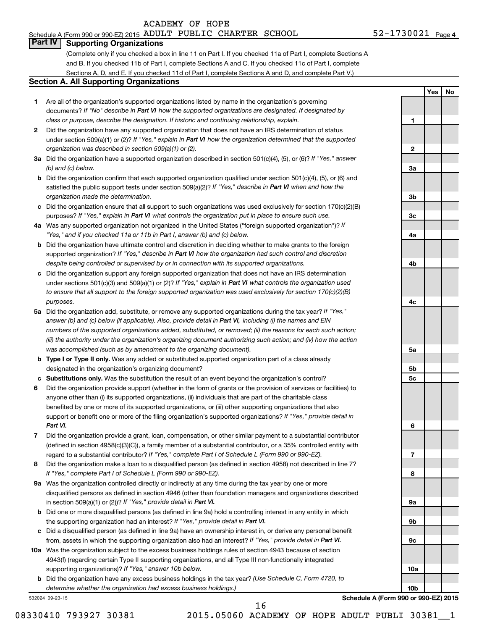# Schedule A (Form 990 or 990-EZ) 2015  $\,$  ADULT PUBLIC CHARTER SCHOOL  $\,$  52-1730021  $\,$  Page

**1**

**2**

**3a**

**3b**

**3c**

**4a**

**4b**

**4c**

**5a**

**5b 5c**

**6**

**7**

**8**

**9a**

**9b**

**9c**

**10a**

**10b**

**Yes No**

# **Part IV Supporting Organizations**

(Complete only if you checked a box in line 11 on Part I. If you checked 11a of Part I, complete Sections A and B. If you checked 11b of Part I, complete Sections A and C. If you checked 11c of Part I, complete Sections A, D, and E. If you checked 11d of Part I, complete Sections A and D, and complete Part V.)

# **Section A. All Supporting Organizations**

- **1** Are all of the organization's supported organizations listed by name in the organization's governing documents? If "No" describe in Part VI how the supported organizations are designated. If designated by *class or purpose, describe the designation. If historic and continuing relationship, explain.*
- **2** Did the organization have any supported organization that does not have an IRS determination of status under section 509(a)(1) or (2)? If "Yes," explain in Part VI how the organization determined that the supported *organization was described in section 509(a)(1) or (2).*
- **3a** Did the organization have a supported organization described in section 501(c)(4), (5), or (6)? If "Yes," answer *(b) and (c) below.*
- **b** Did the organization confirm that each supported organization qualified under section 501(c)(4), (5), or (6) and satisfied the public support tests under section 509(a)(2)? If "Yes," describe in Part VI when and how the *organization made the determination.*
- **c** Did the organization ensure that all support to such organizations was used exclusively for section 170(c)(2)(B) purposes? If "Yes," explain in Part VI what controls the organization put in place to ensure such use.
- **4 a** *If* Was any supported organization not organized in the United States ("foreign supported organization")? *"Yes," and if you checked 11a or 11b in Part I, answer (b) and (c) below.*
- **b** Did the organization have ultimate control and discretion in deciding whether to make grants to the foreign supported organization? If "Yes," describe in Part VI how the organization had such control and discretion *despite being controlled or supervised by or in connection with its supported organizations.*
- **c** Did the organization support any foreign supported organization that does not have an IRS determination under sections 501(c)(3) and 509(a)(1) or (2)? If "Yes," explain in Part VI what controls the organization used *to ensure that all support to the foreign supported organization was used exclusively for section 170(c)(2)(B) purposes.*
- **5a** Did the organization add, substitute, or remove any supported organizations during the tax year? If "Yes," answer (b) and (c) below (if applicable). Also, provide detail in Part VI, including (i) the names and EIN *numbers of the supported organizations added, substituted, or removed; (ii) the reasons for each such action; (iii) the authority under the organization's organizing document authorizing such action; and (iv) how the action was accomplished (such as by amendment to the organizing document).*
- **b Type I or Type II only.** Was any added or substituted supported organization part of a class already designated in the organization's organizing document?
- **c Substitutions only.**  Was the substitution the result of an event beyond the organization's control?
- **6** Did the organization provide support (whether in the form of grants or the provision of services or facilities) to support or benefit one or more of the filing organization's supported organizations? If "Yes," provide detail in anyone other than (i) its supported organizations, (ii) individuals that are part of the charitable class benefited by one or more of its supported organizations, or (iii) other supporting organizations that also *Part VI.*
- **7** Did the organization provide a grant, loan, compensation, or other similar payment to a substantial contributor regard to a substantial contributor? If "Yes," complete Part I of Schedule L (Form 990 or 990-EZ). (defined in section 4958(c)(3)(C)), a family member of a substantial contributor, or a 35% controlled entity with
- **8** Did the organization make a loan to a disqualified person (as defined in section 4958) not described in line 7? *If "Yes," complete Part I of Schedule L (Form 990 or 990-EZ).*
- **9 a** Was the organization controlled directly or indirectly at any time during the tax year by one or more in section 509(a)(1) or (2))? If "Yes," provide detail in Part VI. disqualified persons as defined in section 4946 (other than foundation managers and organizations described
- **b** Did one or more disqualified persons (as defined in line 9a) hold a controlling interest in any entity in which the supporting organization had an interest? If "Yes," provide detail in Part VI.
- **c** Did a disqualified person (as defined in line 9a) have an ownership interest in, or derive any personal benefit from, assets in which the supporting organization also had an interest? If "Yes," provide detail in Part VI.
- **10 a** Was the organization subject to the excess business holdings rules of section 4943 because of section supporting organizations)? If "Yes," answer 10b below. 4943(f) (regarding certain Type II supporting organizations, and all Type III non-functionally integrated
	- **b** Did the organization have any excess business holdings in the tax year? (Use Schedule C, Form 4720, to *determine whether the organization had excess business holdings.)*

532024 09-23-15

**Schedule A (Form 990 or 990-EZ) 2015**

16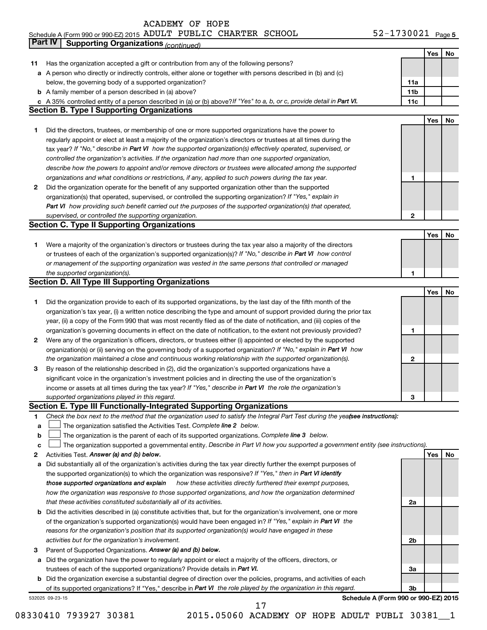### Schedule A (Form 990 or 990-EZ) 2015 ADULT PUBLIC CHARTER SCHOOL 5 Z - I 7 3 U U Z I Page ADULT PUBLIC CHARTER SCHOOL 52-1730021

|             | Part IV<br><b>Supporting Organizations (continued)</b>                                                                          |                 |     |    |
|-------------|---------------------------------------------------------------------------------------------------------------------------------|-----------------|-----|----|
|             |                                                                                                                                 |                 | Yes | No |
| 11          | Has the organization accepted a gift or contribution from any of the following persons?                                         |                 |     |    |
|             | a A person who directly or indirectly controls, either alone or together with persons described in (b) and (c)                  |                 |     |    |
|             | below, the governing body of a supported organization?                                                                          | 11a             |     |    |
|             | <b>b</b> A family member of a person described in (a) above?                                                                    | 11 <sub>b</sub> |     |    |
|             | c A 35% controlled entity of a person described in (a) or (b) above? If "Yes" to a, b, or c, provide detail in Part VI.         | 11c             |     |    |
|             | <b>Section B. Type I Supporting Organizations</b>                                                                               |                 |     |    |
|             |                                                                                                                                 |                 | Yes | No |
| 1           | Did the directors, trustees, or membership of one or more supported organizations have the power to                             |                 |     |    |
|             | regularly appoint or elect at least a majority of the organization's directors or trustees at all times during the              |                 |     |    |
|             | tax year? If "No," describe in Part VI how the supported organization(s) effectively operated, supervised, or                   |                 |     |    |
|             | controlled the organization's activities. If the organization had more than one supported organization,                         |                 |     |    |
|             | describe how the powers to appoint and/or remove directors or trustees were allocated among the supported                       |                 |     |    |
|             |                                                                                                                                 | 1               |     |    |
|             | organizations and what conditions or restrictions, if any, applied to such powers during the tax year.                          |                 |     |    |
| 2           | Did the organization operate for the benefit of any supported organization other than the supported                             |                 |     |    |
|             | organization(s) that operated, supervised, or controlled the supporting organization? If "Yes," explain in                      |                 |     |    |
|             | Part VI how providing such benefit carried out the purposes of the supported organization(s) that operated,                     |                 |     |    |
|             | supervised, or controlled the supporting organization.                                                                          | 2               |     |    |
|             | <b>Section C. Type II Supporting Organizations</b>                                                                              |                 |     |    |
|             |                                                                                                                                 |                 | Yes | No |
| 1           | Were a majority of the organization's directors or trustees during the tax year also a majority of the directors                |                 |     |    |
|             | or trustees of each of the organization's supported organization(s)? If "No," describe in Part VI how control                   |                 |     |    |
|             | or management of the supporting organization was vested in the same persons that controlled or managed                          |                 |     |    |
|             | the supported organization(s).                                                                                                  | 1               |     |    |
|             | <b>Section D. All Type III Supporting Organizations</b>                                                                         |                 |     |    |
|             |                                                                                                                                 |                 | Yes | No |
| 1           | Did the organization provide to each of its supported organizations, by the last day of the fifth month of the                  |                 |     |    |
|             | organization's tax year, (i) a written notice describing the type and amount of support provided during the prior tax           |                 |     |    |
|             | year, (ii) a copy of the Form 990 that was most recently filed as of the date of notification, and (iii) copies of the          |                 |     |    |
|             | organization's governing documents in effect on the date of notification, to the extent not previously provided?                | 1               |     |    |
| 2           | Were any of the organization's officers, directors, or trustees either (i) appointed or elected by the supported                |                 |     |    |
|             | organization(s) or (ii) serving on the governing body of a supported organization? If "No," explain in Part VI how              |                 |     |    |
|             | the organization maintained a close and continuous working relationship with the supported organization(s).                     | 2               |     |    |
| 3           | By reason of the relationship described in (2), did the organization's supported organizations have a                           |                 |     |    |
|             | significant voice in the organization's investment policies and in directing the use of the organization's                      |                 |     |    |
|             | income or assets at all times during the tax year? If "Yes," describe in Part VI the role the organization's                    |                 |     |    |
|             | supported organizations played in this regard.                                                                                  | з               |     |    |
|             | Section E. Type III Functionally-Integrated Supporting Organizations                                                            |                 |     |    |
| 1           | Check the box next to the method that the organization used to satisfy the Integral Part Test during the yeafsee instructions): |                 |     |    |
| a           | The organization satisfied the Activities Test. Complete line 2 below.                                                          |                 |     |    |
| $\mathbf b$ | The organization is the parent of each of its supported organizations. Complete line 3 below.                                   |                 |     |    |
| c           | The organization supported a governmental entity. Describe in Part VI how you supported a government entity (see instructions). |                 |     |    |
| 2           | Activities Test. Answer (a) and (b) below.                                                                                      |                 | Yes | No |
| а           | Did substantially all of the organization's activities during the tax year directly further the exempt purposes of              |                 |     |    |
|             | the supported organization(s) to which the organization was responsive? If "Yes," then in Part VI identify                      |                 |     |    |
|             | how these activities directly furthered their exempt purposes,<br>those supported organizations and explain                     |                 |     |    |
|             | how the organization was responsive to those supported organizations, and how the organization determined                       |                 |     |    |
|             | that these activities constituted substantially all of its activities.                                                          | 2a              |     |    |
|             | b Did the activities described in (a) constitute activities that, but for the organization's involvement, one or more           |                 |     |    |
|             | of the organization's supported organization(s) would have been engaged in? If "Yes," explain in Part VI the                    |                 |     |    |
|             | reasons for the organization's position that its supported organization(s) would have engaged in these                          |                 |     |    |
|             | activities but for the organization's involvement.                                                                              | 2b              |     |    |
| З           | Parent of Supported Organizations. Answer (a) and (b) below.                                                                    |                 |     |    |
| а           | Did the organization have the power to regularly appoint or elect a majority of the officers, directors, or                     |                 |     |    |
|             | trustees of each of the supported organizations? Provide details in Part VI.                                                    | За              |     |    |
|             | <b>b</b> Did the organization exercise a substantial degree of direction over the policies, programs, and activities of each    |                 |     |    |
|             | of its supported organizations? If "Yes," describe in Part VI the role played by the organization in this regard.               | 3b              |     |    |
|             | Schedule A (Form 990 or 990-EZ) 2015<br>532025 09-23-15                                                                         |                 |     |    |

08330410 793927 30381 2015.05060 ACADEMY OF HOPE ADULT PUBLI 30381\_1 17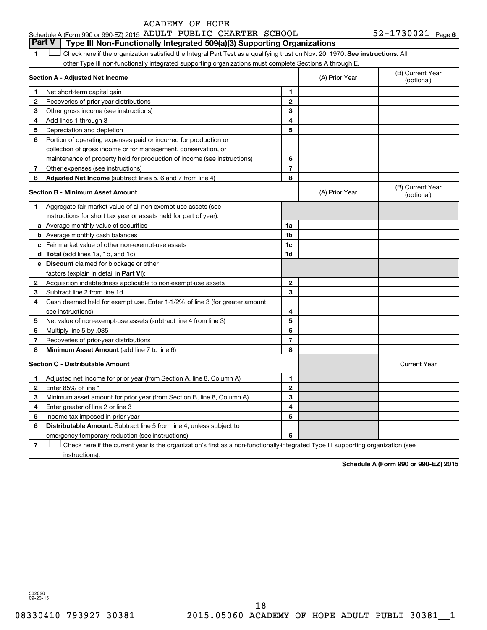|  | Schedule A (Form 990 or 990-EZ) 2015 ADULT PUBLIC CHARTER SCHOOL |  |  |  |  | 52-1730021 $_{Page 6}$ |  |
|--|------------------------------------------------------------------|--|--|--|--|------------------------|--|
|--|------------------------------------------------------------------|--|--|--|--|------------------------|--|

**Part V Type III Non-Functionally Integrated 509(a)(3) Supporting Organizations** 

1 **Letter on Reck here if the organization satisfied the Integral Part Test as a qualifying trust on Nov. 20, 1970. See instructions. All** other Type III non-functionally integrated supporting organizations must complete Sections A through E.

|   | Section A - Adjusted Net Income                                              | (A) Prior Year | (B) Current Year<br>(optional) |                                |
|---|------------------------------------------------------------------------------|----------------|--------------------------------|--------------------------------|
| 1 | Net short-term capital gain                                                  | 1              |                                |                                |
| 2 | Recoveries of prior-year distributions                                       | $\mathbf{2}$   |                                |                                |
| З | Other gross income (see instructions)                                        | 3              |                                |                                |
| 4 | Add lines 1 through 3                                                        | 4              |                                |                                |
| 5 | Depreciation and depletion                                                   | 5              |                                |                                |
| 6 | Portion of operating expenses paid or incurred for production or             |                |                                |                                |
|   | collection of gross income or for management, conservation, or               |                |                                |                                |
|   | maintenance of property held for production of income (see instructions)     | 6              |                                |                                |
| 7 | Other expenses (see instructions)                                            | $\overline{7}$ |                                |                                |
| 8 | Adjusted Net Income (subtract lines 5, 6 and 7 from line 4)                  | 8              |                                |                                |
|   | <b>Section B - Minimum Asset Amount</b>                                      |                | (A) Prior Year                 | (B) Current Year<br>(optional) |
| 1 | Aggregate fair market value of all non-exempt-use assets (see                |                |                                |                                |
|   | instructions for short tax year or assets held for part of year):            |                |                                |                                |
|   | a Average monthly value of securities                                        | 1a             |                                |                                |
|   | <b>b</b> Average monthly cash balances                                       | 1b             |                                |                                |
|   | <b>c</b> Fair market value of other non-exempt-use assets                    | 1c             |                                |                                |
|   | d Total (add lines 1a, 1b, and 1c)                                           | 1 <sub>d</sub> |                                |                                |
|   | e Discount claimed for blockage or other                                     |                |                                |                                |
|   | factors (explain in detail in Part VI):                                      |                |                                |                                |
| 2 | Acquisition indebtedness applicable to non-exempt-use assets                 | $\mathbf{2}$   |                                |                                |
| З | Subtract line 2 from line 1d                                                 | 3              |                                |                                |
| 4 | Cash deemed held for exempt use. Enter 1-1/2% of line 3 (for greater amount, |                |                                |                                |
|   | see instructions).                                                           | 4              |                                |                                |
| 5 | Net value of non-exempt-use assets (subtract line 4 from line 3)             | 5              |                                |                                |
| 6 | Multiply line 5 by .035                                                      | 6              |                                |                                |
| 7 | Recoveries of prior-year distributions                                       | $\overline{7}$ |                                |                                |
| 8 | Minimum Asset Amount (add line 7 to line 6)                                  | 8              |                                |                                |
|   | <b>Section C - Distributable Amount</b>                                      |                |                                | <b>Current Year</b>            |
| 1 | Adjusted net income for prior year (from Section A, line 8, Column A)        | 1              |                                |                                |
| 2 | Enter 85% of line 1                                                          | $\mathbf{2}$   |                                |                                |
| З | Minimum asset amount for prior year (from Section B, line 8, Column A)       | 3              |                                |                                |
| 4 | Enter greater of line 2 or line 3                                            | 4              |                                |                                |
| 5 | Income tax imposed in prior year                                             | 5              |                                |                                |
| 6 | <b>Distributable Amount.</b> Subtract line 5 from line 4, unless subject to  |                |                                |                                |
|   | emergency temporary reduction (see instructions)                             | 6              |                                |                                |
|   |                                                                              |                |                                |                                |

**7** Check here if the current year is the organization's first as a non-functionally-integrated Type III supporting organization (see † instructions).

**Schedule A (Form 990 or 990-EZ) 2015**

532026 09-23-15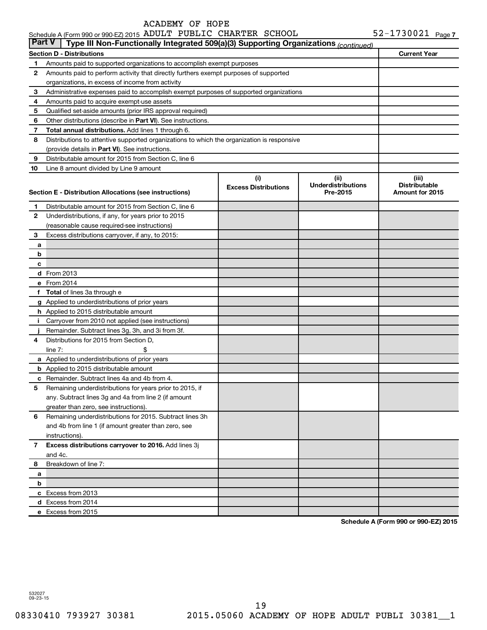|               | Schedule A (Form 990 or 990-EZ) 2015 ADULT PUBLIC CHARTER SCHOOL                           |                                    |                                               | $52 - 1730021$ Page 7                            |
|---------------|--------------------------------------------------------------------------------------------|------------------------------------|-----------------------------------------------|--------------------------------------------------|
| <b>Part V</b> | Type III Non-Functionally Integrated 509(a)(3) Supporting Organizations (continued)        |                                    |                                               |                                                  |
|               | <b>Section D - Distributions</b>                                                           |                                    |                                               | <b>Current Year</b>                              |
| 1             | Amounts paid to supported organizations to accomplish exempt purposes                      |                                    |                                               |                                                  |
| 2             | Amounts paid to perform activity that directly furthers exempt purposes of supported       |                                    |                                               |                                                  |
|               | organizations, in excess of income from activity                                           |                                    |                                               |                                                  |
| 3             | Administrative expenses paid to accomplish exempt purposes of supported organizations      |                                    |                                               |                                                  |
| 4             | Amounts paid to acquire exempt-use assets                                                  |                                    |                                               |                                                  |
| 5             | Qualified set-aside amounts (prior IRS approval required)                                  |                                    |                                               |                                                  |
| 6             | Other distributions (describe in <b>Part VI</b> ). See instructions.                       |                                    |                                               |                                                  |
| 7             | Total annual distributions. Add lines 1 through 6.                                         |                                    |                                               |                                                  |
| 8             | Distributions to attentive supported organizations to which the organization is responsive |                                    |                                               |                                                  |
|               | (provide details in Part VI). See instructions.                                            |                                    |                                               |                                                  |
| 9             | Distributable amount for 2015 from Section C, line 6                                       |                                    |                                               |                                                  |
| 10            | Line 8 amount divided by Line 9 amount                                                     |                                    |                                               |                                                  |
|               | Section E - Distribution Allocations (see instructions)                                    | (i)<br><b>Excess Distributions</b> | (ii)<br><b>Underdistributions</b><br>Pre-2015 | (iii)<br><b>Distributable</b><br>Amount for 2015 |
| 1             | Distributable amount for 2015 from Section C, line 6                                       |                                    |                                               |                                                  |
| $\mathbf{2}$  | Underdistributions, if any, for years prior to 2015                                        |                                    |                                               |                                                  |
|               | (reasonable cause required-see instructions)                                               |                                    |                                               |                                                  |
| 3             | Excess distributions carryover, if any, to 2015:                                           |                                    |                                               |                                                  |
| a             |                                                                                            |                                    |                                               |                                                  |
| b             |                                                                                            |                                    |                                               |                                                  |
| c             |                                                                                            |                                    |                                               |                                                  |
|               | <b>d</b> From 2013                                                                         |                                    |                                               |                                                  |
|               | e From 2014                                                                                |                                    |                                               |                                                  |
| f             | <b>Total</b> of lines 3a through e                                                         |                                    |                                               |                                                  |
|               | g Applied to underdistributions of prior years                                             |                                    |                                               |                                                  |
|               | <b>h</b> Applied to 2015 distributable amount                                              |                                    |                                               |                                                  |
| Ť.            | Carryover from 2010 not applied (see instructions)                                         |                                    |                                               |                                                  |
|               | Remainder. Subtract lines 3g, 3h, and 3i from 3f.                                          |                                    |                                               |                                                  |
| 4             | Distributions for 2015 from Section D,                                                     |                                    |                                               |                                                  |
|               | line $7:$                                                                                  |                                    |                                               |                                                  |
|               | a Applied to underdistributions of prior years                                             |                                    |                                               |                                                  |
|               | <b>b</b> Applied to 2015 distributable amount                                              |                                    |                                               |                                                  |
|               | <b>c</b> Remainder. Subtract lines 4a and 4b from 4.                                       |                                    |                                               |                                                  |
|               | 5 Remaining underdistributions for years prior to 2015, if                                 |                                    |                                               |                                                  |
|               | any. Subtract lines 3g and 4a from line 2 (if amount                                       |                                    |                                               |                                                  |
|               | greater than zero, see instructions).                                                      |                                    |                                               |                                                  |
| 6             | Remaining underdistributions for 2015. Subtract lines 3h                                   |                                    |                                               |                                                  |
|               | and 4b from line 1 (if amount greater than zero, see                                       |                                    |                                               |                                                  |
|               | instructions).                                                                             |                                    |                                               |                                                  |
| 7             | Excess distributions carryover to 2016. Add lines 3j                                       |                                    |                                               |                                                  |
|               | and 4c.                                                                                    |                                    |                                               |                                                  |
| 8             | Breakdown of line 7:                                                                       |                                    |                                               |                                                  |
| а             |                                                                                            |                                    |                                               |                                                  |
| b             |                                                                                            |                                    |                                               |                                                  |
|               | c Excess from 2013                                                                         |                                    |                                               |                                                  |
|               | d Excess from 2014                                                                         |                                    |                                               |                                                  |
|               | e Excess from 2015                                                                         |                                    |                                               |                                                  |
|               |                                                                                            |                                    |                                               |                                                  |

**Schedule A (Form 990 or 990-EZ) 2015**

532027 09-23-15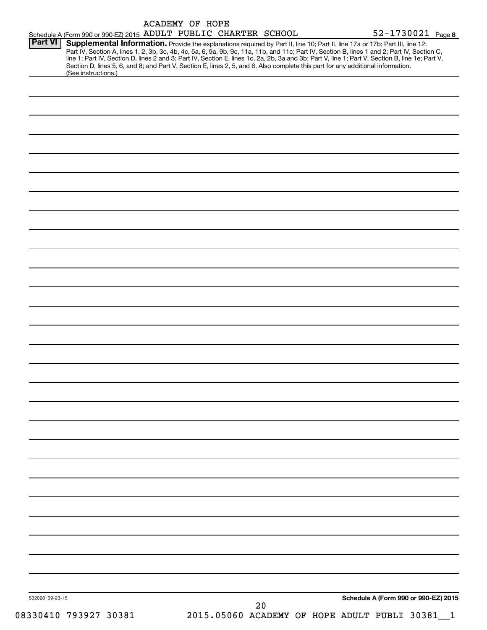|                 | Schedule A (Form 990 or 990-EZ) 2015 ADULT PUBLIC CHARTER SCHOOL                                                                                                                                                                                                                                                                                                                                                                                                                                                                                                                           | <b>ACADEMY OF HOPE</b> |  |  | 52-1730021 Page 8 |                                      |
|-----------------|--------------------------------------------------------------------------------------------------------------------------------------------------------------------------------------------------------------------------------------------------------------------------------------------------------------------------------------------------------------------------------------------------------------------------------------------------------------------------------------------------------------------------------------------------------------------------------------------|------------------------|--|--|-------------------|--------------------------------------|
| <b>Part VI</b>  | Supplemental Information. Provide the explanations required by Part II, line 10; Part II, line 17a or 17b; Part III, line 12;<br>Part IV, Section A, lines 1, 2, 3b, 3c, 4b, 4c, 5a, 6, 9a, 9b, 9c, 11a, 11b, and 11c; Part IV, Section B, lines 1 and 2; Part IV, Section C,<br>line 1; Part IV, Section D, lines 2 and 3; Part IV, Section E, lines 1c, 2a, 2b, 3a and 3b; Part V, line 1; Part V, Section B, line 1e; Part V,<br>Section D, lines 5, 6, and 8; and Part V, Section E, lines 2, 5, and 6. Also complete this part for any additional information.<br>(See instructions.) |                        |  |  |                   |                                      |
|                 |                                                                                                                                                                                                                                                                                                                                                                                                                                                                                                                                                                                            |                        |  |  |                   |                                      |
|                 |                                                                                                                                                                                                                                                                                                                                                                                                                                                                                                                                                                                            |                        |  |  |                   |                                      |
|                 |                                                                                                                                                                                                                                                                                                                                                                                                                                                                                                                                                                                            |                        |  |  |                   |                                      |
|                 |                                                                                                                                                                                                                                                                                                                                                                                                                                                                                                                                                                                            |                        |  |  |                   |                                      |
|                 |                                                                                                                                                                                                                                                                                                                                                                                                                                                                                                                                                                                            |                        |  |  |                   |                                      |
|                 |                                                                                                                                                                                                                                                                                                                                                                                                                                                                                                                                                                                            |                        |  |  |                   |                                      |
|                 |                                                                                                                                                                                                                                                                                                                                                                                                                                                                                                                                                                                            |                        |  |  |                   |                                      |
|                 |                                                                                                                                                                                                                                                                                                                                                                                                                                                                                                                                                                                            |                        |  |  |                   |                                      |
|                 |                                                                                                                                                                                                                                                                                                                                                                                                                                                                                                                                                                                            |                        |  |  |                   |                                      |
|                 |                                                                                                                                                                                                                                                                                                                                                                                                                                                                                                                                                                                            |                        |  |  |                   |                                      |
|                 |                                                                                                                                                                                                                                                                                                                                                                                                                                                                                                                                                                                            |                        |  |  |                   |                                      |
|                 |                                                                                                                                                                                                                                                                                                                                                                                                                                                                                                                                                                                            |                        |  |  |                   |                                      |
|                 |                                                                                                                                                                                                                                                                                                                                                                                                                                                                                                                                                                                            |                        |  |  |                   |                                      |
|                 |                                                                                                                                                                                                                                                                                                                                                                                                                                                                                                                                                                                            |                        |  |  |                   |                                      |
|                 |                                                                                                                                                                                                                                                                                                                                                                                                                                                                                                                                                                                            |                        |  |  |                   |                                      |
|                 |                                                                                                                                                                                                                                                                                                                                                                                                                                                                                                                                                                                            |                        |  |  |                   |                                      |
|                 |                                                                                                                                                                                                                                                                                                                                                                                                                                                                                                                                                                                            |                        |  |  |                   |                                      |
|                 |                                                                                                                                                                                                                                                                                                                                                                                                                                                                                                                                                                                            |                        |  |  |                   |                                      |
|                 |                                                                                                                                                                                                                                                                                                                                                                                                                                                                                                                                                                                            |                        |  |  |                   |                                      |
|                 |                                                                                                                                                                                                                                                                                                                                                                                                                                                                                                                                                                                            |                        |  |  |                   |                                      |
|                 |                                                                                                                                                                                                                                                                                                                                                                                                                                                                                                                                                                                            |                        |  |  |                   |                                      |
|                 |                                                                                                                                                                                                                                                                                                                                                                                                                                                                                                                                                                                            |                        |  |  |                   |                                      |
|                 |                                                                                                                                                                                                                                                                                                                                                                                                                                                                                                                                                                                            |                        |  |  |                   |                                      |
|                 |                                                                                                                                                                                                                                                                                                                                                                                                                                                                                                                                                                                            |                        |  |  |                   |                                      |
|                 |                                                                                                                                                                                                                                                                                                                                                                                                                                                                                                                                                                                            |                        |  |  |                   |                                      |
| 532028 09-23-15 |                                                                                                                                                                                                                                                                                                                                                                                                                                                                                                                                                                                            |                        |  |  |                   | Schedule A (Form 990 or 990-EZ) 2015 |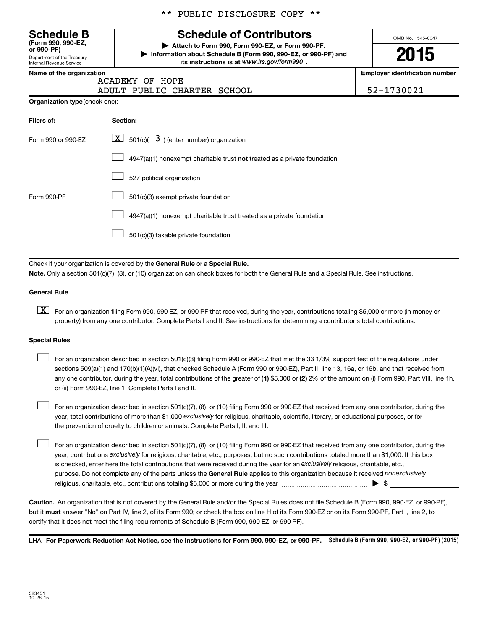Department of the Treasury **(Form 990, 990-EZ,**

Internal Revenue Service

# \*\* PUBLIC DISCLOSURE COPY \*\*

# **Schedule B Schedule of Contributors**

**or 990-PF) | Attach to Form 990, Form 990-EZ, or Form 990-PF. | Information about Schedule B (Form 990, 990-EZ, or 990-PF) and** its instructions is at www.irs.gov/form990.

OMB No. 1545-0047

**2015**

**Name of the organization Employer identification number**

|  | ιις νι τιις νι γαιτικατινιτ |              |  |
|--|-----------------------------|--------------|--|
|  |                             | <b>ACADE</b> |  |

# MY OF HOPE: ADULT PUBLIC CHARTER SCHOOL | 52-1730021

**Organization type** (check one):

| Filers of:         | Section:                                                                  |
|--------------------|---------------------------------------------------------------------------|
| Form 990 or 990-EZ | $\boxed{\mathbf{X}}$ 501(c)( 3) (enter number) organization               |
|                    | 4947(a)(1) nonexempt charitable trust not treated as a private foundation |
|                    | 527 political organization                                                |
| Form 990-PF        | 501(c)(3) exempt private foundation                                       |
|                    | 4947(a)(1) nonexempt charitable trust treated as a private foundation     |
|                    | 501(c)(3) taxable private foundation                                      |

Check if your organization is covered by the General Rule or a Special Rule.

**Note.**  Only a section 501(c)(7), (8), or (10) organization can check boxes for both the General Rule and a Special Rule. See instructions.

# **General Rule**

**K** For an organization filing Form 990, 990-EZ, or 990-PF that received, during the year, contributions totaling \$5,000 or more (in money or property) from any one contributor. Complete Parts I and II. See instructions for determining a contributor's total contributions.

# **Special Rules**

 $\Box$ 

any one contributor, during the year, total contributions of the greater of **(1)** \$5,000 or **(2)** 2% of the amount on (i) Form 990, Part VIII, line 1h, For an organization described in section 501(c)(3) filing Form 990 or 990-EZ that met the 33 1/3% support test of the regulations under sections 509(a)(1) and 170(b)(1)(A)(vi), that checked Schedule A (Form 990 or 990-EZ), Part II, line 13, 16a, or 16b, and that received from or (ii) Form 990-EZ, line 1. Complete Parts I and II.  $\Box$ 

year, total contributions of more than \$1,000 *exclusively* for religious, charitable, scientific, literary, or educational purposes, or for For an organization described in section 501(c)(7), (8), or (10) filing Form 990 or 990-EZ that received from any one contributor, during the the prevention of cruelty to children or animals. Complete Parts I, II, and III.  $\Box$ 

purpose. Do not complete any of the parts unless the General Rule applies to this organization because it received nonexclusively year, contributions exclusively for religious, charitable, etc., purposes, but no such contributions totaled more than \$1,000. If this box is checked, enter here the total contributions that were received during the year for an exclusively religious, charitable, etc., For an organization described in section 501(c)(7), (8), or (10) filing Form 990 or 990-EZ that received from any one contributor, during the religious, charitable, etc., contributions totaling \$5,000 or more during the year  $\ldots$  $\ldots$  $\ldots$  $\ldots$  $\ldots$  $\ldots$ 

**Caution.** An organization that is not covered by the General Rule and/or the Special Rules does not file Schedule B (Form 990, 990-EZ, or 990-PF),  **must** but it answer "No" on Part IV, line 2, of its Form 990; or check the box on line H of its Form 990-EZ or on its Form 990-PF, Part I, line 2, to certify that it does not meet the filing requirements of Schedule B (Form 990, 990-EZ, or 990-PF).

LHA For Paperwork Reduction Act Notice, see the Instructions for Form 990, 990-EZ, or 990-PF. Schedule B (Form 990, 990-EZ, or 990-PF) (2015)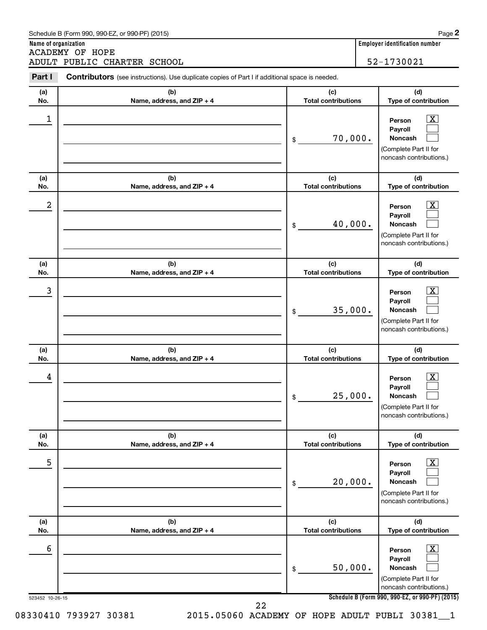| ADULT PUBLIC CHARTER SCHOOL |                                                                                                       | 52-1730021 |                                   |                                                                                                                  |
|-----------------------------|-------------------------------------------------------------------------------------------------------|------------|-----------------------------------|------------------------------------------------------------------------------------------------------------------|
| Part I                      | <b>Contributors</b> (see instructions). Use duplicate copies of Part I if additional space is needed. |            |                                   |                                                                                                                  |
| (a)<br>No.                  | (b)<br>Name, address, and ZIP + 4                                                                     |            | (c)<br><b>Total contributions</b> | (d)<br>Type of contribution                                                                                      |
| 1                           |                                                                                                       | \$         | 70,000.                           | $\overline{\text{X}}$<br>Person<br>Payroll<br><b>Noncash</b><br>(Complete Part II for<br>noncash contributions.) |
| (a)<br>No.                  | (b)<br>Name, address, and ZIP + 4                                                                     |            | (c)<br><b>Total contributions</b> | (d)<br>Type of contribution                                                                                      |
| 2                           |                                                                                                       | \$         | 40,000.                           | $\overline{\text{X}}$<br>Person<br>Payroll<br><b>Noncash</b><br>(Complete Part II for<br>noncash contributions.) |
| (a)<br>No.                  | (b)<br>Name, address, and ZIP + 4                                                                     |            | (c)<br><b>Total contributions</b> | (d)<br>Type of contribution                                                                                      |
| 3                           |                                                                                                       | \$         | 35,000.                           | $\overline{\text{X}}$<br>Person<br>Payroll<br><b>Noncash</b><br>(Complete Part II for<br>noncash contributions.) |
| (a)<br>No.                  | (b)<br>Name, address, and ZIP + 4                                                                     |            | (c)<br><b>Total contributions</b> | (d)<br>Type of contribution                                                                                      |
| 4                           |                                                                                                       | \$         | 25,000.                           | $\overline{\text{X}}$<br>Person<br>Payroll<br>Noncash<br>(Complete Part II for<br>noncash contributions.)        |
| (a)<br>No.                  | (b)<br>Name, address, and ZIP + 4                                                                     |            | (c)<br><b>Total contributions</b> | (d)<br>Type of contribution                                                                                      |
| 5                           |                                                                                                       | \$         | 20,000.                           | $\overline{\text{X}}$<br>Person<br>Payroll<br>Noncash<br>(Complete Part II for<br>noncash contributions.)        |
| (a)<br>No.                  | (b)<br>Name, address, and ZIP + 4                                                                     |            | (c)<br><b>Total contributions</b> | (d)<br>Type of contribution                                                                                      |
| 6                           |                                                                                                       | \$         | 50,000.                           | $\overline{\text{X}}$<br>Person<br>Payroll<br>Noncash<br>(Complete Part II for<br>noncash contributions.)        |

**2**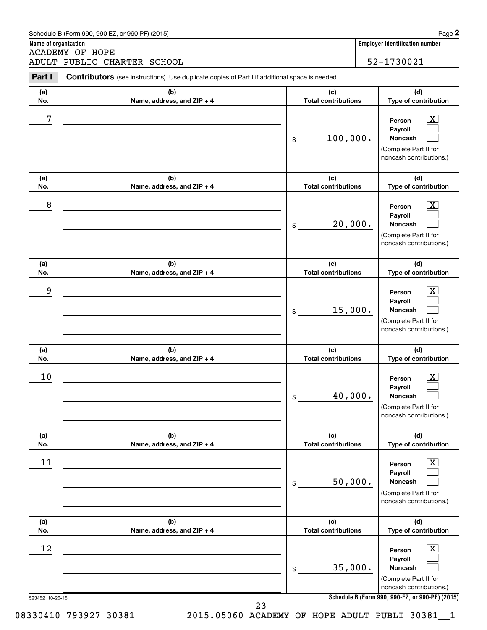|            | ADULT PUBLIC CHARTER SCHOOL                                                                    |    |                                   | 52-1730021                                                                                                       |  |
|------------|------------------------------------------------------------------------------------------------|----|-----------------------------------|------------------------------------------------------------------------------------------------------------------|--|
| Part I     | Contributors (see instructions). Use duplicate copies of Part I if additional space is needed. |    |                                   |                                                                                                                  |  |
| (a)<br>No. | (b)<br>Name, address, and ZIP + 4                                                              |    | (c)<br><b>Total contributions</b> |                                                                                                                  |  |
| 7          |                                                                                                | \$ | 100,000.                          | <u>x</u><br>Person<br>Payroll<br><b>Noncash</b><br>(Complete Part II for<br>noncash contributions.)              |  |
| (a)<br>No. | (b)<br>Name, address, and ZIP + 4                                                              |    | (c)<br><b>Total contributions</b> | (d)<br>Type of contribution                                                                                      |  |
| 8          |                                                                                                | \$ | 20,000.                           | $\overline{\text{X}}$<br>Person<br>Payroll<br><b>Noncash</b><br>(Complete Part II for<br>noncash contributions.) |  |
| (a)<br>No. | (b)<br>Name, address, and ZIP + 4                                                              |    | (c)<br><b>Total contributions</b> | (d)<br>Type of contribution                                                                                      |  |
| 9          |                                                                                                | \$ | 15,000.                           | $\overline{\text{X}}$<br>Person<br>Payroll<br><b>Noncash</b><br>(Complete Part II for<br>noncash contributions.) |  |
| (a)<br>No. | (b)<br>Name, address, and ZIP + 4                                                              |    | (c)<br><b>Total contributions</b> | (d)<br>Type of contribution                                                                                      |  |
| 10         |                                                                                                | \$ | 40,000.                           | $\overline{\text{X}}$<br>Person<br>Payroll<br>Noncash<br>(Complete Part II for<br>noncash contributions.)        |  |
| (a)<br>No. | (b)<br>Name, address, and ZIP + 4                                                              |    | (c)<br><b>Total contributions</b> | (d)<br>Type of contribution                                                                                      |  |
| 11         |                                                                                                | \$ | 50,000.                           | $\overline{\text{X}}$<br>Person<br>Payroll<br>Noncash<br>(Complete Part II for<br>noncash contributions.)        |  |
| (a)<br>No. | (b)<br>Name, address, and ZIP + 4                                                              |    | (c)<br><b>Total contributions</b> | (d)<br>Type of contribution                                                                                      |  |
| 12         |                                                                                                | \$ | 35,000.                           | $\overline{\text{X}}$<br>Person<br>Payroll<br>Noncash<br>(Complete Part II for<br>noncash contributions.)        |  |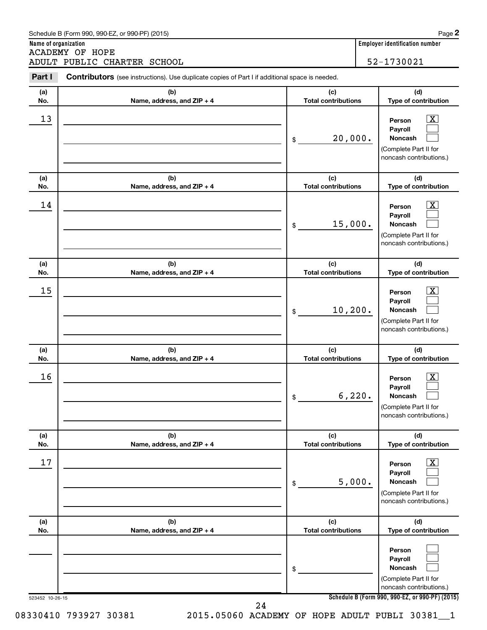|            | <b>ACADEMY OF HOPE</b><br>ADULT PUBLIC CHARTER SCHOOL                                          |                                   | 52-1730021                                                                                                         |
|------------|------------------------------------------------------------------------------------------------|-----------------------------------|--------------------------------------------------------------------------------------------------------------------|
| Part I     | Contributors (see instructions). Use duplicate copies of Part I if additional space is needed. |                                   |                                                                                                                    |
| (a)<br>No. | (b)<br>Name, address, and ZIP + 4                                                              | (c)<br><b>Total contributions</b> | (d)<br>Type of contribution                                                                                        |
| 13         |                                                                                                | 20,000.<br>\$                     | X<br>Person<br>Payroll<br><b>Noncash</b><br>(Complete Part II for<br>noncash contributions.)                       |
| (a)<br>No. | (b)<br>Name, address, and ZIP + 4                                                              | (c)<br><b>Total contributions</b> | (d)<br>Type of contribution                                                                                        |
| 14         |                                                                                                | 15,000.<br>\$                     | $\overline{\mathbf{X}}$<br>Person<br>Payroll<br><b>Noncash</b><br>(Complete Part II for<br>noncash contributions.) |
| (a)<br>No. | (b)<br>Name, address, and ZIP + 4                                                              | (c)<br><b>Total contributions</b> | (d)<br>Type of contribution                                                                                        |
| 15         |                                                                                                | 10, 200.<br>\$                    | X<br>Person<br>Payroll<br><b>Noncash</b><br>(Complete Part II for<br>noncash contributions.)                       |
| (a)<br>No. | (b)<br>Name, address, and ZIP + 4                                                              | (c)<br><b>Total contributions</b> | (d)<br>Type of contribution                                                                                        |
| 16         |                                                                                                | 6, 220.<br>\$                     | $\overline{\mathbf{X}}$<br>Person<br>Payroll<br>Noncash<br>(Complete Part II for<br>noncash contributions.)        |
| (a)<br>No. | (b)<br>Name, address, and ZIP + 4                                                              | (c)<br><b>Total contributions</b> | (d)<br>Type of contribution                                                                                        |
| 17         |                                                                                                | 5,000.<br>\$                      | $\overline{\mathbf{X}}$<br>Person<br>Payroll<br>Noncash<br>(Complete Part II for<br>noncash contributions.)        |
| (a)<br>No. | (b)<br>Name, address, and ZIP + 4                                                              | (c)<br><b>Total contributions</b> | (d)<br>Type of contribution                                                                                        |
|            |                                                                                                | \$                                | Person<br>Payroll<br>Noncash<br>(Complete Part II for<br>noncash contributions.)                                   |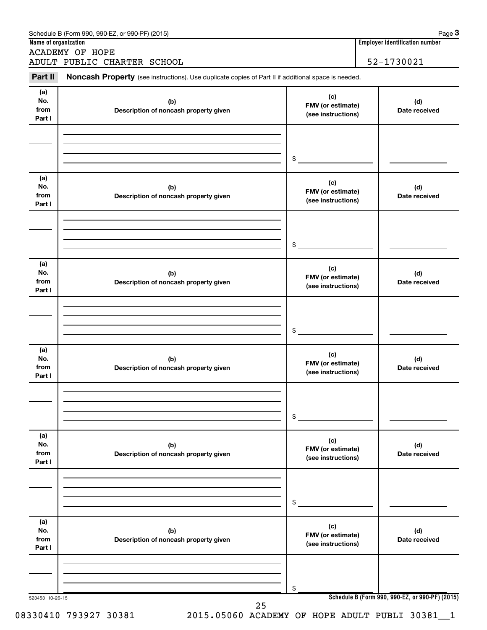|                 | <b>ACADEMY OF HOPE</b><br>ADULT PUBLIC CHARTER SCHOOL                                               |                          | 52-1730021                                      |
|-----------------|-----------------------------------------------------------------------------------------------------|--------------------------|-------------------------------------------------|
| Part II         | Noncash Property (see instructions). Use duplicate copies of Part II if additional space is needed. |                          |                                                 |
| (a)             |                                                                                                     |                          |                                                 |
| No.             | (b)                                                                                                 | (c)<br>FMV (or estimate) | (d)                                             |
| from            | Description of noncash property given                                                               | (see instructions)       | Date received                                   |
| Part I          |                                                                                                     |                          |                                                 |
|                 |                                                                                                     |                          |                                                 |
|                 |                                                                                                     | \$                       |                                                 |
|                 |                                                                                                     |                          |                                                 |
| (a)<br>No.      | (b)                                                                                                 | (c)                      | (d)                                             |
| from            | Description of noncash property given                                                               | FMV (or estimate)        | Date received                                   |
| Part I          |                                                                                                     | (see instructions)       |                                                 |
|                 |                                                                                                     |                          |                                                 |
|                 |                                                                                                     |                          |                                                 |
|                 |                                                                                                     | \$                       |                                                 |
| (a)<br>No.      | (b)                                                                                                 | (c)                      | (d)                                             |
| from            | Description of noncash property given                                                               | FMV (or estimate)        | Date received                                   |
| Part I          |                                                                                                     | (see instructions)       |                                                 |
|                 |                                                                                                     |                          |                                                 |
|                 |                                                                                                     |                          |                                                 |
|                 |                                                                                                     | \$                       |                                                 |
| (a)             |                                                                                                     | (c)                      |                                                 |
| No.<br>from     | (b)<br>Description of noncash property given                                                        | FMV (or estimate)        | (d)<br>Date received                            |
| Part I          |                                                                                                     | (see instructions)       |                                                 |
|                 |                                                                                                     |                          |                                                 |
|                 |                                                                                                     |                          |                                                 |
|                 |                                                                                                     | \$                       |                                                 |
| (a)<br>No.      |                                                                                                     | (c)                      |                                                 |
| from            | (b)<br>Description of noncash property given                                                        | FMV (or estimate)        | (d)<br>Date received                            |
| Part I          |                                                                                                     | (see instructions)       |                                                 |
|                 |                                                                                                     |                          |                                                 |
|                 |                                                                                                     |                          |                                                 |
|                 |                                                                                                     | \$                       |                                                 |
| (a)             |                                                                                                     | (c)                      |                                                 |
| No.<br>from     | (b)                                                                                                 | FMV (or estimate)        | (d)                                             |
| Part I          | Description of noncash property given                                                               | (see instructions)       | Date received                                   |
|                 |                                                                                                     |                          |                                                 |
|                 |                                                                                                     |                          |                                                 |
| 523453 10-26-15 |                                                                                                     | \$                       | Schedule B (Form 990, 990-EZ, or 990-PF) (2015) |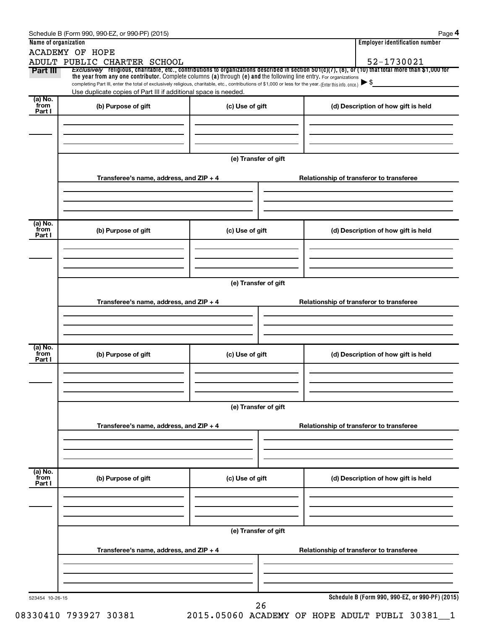|                 | <b>ACADEMY OF HOPE</b>                                                                                                                                                                                                                                                       |                      |                                                 |
|-----------------|------------------------------------------------------------------------------------------------------------------------------------------------------------------------------------------------------------------------------------------------------------------------------|----------------------|-------------------------------------------------|
|                 | ADULT PUBLIC CHARTER SCHOOL                                                                                                                                                                                                                                                  |                      | 52-1730021                                      |
| Part III        | Exclusively religious, charitable, etc., contributions to organizations described in section 501(c)(7), (8), or (10) that total more than \$1,000 for<br>the year from any one contributor. Complete columns (a) through (e) and the following line entry. For organizations |                      |                                                 |
|                 | completing Part III, enter the total of exclusively religious, charitable, etc., contributions of \$1,000 or less for the year. (Enter this info. once.)                                                                                                                     |                      |                                                 |
|                 | Use duplicate copies of Part III if additional space is needed.                                                                                                                                                                                                              |                      |                                                 |
| (a) No.<br>from | (b) Purpose of gift                                                                                                                                                                                                                                                          | (c) Use of gift      | (d) Description of how gift is held             |
| Part I          |                                                                                                                                                                                                                                                                              |                      |                                                 |
|                 |                                                                                                                                                                                                                                                                              |                      |                                                 |
|                 |                                                                                                                                                                                                                                                                              |                      |                                                 |
|                 |                                                                                                                                                                                                                                                                              |                      |                                                 |
|                 |                                                                                                                                                                                                                                                                              | (e) Transfer of gift |                                                 |
|                 |                                                                                                                                                                                                                                                                              |                      |                                                 |
|                 | Transferee's name, address, and ZIP + 4                                                                                                                                                                                                                                      |                      | Relationship of transferor to transferee        |
|                 |                                                                                                                                                                                                                                                                              |                      |                                                 |
|                 |                                                                                                                                                                                                                                                                              |                      |                                                 |
|                 |                                                                                                                                                                                                                                                                              |                      |                                                 |
| (a) No.<br>from |                                                                                                                                                                                                                                                                              |                      |                                                 |
| Part I          | (b) Purpose of gift                                                                                                                                                                                                                                                          | (c) Use of gift      | (d) Description of how gift is held             |
|                 |                                                                                                                                                                                                                                                                              |                      |                                                 |
|                 |                                                                                                                                                                                                                                                                              |                      |                                                 |
|                 |                                                                                                                                                                                                                                                                              |                      |                                                 |
|                 |                                                                                                                                                                                                                                                                              |                      |                                                 |
|                 |                                                                                                                                                                                                                                                                              | (e) Transfer of gift |                                                 |
|                 | Transferee's name, address, and ZIP + 4                                                                                                                                                                                                                                      |                      | Relationship of transferor to transferee        |
|                 |                                                                                                                                                                                                                                                                              |                      |                                                 |
|                 |                                                                                                                                                                                                                                                                              |                      |                                                 |
|                 |                                                                                                                                                                                                                                                                              |                      |                                                 |
|                 |                                                                                                                                                                                                                                                                              |                      |                                                 |
| (a) No.<br>from | (b) Purpose of gift                                                                                                                                                                                                                                                          | (c) Use of gift      | (d) Description of how gift is held             |
| Part I          |                                                                                                                                                                                                                                                                              |                      |                                                 |
|                 |                                                                                                                                                                                                                                                                              |                      |                                                 |
|                 |                                                                                                                                                                                                                                                                              |                      |                                                 |
|                 |                                                                                                                                                                                                                                                                              |                      |                                                 |
|                 |                                                                                                                                                                                                                                                                              | (e) Transfer of gift |                                                 |
|                 |                                                                                                                                                                                                                                                                              |                      |                                                 |
|                 | Transferee's name, address, and $ZIP + 4$                                                                                                                                                                                                                                    |                      | Relationship of transferor to transferee        |
|                 |                                                                                                                                                                                                                                                                              |                      |                                                 |
|                 |                                                                                                                                                                                                                                                                              |                      |                                                 |
|                 |                                                                                                                                                                                                                                                                              |                      |                                                 |
| (a) No.<br>from |                                                                                                                                                                                                                                                                              |                      |                                                 |
| Part I          | (b) Purpose of gift                                                                                                                                                                                                                                                          | (c) Use of gift      | (d) Description of how gift is held             |
|                 |                                                                                                                                                                                                                                                                              |                      |                                                 |
|                 |                                                                                                                                                                                                                                                                              |                      |                                                 |
|                 |                                                                                                                                                                                                                                                                              |                      |                                                 |
|                 |                                                                                                                                                                                                                                                                              | (e) Transfer of gift |                                                 |
|                 |                                                                                                                                                                                                                                                                              |                      |                                                 |
|                 | Transferee's name, address, and ZIP + 4                                                                                                                                                                                                                                      |                      | Relationship of transferor to transferee        |
|                 |                                                                                                                                                                                                                                                                              |                      |                                                 |
|                 |                                                                                                                                                                                                                                                                              |                      |                                                 |
|                 |                                                                                                                                                                                                                                                                              |                      |                                                 |
|                 |                                                                                                                                                                                                                                                                              |                      |                                                 |
| 523454 10-26-15 |                                                                                                                                                                                                                                                                              |                      | Schedule B (Form 990, 990-EZ, or 990-PF) (2015) |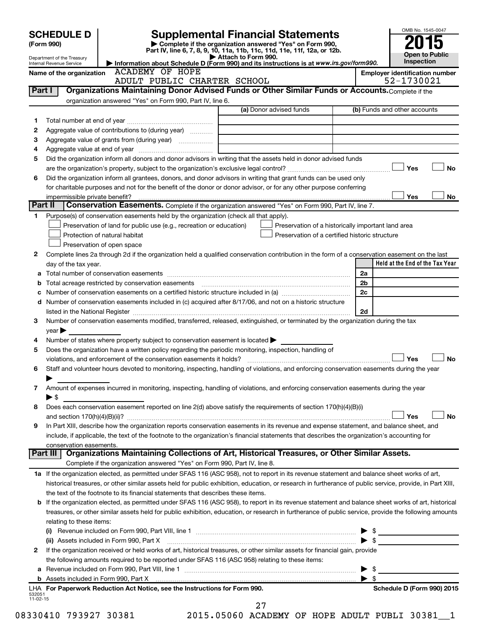|                    | <b>SCHEDULE D</b>              |                                                                                                        | <b>Supplemental Financial Statements</b>                                                                                                                  |                          | OMB No. 1545-0047                   |
|--------------------|--------------------------------|--------------------------------------------------------------------------------------------------------|-----------------------------------------------------------------------------------------------------------------------------------------------------------|--------------------------|-------------------------------------|
|                    | (Form 990)                     |                                                                                                        | Complete if the organization answered "Yes" on Form 990,<br>Part IV, line 6, 7, 8, 9, 10, 11a, 11b, 11c, 11d, 11e, 11f, 12a, or 12b.                      |                          |                                     |
|                    | Department of the Treasury     |                                                                                                        | Attach to Form 990.                                                                                                                                       |                          | <b>Open to Public</b><br>Inspection |
|                    | Internal Revenue Service       | <b>ACADEMY OF HOPE</b>                                                                                 | Information about Schedule D (Form 990) and its instructions is at www.irs.gov/form990.                                                                   |                          |                                     |
|                    | Name of the organization       |                                                                                                        | <b>Employer identification number</b><br>52-1730021                                                                                                       |                          |                                     |
|                    | Part I                         | ADULT PUBLIC CHARTER SCHOOL                                                                            | Organizations Maintaining Donor Advised Funds or Other Similar Funds or Accounts. Complete if the                                                         |                          |                                     |
|                    |                                | organization answered "Yes" on Form 990, Part IV, line 6.                                              |                                                                                                                                                           |                          |                                     |
|                    |                                |                                                                                                        | (a) Donor advised funds                                                                                                                                   |                          | (b) Funds and other accounts        |
| 1                  |                                |                                                                                                        |                                                                                                                                                           |                          |                                     |
| 2                  |                                | Aggregate value of contributions to (during year)                                                      |                                                                                                                                                           |                          |                                     |
| 3                  |                                |                                                                                                        |                                                                                                                                                           |                          |                                     |
| 4                  |                                |                                                                                                        |                                                                                                                                                           |                          |                                     |
| 5                  |                                |                                                                                                        | Did the organization inform all donors and donor advisors in writing that the assets held in donor advised funds                                          |                          |                                     |
|                    |                                |                                                                                                        |                                                                                                                                                           |                          | Yes<br>No                           |
| 6                  |                                |                                                                                                        | Did the organization inform all grantees, donors, and donor advisors in writing that grant funds can be used only                                         |                          |                                     |
|                    |                                |                                                                                                        | for charitable purposes and not for the benefit of the donor or donor advisor, or for any other purpose conferring                                        |                          |                                     |
| Part II            | impermissible private benefit? |                                                                                                        | Conservation Easements. Complete if the organization answered "Yes" on Form 990, Part IV, line 7.                                                         |                          | Yes<br>No                           |
| 1.                 |                                | Purpose(s) of conservation easements held by the organization (check all that apply).                  |                                                                                                                                                           |                          |                                     |
|                    |                                | Preservation of land for public use (e.g., recreation or education)                                    | Preservation of a historically important land area                                                                                                        |                          |                                     |
|                    |                                | Protection of natural habitat                                                                          | Preservation of a certified historic structure                                                                                                            |                          |                                     |
|                    |                                | Preservation of open space                                                                             |                                                                                                                                                           |                          |                                     |
| 2                  |                                |                                                                                                        | Complete lines 2a through 2d if the organization held a qualified conservation contribution in the form of a conservation easement on the last            |                          |                                     |
|                    | day of the tax year.           |                                                                                                        |                                                                                                                                                           |                          | Held at the End of the Tax Year     |
| а                  |                                |                                                                                                        |                                                                                                                                                           | 2a                       |                                     |
| b                  |                                |                                                                                                        |                                                                                                                                                           | 2 <sub>b</sub>           |                                     |
| с                  |                                |                                                                                                        |                                                                                                                                                           | 2c                       |                                     |
| d                  |                                |                                                                                                        | Number of conservation easements included in (c) acquired after 8/17/06, and not on a historic structure                                                  |                          |                                     |
|                    |                                |                                                                                                        |                                                                                                                                                           | 2d                       |                                     |
| З                  |                                |                                                                                                        | Number of conservation easements modified, transferred, released, extinguished, or terminated by the organization during the tax                          |                          |                                     |
|                    | $year \triangleright$          |                                                                                                        |                                                                                                                                                           |                          |                                     |
| 4                  |                                | Number of states where property subject to conservation easement is located $\blacktriangleright$      |                                                                                                                                                           |                          |                                     |
| 5                  |                                | Does the organization have a written policy regarding the periodic monitoring, inspection, handling of |                                                                                                                                                           |                          |                                     |
|                    |                                | violations, and enforcement of the conservation easements it holds?                                    |                                                                                                                                                           |                          | Yes<br><b>No</b>                    |
| 6                  |                                |                                                                                                        | Staff and volunteer hours devoted to monitoring, inspecting, handling of violations, and enforcing conservation easements during the year                 |                          |                                     |
| 7                  |                                |                                                                                                        | Amount of expenses incurred in monitoring, inspecting, handling of violations, and enforcing conservation easements during the year                       |                          |                                     |
|                    | ▶ \$                           |                                                                                                        |                                                                                                                                                           |                          |                                     |
| 8                  |                                |                                                                                                        | Does each conservation easement reported on line 2(d) above satisfy the requirements of section 170(h)(4)(B)(i)                                           |                          |                                     |
|                    |                                |                                                                                                        |                                                                                                                                                           |                          | No<br>Yes                           |
| 9                  |                                |                                                                                                        | In Part XIII, describe how the organization reports conservation easements in its revenue and expense statement, and balance sheet, and                   |                          |                                     |
|                    |                                |                                                                                                        | include, if applicable, the text of the footnote to the organization's financial statements that describes the organization's accounting for              |                          |                                     |
|                    | conservation easements.        |                                                                                                        |                                                                                                                                                           |                          |                                     |
|                    |                                |                                                                                                        | Part III   Organizations Maintaining Collections of Art, Historical Treasures, or Other Similar Assets.                                                   |                          |                                     |
|                    |                                | Complete if the organization answered "Yes" on Form 990, Part IV, line 8.                              |                                                                                                                                                           |                          |                                     |
|                    |                                |                                                                                                        | 1a If the organization elected, as permitted under SFAS 116 (ASC 958), not to report in its revenue statement and balance sheet works of art,             |                          |                                     |
|                    |                                |                                                                                                        | historical treasures, or other similar assets held for public exhibition, education, or research in furtherance of public service, provide, in Part XIII, |                          |                                     |
|                    |                                | the text of the footnote to its financial statements that describes these items.                       |                                                                                                                                                           |                          |                                     |
| b                  |                                |                                                                                                        | If the organization elected, as permitted under SFAS 116 (ASC 958), to report in its revenue statement and balance sheet works of art, historical         |                          |                                     |
|                    |                                |                                                                                                        | treasures, or other similar assets held for public exhibition, education, or research in furtherance of public service, provide the following amounts     |                          |                                     |
|                    | relating to these items:       |                                                                                                        |                                                                                                                                                           |                          |                                     |
|                    |                                |                                                                                                        |                                                                                                                                                           |                          |                                     |
|                    |                                | (ii) Assets included in Form 990, Part X                                                               |                                                                                                                                                           |                          | $\blacktriangleright$ \$            |
| 2                  |                                | the following amounts required to be reported under SFAS 116 (ASC 958) relating to these items:        | If the organization received or held works of art, historical treasures, or other similar assets for financial gain, provide                              |                          |                                     |
| а                  |                                |                                                                                                        |                                                                                                                                                           | $\blacktriangleright$ \$ |                                     |
|                    |                                |                                                                                                        |                                                                                                                                                           | $\blacktriangleright$ s  |                                     |
|                    |                                | LHA For Paperwork Reduction Act Notice, see the Instructions for Form 990.                             |                                                                                                                                                           |                          | Schedule D (Form 990) 2015          |
| 532051<br>11-02-15 |                                |                                                                                                        |                                                                                                                                                           |                          |                                     |
|                    |                                |                                                                                                        | 27                                                                                                                                                        |                          |                                     |

08330410 793927 30381 2015.05060 ACADEMY OF HOPE ADULT PUBLI 30381 1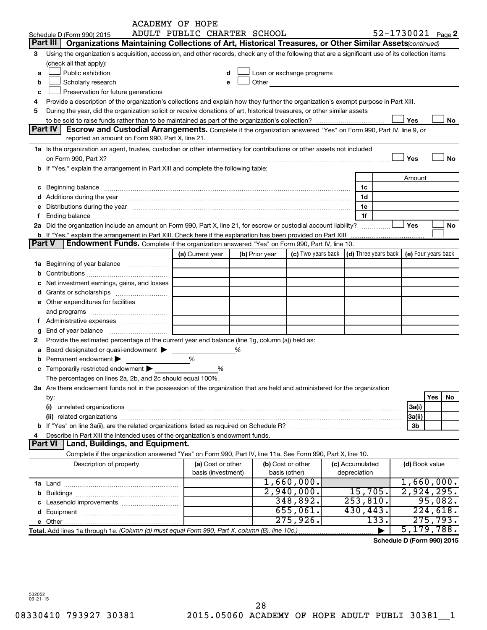|        |                                                                                                                                                                                                                                                                                                                      | <b>ACADEMY OF HOPE</b>      |                |                                                                                                                                                                                                                               |                 |                                                                             |           |
|--------|----------------------------------------------------------------------------------------------------------------------------------------------------------------------------------------------------------------------------------------------------------------------------------------------------------------------|-----------------------------|----------------|-------------------------------------------------------------------------------------------------------------------------------------------------------------------------------------------------------------------------------|-----------------|-----------------------------------------------------------------------------|-----------|
|        | Schedule D (Form 990) 2015                                                                                                                                                                                                                                                                                           | ADULT PUBLIC CHARTER SCHOOL |                |                                                                                                                                                                                                                               |                 | 52-1730021 Page 2                                                           |           |
|        | Part III<br>Organizations Maintaining Collections of Art, Historical Treasures, or Other Similar Assets (continued)                                                                                                                                                                                                  |                             |                |                                                                                                                                                                                                                               |                 |                                                                             |           |
| 3      | Using the organization's acquisition, accession, and other records, check any of the following that are a significant use of its collection items                                                                                                                                                                    |                             |                |                                                                                                                                                                                                                               |                 |                                                                             |           |
|        | (check all that apply):                                                                                                                                                                                                                                                                                              |                             |                |                                                                                                                                                                                                                               |                 |                                                                             |           |
| a      | Public exhibition                                                                                                                                                                                                                                                                                                    | d                           |                | Loan or exchange programs                                                                                                                                                                                                     |                 |                                                                             |           |
| b      | Scholarly research                                                                                                                                                                                                                                                                                                   | e                           |                | Other and the contract of the contract of the contract of the contract of the contract of the contract of the contract of the contract of the contract of the contract of the contract of the contract of the contract of the |                 |                                                                             |           |
| c      | Preservation for future generations                                                                                                                                                                                                                                                                                  |                             |                |                                                                                                                                                                                                                               |                 |                                                                             |           |
| 4      | Provide a description of the organization's collections and explain how they further the organization's exempt purpose in Part XIII.                                                                                                                                                                                 |                             |                |                                                                                                                                                                                                                               |                 |                                                                             |           |
| 5      | During the year, did the organization solicit or receive donations of art, historical treasures, or other similar assets                                                                                                                                                                                             |                             |                |                                                                                                                                                                                                                               |                 |                                                                             |           |
|        |                                                                                                                                                                                                                                                                                                                      |                             |                |                                                                                                                                                                                                                               |                 | Yes                                                                         | No        |
|        | Part IV<br>Escrow and Custodial Arrangements. Complete if the organization answered "Yes" on Form 990, Part IV, line 9, or                                                                                                                                                                                           |                             |                |                                                                                                                                                                                                                               |                 |                                                                             |           |
|        | reported an amount on Form 990, Part X, line 21.                                                                                                                                                                                                                                                                     |                             |                |                                                                                                                                                                                                                               |                 |                                                                             |           |
|        | 1a Is the organization an agent, trustee, custodian or other intermediary for contributions or other assets not included                                                                                                                                                                                             |                             |                |                                                                                                                                                                                                                               |                 |                                                                             |           |
|        |                                                                                                                                                                                                                                                                                                                      |                             |                |                                                                                                                                                                                                                               |                 | Yes                                                                         | <b>No</b> |
|        | on Form 990, Part X? [11] matter contracts and contracts and contracts are contracted as a form of the contract of the contract of the contract of the contract of the contract of the contract of the contract of the contrac<br>b If "Yes," explain the arrangement in Part XIII and complete the following table: |                             |                |                                                                                                                                                                                                                               |                 |                                                                             |           |
|        |                                                                                                                                                                                                                                                                                                                      |                             |                |                                                                                                                                                                                                                               |                 |                                                                             |           |
|        |                                                                                                                                                                                                                                                                                                                      |                             |                |                                                                                                                                                                                                                               |                 | Amount                                                                      |           |
|        |                                                                                                                                                                                                                                                                                                                      |                             |                |                                                                                                                                                                                                                               | 1c              |                                                                             |           |
|        |                                                                                                                                                                                                                                                                                                                      |                             |                |                                                                                                                                                                                                                               | 1d              |                                                                             |           |
|        | e Distributions during the year manufactured and an intervention of the year manufactured by the state of the state of the state of the state of the state of the state of the state of the state of the state of the state of                                                                                       |                             |                |                                                                                                                                                                                                                               | 1e              |                                                                             |           |
|        | Ending balance <i>www.communicality.communicality.communicality.communicality.communicality.communicality.com</i>                                                                                                                                                                                                    |                             |                |                                                                                                                                                                                                                               | 1f              |                                                                             |           |
|        | 2a Did the organization include an amount on Form 990, Part X, line 21, for escrow or custodial account liability?                                                                                                                                                                                                   |                             |                |                                                                                                                                                                                                                               |                 | Yes                                                                         | No        |
|        |                                                                                                                                                                                                                                                                                                                      |                             |                |                                                                                                                                                                                                                               |                 |                                                                             |           |
| Part V | <b>Endowment Funds.</b> Complete if the organization answered "Yes" on Form 990, Part IV, line 10.                                                                                                                                                                                                                   |                             |                |                                                                                                                                                                                                                               |                 |                                                                             |           |
|        |                                                                                                                                                                                                                                                                                                                      | (a) Current year            | (b) Prior year |                                                                                                                                                                                                                               |                 | (c) Two years back $\vert$ (d) Three years back $\vert$ (e) Four years back |           |
|        | 1a Beginning of year balance                                                                                                                                                                                                                                                                                         |                             |                |                                                                                                                                                                                                                               |                 |                                                                             |           |
| b      |                                                                                                                                                                                                                                                                                                                      |                             |                |                                                                                                                                                                                                                               |                 |                                                                             |           |
|        | Net investment earnings, gains, and losses                                                                                                                                                                                                                                                                           |                             |                |                                                                                                                                                                                                                               |                 |                                                                             |           |
|        |                                                                                                                                                                                                                                                                                                                      |                             |                |                                                                                                                                                                                                                               |                 |                                                                             |           |
|        | e Other expenditures for facilities                                                                                                                                                                                                                                                                                  |                             |                |                                                                                                                                                                                                                               |                 |                                                                             |           |
|        | and programs                                                                                                                                                                                                                                                                                                         |                             |                |                                                                                                                                                                                                                               |                 |                                                                             |           |
| Ť.     |                                                                                                                                                                                                                                                                                                                      |                             |                |                                                                                                                                                                                                                               |                 |                                                                             |           |
| g      | End of year balance                                                                                                                                                                                                                                                                                                  |                             |                |                                                                                                                                                                                                                               |                 |                                                                             |           |
| 2      | Provide the estimated percentage of the current year end balance (line 1g, column (a)) held as:                                                                                                                                                                                                                      |                             |                |                                                                                                                                                                                                                               |                 |                                                                             |           |
| а      | Board designated or quasi-endowment >                                                                                                                                                                                                                                                                                |                             |                |                                                                                                                                                                                                                               |                 |                                                                             |           |
| b      | Permanent endowment                                                                                                                                                                                                                                                                                                  | %                           |                |                                                                                                                                                                                                                               |                 |                                                                             |           |
|        | <b>c</b> Temporarily restricted endowment $\blacktriangleright$                                                                                                                                                                                                                                                      | %                           |                |                                                                                                                                                                                                                               |                 |                                                                             |           |
|        | The percentages on lines 2a, 2b, and 2c should equal 100%.                                                                                                                                                                                                                                                           |                             |                |                                                                                                                                                                                                                               |                 |                                                                             |           |
|        | 3a Are there endowment funds not in the possession of the organization that are held and administered for the organization                                                                                                                                                                                           |                             |                |                                                                                                                                                                                                                               |                 |                                                                             |           |
|        | by:                                                                                                                                                                                                                                                                                                                  |                             |                |                                                                                                                                                                                                                               |                 |                                                                             | Yes<br>No |
|        | (i)                                                                                                                                                                                                                                                                                                                  |                             |                |                                                                                                                                                                                                                               |                 | 3a(i)                                                                       |           |
|        |                                                                                                                                                                                                                                                                                                                      |                             |                |                                                                                                                                                                                                                               |                 | 3a(ii)                                                                      |           |
|        |                                                                                                                                                                                                                                                                                                                      |                             |                |                                                                                                                                                                                                                               |                 | 3 <sub>b</sub>                                                              |           |
| 4      | Describe in Part XIII the intended uses of the organization's endowment funds.                                                                                                                                                                                                                                       |                             |                |                                                                                                                                                                                                                               |                 |                                                                             |           |
|        | <b>Part VI</b><br>Land, Buildings, and Equipment.                                                                                                                                                                                                                                                                    |                             |                |                                                                                                                                                                                                                               |                 |                                                                             |           |
|        | Complete if the organization answered "Yes" on Form 990, Part IV, line 11a. See Form 990, Part X, line 10.                                                                                                                                                                                                           |                             |                |                                                                                                                                                                                                                               |                 |                                                                             |           |
|        |                                                                                                                                                                                                                                                                                                                      |                             |                |                                                                                                                                                                                                                               |                 |                                                                             |           |
|        | Description of property                                                                                                                                                                                                                                                                                              | (a) Cost or other           |                | (b) Cost or other                                                                                                                                                                                                             | (c) Accumulated | (d) Book value                                                              |           |
|        |                                                                                                                                                                                                                                                                                                                      | basis (investment)          |                | basis (other)<br>1,660,000.                                                                                                                                                                                                   | depreciation    | 1,660,000.                                                                  |           |
|        |                                                                                                                                                                                                                                                                                                                      |                             |                | 2,940,000.                                                                                                                                                                                                                    | 15,705.         | 2,924,295.                                                                  |           |
|        |                                                                                                                                                                                                                                                                                                                      |                             |                |                                                                                                                                                                                                                               |                 |                                                                             |           |
|        |                                                                                                                                                                                                                                                                                                                      |                             |                | 348,892.                                                                                                                                                                                                                      | 253,810.        |                                                                             | 95,082.   |
|        |                                                                                                                                                                                                                                                                                                                      |                             |                | 655,061.                                                                                                                                                                                                                      | 430,443.        |                                                                             | 224,618.  |
|        |                                                                                                                                                                                                                                                                                                                      |                             |                | 275,926.                                                                                                                                                                                                                      | 133.            |                                                                             | 275, 793. |
|        |                                                                                                                                                                                                                                                                                                                      |                             |                |                                                                                                                                                                                                                               |                 | 5, 179, 788.                                                                |           |

**Schedule D (Form 990) 2015**

532052 09-21-15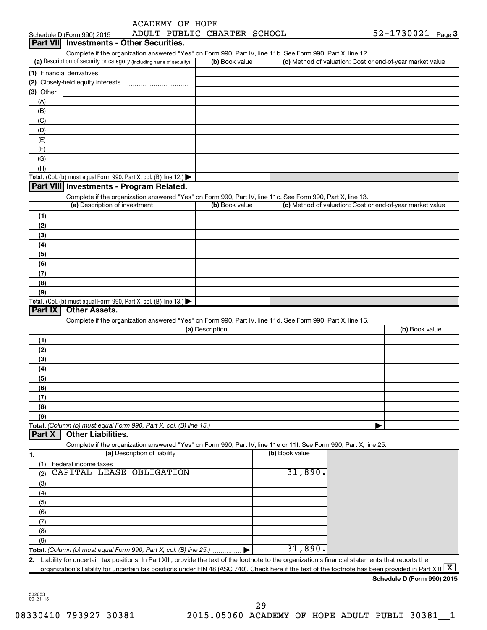| ACADEMY OF HOPE |  |
|-----------------|--|

|                  | Schedule D (Form 990) 2015                                                                                                                                             |                              | ADULT PUBLIC CHARTER SCHOOL |                | $52 - 1730021$ Page 3                                     |  |
|------------------|------------------------------------------------------------------------------------------------------------------------------------------------------------------------|------------------------------|-----------------------------|----------------|-----------------------------------------------------------|--|
| <b>Part VIII</b> | <b>Investments - Other Securities.</b>                                                                                                                                 |                              |                             |                |                                                           |  |
|                  | Complete if the organization answered "Yes" on Form 990, Part IV, line 11b. See Form 990, Part X, line 12.                                                             |                              |                             |                |                                                           |  |
|                  | (a) Description of security or category (including name of security)                                                                                                   |                              | (b) Book value              |                | (c) Method of valuation: Cost or end-of-year market value |  |
|                  | (1) Financial derivatives                                                                                                                                              |                              |                             |                |                                                           |  |
|                  |                                                                                                                                                                        |                              |                             |                |                                                           |  |
| $(3)$ Other      |                                                                                                                                                                        |                              |                             |                |                                                           |  |
| (A)              |                                                                                                                                                                        |                              |                             |                |                                                           |  |
| (B)              |                                                                                                                                                                        |                              |                             |                |                                                           |  |
| (C)              |                                                                                                                                                                        |                              |                             |                |                                                           |  |
| (D)              |                                                                                                                                                                        |                              |                             |                |                                                           |  |
| (E)              |                                                                                                                                                                        |                              |                             |                |                                                           |  |
| (F)              |                                                                                                                                                                        |                              |                             |                |                                                           |  |
| (G)              |                                                                                                                                                                        |                              |                             |                |                                                           |  |
| (H)              |                                                                                                                                                                        |                              |                             |                |                                                           |  |
|                  | Total. (Col. (b) must equal Form 990, Part X, col. (B) line 12.)                                                                                                       |                              |                             |                |                                                           |  |
|                  | Part VIII Investments - Program Related.                                                                                                                               |                              |                             |                |                                                           |  |
|                  | Complete if the organization answered "Yes" on Form 990, Part IV, line 11c. See Form 990, Part X, line 13.                                                             |                              |                             |                |                                                           |  |
|                  | (a) Description of investment                                                                                                                                          |                              | (b) Book value              |                | (c) Method of valuation: Cost or end-of-year market value |  |
| (1)              |                                                                                                                                                                        |                              |                             |                |                                                           |  |
| (2)              |                                                                                                                                                                        |                              |                             |                |                                                           |  |
| (3)              |                                                                                                                                                                        |                              |                             |                |                                                           |  |
| (4)              |                                                                                                                                                                        |                              |                             |                |                                                           |  |
| (5)              |                                                                                                                                                                        |                              |                             |                |                                                           |  |
| (6)              |                                                                                                                                                                        |                              |                             |                |                                                           |  |
| (7)              |                                                                                                                                                                        |                              |                             |                |                                                           |  |
| (8)              |                                                                                                                                                                        |                              |                             |                |                                                           |  |
| (9)              |                                                                                                                                                                        |                              |                             |                |                                                           |  |
|                  | Total. (Col. (b) must equal Form 990, Part X, col. (B) line 13.) $\blacktriangleright$                                                                                 |                              |                             |                |                                                           |  |
| Part IX          | <b>Other Assets.</b>                                                                                                                                                   |                              |                             |                |                                                           |  |
|                  | Complete if the organization answered "Yes" on Form 990, Part IV, line 11d. See Form 990, Part X, line 15.                                                             |                              |                             |                |                                                           |  |
|                  |                                                                                                                                                                        |                              | (a) Description             |                | (b) Book value                                            |  |
| (1)              |                                                                                                                                                                        |                              |                             |                |                                                           |  |
| (2)              |                                                                                                                                                                        |                              |                             |                |                                                           |  |
| (3)              |                                                                                                                                                                        |                              |                             |                |                                                           |  |
| (4)              |                                                                                                                                                                        |                              |                             |                |                                                           |  |
| (5)              |                                                                                                                                                                        |                              |                             |                |                                                           |  |
| (6)              |                                                                                                                                                                        |                              |                             |                |                                                           |  |
| (7)              |                                                                                                                                                                        |                              |                             |                |                                                           |  |
| (8)              |                                                                                                                                                                        |                              |                             |                |                                                           |  |
| (9)              |                                                                                                                                                                        |                              |                             |                |                                                           |  |
|                  | Total. (Column (b) must equal Form 990, Part X, col. (B) line 15.)                                                                                                     |                              |                             |                |                                                           |  |
| Part X           | <b>Other Liabilities.</b>                                                                                                                                              |                              |                             |                |                                                           |  |
|                  | Complete if the organization answered "Yes" on Form 990, Part IV, line 11e or 11f. See Form 990, Part X, line 25.                                                      |                              |                             |                |                                                           |  |
| 1.               |                                                                                                                                                                        | (a) Description of liability |                             | (b) Book value |                                                           |  |
| (1)              | Federal income taxes                                                                                                                                                   |                              |                             |                |                                                           |  |
| (2)              | CAPITAL LEASE OBLIGATION                                                                                                                                               |                              |                             | 31,890.        |                                                           |  |
| (3)              |                                                                                                                                                                        |                              |                             |                |                                                           |  |
| (4)              |                                                                                                                                                                        |                              |                             |                |                                                           |  |
| (5)              |                                                                                                                                                                        |                              |                             |                |                                                           |  |
| (6)              |                                                                                                                                                                        |                              |                             |                |                                                           |  |
| (7)              |                                                                                                                                                                        |                              |                             |                |                                                           |  |
| (8)              |                                                                                                                                                                        |                              |                             |                |                                                           |  |
| (9)              |                                                                                                                                                                        |                              |                             |                |                                                           |  |
|                  | Total. (Column (b) must equal Form 990, Part X, col. (B) line 25.)                                                                                                     |                              |                             | 31,890.        |                                                           |  |
|                  | 2. Liability for uncertain tax positions. In Part XIII, provide the text of the footnote to the organization's financial statements that reports the                   |                              |                             |                |                                                           |  |
|                  | organization's liability for uncertain tax positions under FIN 48 (ASC 740). Check here if the text of the footnote has been provided in Part XIII $\lfloor x \rfloor$ |                              |                             |                |                                                           |  |

| Schedule D (Form 990) 2015 |  |
|----------------------------|--|
|                            |  |

532053 09-21-15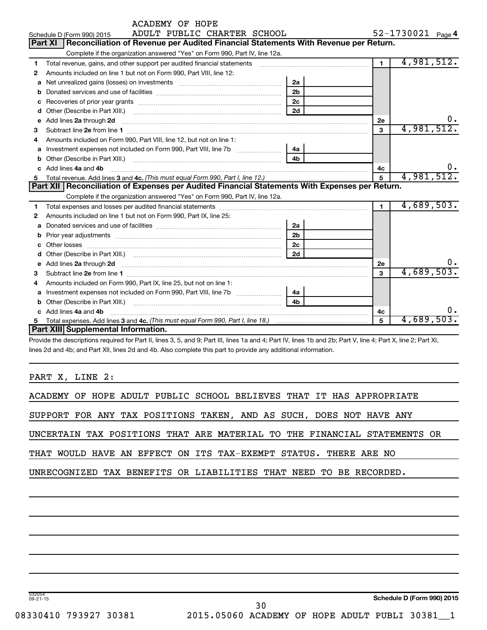|   | ACADEMY OF HOPE                                                                                                                                                                                                                     |                |                   |            |
|---|-------------------------------------------------------------------------------------------------------------------------------------------------------------------------------------------------------------------------------------|----------------|-------------------|------------|
|   | ADULT PUBLIC CHARTER SCHOOL<br>Schedule D (Form 990) 2015                                                                                                                                                                           |                | 52-1730021 Page 4 |            |
|   | Part XI<br>Reconciliation of Revenue per Audited Financial Statements With Revenue per Return.                                                                                                                                      |                |                   |            |
|   | Complete if the organization answered "Yes" on Form 990, Part IV, line 12a.                                                                                                                                                         |                |                   |            |
| 1 | Total revenue, gains, and other support per audited financial statements [111] [11] Total revenue, gains, and other support per audited financial statements                                                                        | $\overline{1}$ | 4,981,512.        |            |
| 2 | Amounts included on line 1 but not on Form 990, Part VIII, line 12:                                                                                                                                                                 |                |                   |            |
| a |                                                                                                                                                                                                                                     | 2a             |                   |            |
| b |                                                                                                                                                                                                                                     | 2 <sub>b</sub> |                   |            |
| c |                                                                                                                                                                                                                                     | 2 <sub>c</sub> |                   |            |
| d |                                                                                                                                                                                                                                     | 2d             |                   |            |
| e | Add lines 2a through 2d                                                                                                                                                                                                             |                | 2е                |            |
| З |                                                                                                                                                                                                                                     |                | 3                 | 4,981,512. |
| 4 | Amounts included on Form 990, Part VIII, line 12, but not on line 1:                                                                                                                                                                |                |                   |            |
| a |                                                                                                                                                                                                                                     | 4a             |                   |            |
| b |                                                                                                                                                                                                                                     | 4b             |                   |            |
| c | Add lines 4a and 4b                                                                                                                                                                                                                 |                | 4c                | 0.         |
|   |                                                                                                                                                                                                                                     |                |                   |            |
| 5 |                                                                                                                                                                                                                                     |                | 5                 | 4,981,512. |
|   | Part XII   Reconciliation of Expenses per Audited Financial Statements With Expenses per Return.                                                                                                                                    |                |                   |            |
|   | Complete if the organization answered "Yes" on Form 990, Part IV, line 12a.                                                                                                                                                         |                |                   |            |
| 1 |                                                                                                                                                                                                                                     |                | $\blacksquare$    | 4,689,503. |
| 2 | Amounts included on line 1 but not on Form 990, Part IX, line 25:                                                                                                                                                                   |                |                   |            |
| a |                                                                                                                                                                                                                                     | 2a             |                   |            |
| b |                                                                                                                                                                                                                                     | 2 <sub>b</sub> |                   |            |
|   |                                                                                                                                                                                                                                     | 2 <sub>c</sub> |                   |            |
|   |                                                                                                                                                                                                                                     | 2d             |                   |            |
| e | Add lines 2a through 2d <b>contained a contained a contained a contained a</b> contained a contact the set of the set of the set of the set of the set of the set of the set of the set of the set of the set of the set of the set |                | <b>2e</b>         |            |
| З |                                                                                                                                                                                                                                     |                | 3                 | 4,689,503. |
| 4 | Amounts included on Form 990, Part IX, line 25, but not on line 1:                                                                                                                                                                  |                |                   |            |
| а |                                                                                                                                                                                                                                     | 4a             |                   |            |
| b |                                                                                                                                                                                                                                     | 4 <sub>h</sub> |                   |            |
|   | Add lines 4a and 4b                                                                                                                                                                                                                 |                | 4c                |            |
|   | Part XIII Supplemental Information.                                                                                                                                                                                                 |                | 5                 | 4,689,503. |

Provide the descriptions required for Part II, lines 3, 5, and 9; Part III, lines 1a and 4; Part IV, lines 1b and 2b; Part V, line 4; Part X, line 2; Part XI, lines 2d and 4b; and Part XII, lines 2d and 4b. Also complete this part to provide any additional information.

PART X, LINE 2:

|  |  |  |  | ACADEMY OF HOPE ADULT PUBLIC SCHOOL BELIEVES THAT IT HAS APPROPRIATE     |  |  |  |  |
|--|--|--|--|--------------------------------------------------------------------------|--|--|--|--|
|  |  |  |  | SUPPORT FOR ANY TAX POSITIONS TAKEN, AND AS SUCH, DOES NOT HAVE ANY      |  |  |  |  |
|  |  |  |  | UNCERTAIN TAX POSITIONS THAT ARE MATERIAL TO THE FINANCIAL STATEMENTS OR |  |  |  |  |
|  |  |  |  | THAT WOULD HAVE AN EFFECT ON ITS TAX-EXEMPT STATUS. THERE ARE NO         |  |  |  |  |
|  |  |  |  | UNRECOGNIZED TAX BENEFITS OR LIABILITIES THAT NEED TO BE RECORDED.       |  |  |  |  |
|  |  |  |  |                                                                          |  |  |  |  |

**Schedule D (Form 990) 2015**

532054 09-21-15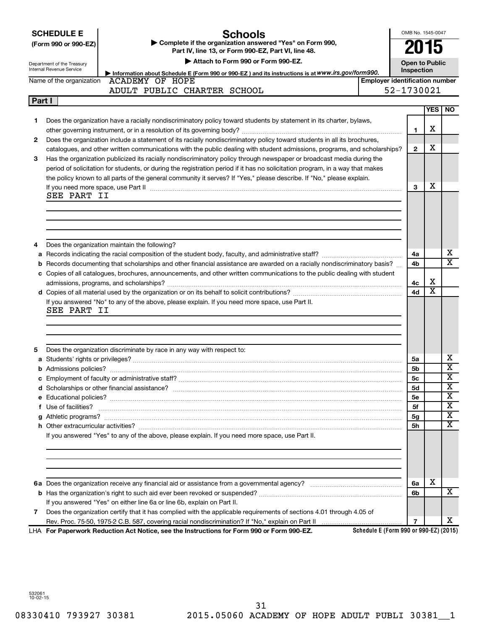|  | <b>SCHEDULE E</b> |  |
|--|-------------------|--|
|  |                   |  |

# **Schools**

**(Form 990 or 990-EZ) | Complete if the organization answered "Yes" on Form 990, Part IV, line 13, or Form 990-EZ, Part VI, line 48.**

OMB No. 1545-0047

**2015**

| Department of the Treasury<br>Internal Revenue Service | Attach to Form 990 or Form 990-EZ.<br><b>Open to Public</b><br>Inspection<br>Information about Schedule E (Form 990 or 990-EZ) and its instructions is at WWW.irs.gov/form990.                                                     |                                       |              |     |                         |  |  |  |
|--------------------------------------------------------|------------------------------------------------------------------------------------------------------------------------------------------------------------------------------------------------------------------------------------|---------------------------------------|--------------|-----|-------------------------|--|--|--|
|                                                        | Name of the organization ACADEMY OF HOPE                                                                                                                                                                                           | <b>Employer identification number</b> |              |     |                         |  |  |  |
|                                                        | ADULT PUBLIC CHARTER SCHOOL                                                                                                                                                                                                        |                                       | 52-1730021   |     |                         |  |  |  |
| Part I                                                 |                                                                                                                                                                                                                                    |                                       |              |     |                         |  |  |  |
|                                                        |                                                                                                                                                                                                                                    |                                       |              | YES | <b>NO</b>               |  |  |  |
| 1                                                      | Does the organization have a racially nondiscriminatory policy toward students by statement in its charter, bylaws,                                                                                                                |                                       |              |     |                         |  |  |  |
|                                                        |                                                                                                                                                                                                                                    |                                       | 1            | х   |                         |  |  |  |
| 2                                                      | Does the organization include a statement of its racially nondiscriminatory policy toward students in all its brochures,                                                                                                           |                                       |              |     |                         |  |  |  |
|                                                        | catalogues, and other written communications with the public dealing with student admissions, programs, and scholarships?                                                                                                          |                                       | $\mathbf{2}$ | х   |                         |  |  |  |
| 3                                                      | Has the organization publicized its racially nondiscriminatory policy through newspaper or broadcast media during the                                                                                                              |                                       |              |     |                         |  |  |  |
|                                                        | period of solicitation for students, or during the registration period if it has no solicitation program, in a way that makes                                                                                                      |                                       |              |     |                         |  |  |  |
|                                                        | the policy known to all parts of the general community it serves? If "Yes," please describe. If "No," please explain.                                                                                                              |                                       |              |     |                         |  |  |  |
|                                                        | If you need more space, use Part II manufactured and continuum contract to the Part II manufacture and the manufacture of the manufacture of the space, use Part II                                                                |                                       | 3            | х   |                         |  |  |  |
| SEE PART II                                            |                                                                                                                                                                                                                                    |                                       |              |     |                         |  |  |  |
|                                                        |                                                                                                                                                                                                                                    |                                       |              |     |                         |  |  |  |
|                                                        |                                                                                                                                                                                                                                    |                                       |              |     |                         |  |  |  |
|                                                        |                                                                                                                                                                                                                                    |                                       |              |     |                         |  |  |  |
|                                                        |                                                                                                                                                                                                                                    |                                       |              |     |                         |  |  |  |
| 4                                                      | Does the organization maintain the following?                                                                                                                                                                                      |                                       |              |     | х                       |  |  |  |
| a                                                      |                                                                                                                                                                                                                                    |                                       | 4a           |     | $\overline{\text{x}}$   |  |  |  |
|                                                        | <b>b</b> Records documenting that scholarships and other financial assistance are awarded on a racially nondiscriminatory basis?                                                                                                   |                                       | 4b           |     |                         |  |  |  |
|                                                        | c Copies of all catalogues, brochures, announcements, and other written communications to the public dealing with student                                                                                                          |                                       |              | х   |                         |  |  |  |
|                                                        |                                                                                                                                                                                                                                    |                                       | 4с<br>4d     | x   |                         |  |  |  |
|                                                        | If you answered "No" to any of the above, please explain. If you need more space, use Part II.                                                                                                                                     |                                       |              |     |                         |  |  |  |
| SEE PART II                                            |                                                                                                                                                                                                                                    |                                       |              |     |                         |  |  |  |
|                                                        |                                                                                                                                                                                                                                    |                                       |              |     |                         |  |  |  |
|                                                        |                                                                                                                                                                                                                                    |                                       |              |     |                         |  |  |  |
|                                                        |                                                                                                                                                                                                                                    |                                       |              |     |                         |  |  |  |
| 5                                                      | Does the organization discriminate by race in any way with respect to:                                                                                                                                                             |                                       |              |     |                         |  |  |  |
|                                                        |                                                                                                                                                                                                                                    |                                       | 5a           |     | х                       |  |  |  |
|                                                        |                                                                                                                                                                                                                                    |                                       | 5b           |     | X                       |  |  |  |
|                                                        |                                                                                                                                                                                                                                    |                                       | 5с           |     | х                       |  |  |  |
|                                                        |                                                                                                                                                                                                                                    |                                       | <b>5d</b>    |     | х                       |  |  |  |
|                                                        |                                                                                                                                                                                                                                    |                                       | 5e           |     | $\overline{\textbf{x}}$ |  |  |  |
|                                                        | f Use of facilities? <b>www.communities.</b> We can be a series of the contract of the contract of the contract of the contract of the contract of the contract of the contract of the contract of the contract of the contract of |                                       | 5f           |     | $\overline{\mathbf{x}}$ |  |  |  |
|                                                        |                                                                                                                                                                                                                                    |                                       | 5g           |     | $\overline{\texttt{x}}$ |  |  |  |
|                                                        |                                                                                                                                                                                                                                    |                                       | 5h           |     | X                       |  |  |  |
|                                                        | If you answered "Yes" to any of the above, please explain. If you need more space, use Part II.                                                                                                                                    |                                       |              |     |                         |  |  |  |
|                                                        |                                                                                                                                                                                                                                    |                                       |              |     |                         |  |  |  |
|                                                        |                                                                                                                                                                                                                                    |                                       |              |     |                         |  |  |  |
|                                                        |                                                                                                                                                                                                                                    |                                       |              |     |                         |  |  |  |
|                                                        |                                                                                                                                                                                                                                    |                                       |              |     |                         |  |  |  |
|                                                        |                                                                                                                                                                                                                                    |                                       | 6a           | х   |                         |  |  |  |
|                                                        |                                                                                                                                                                                                                                    |                                       | 6b           |     | x                       |  |  |  |
|                                                        |                                                                                                                                                                                                                                    |                                       |              |     |                         |  |  |  |

If you answered "Yes" on either line 6a or line 6b, explain on Part II.

**7** Does the organization certify that it has complied with the applicable requirements of sections 4.01 through 4.05 of Rev. Proc. 75-50, 1975-2 C.B. 587, covering racial nondiscrimination? If "No," explain on Part II

**For Paperwork Reduction Act Notice, see the Instructions for Form 990 or Form 990-EZ.** LHA

**Schedule E (Form 990 or 990-EZ) (2015)**

**7**

X

532061 10-02-15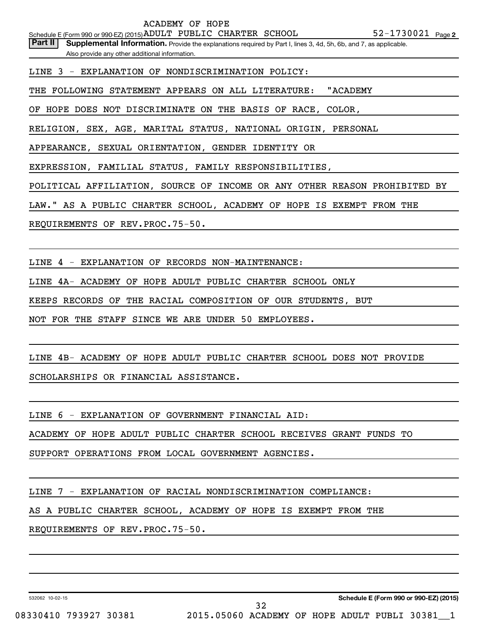Part II | Supplemental Information. Provide the explanations required by Part I, lines 3, 4d, 5h, 6b, and 7, as applicable. Also provide any other additional information.

LINE 3 - EXPLANATION OF NONDISCRIMINATION POLICY:

THE FOLLOWING STATEMENT APPEARS ON ALL LITERATURE: "ACADEMY

OF HOPE DOES NOT DISCRIMINATE ON THE BASIS OF RACE, COLOR,

RELIGION, SEX, AGE, MARITAL STATUS, NATIONAL ORIGIN, PERSONAL

APPEARANCE, SEXUAL ORIENTATION, GENDER IDENTITY OR

EXPRESSION, FAMILIAL STATUS, FAMILY RESPONSIBILITIES,

POLITICAL AFFILIATION, SOURCE OF INCOME OR ANY OTHER REASON PROHIBITED BY

LAW." AS A PUBLIC CHARTER SCHOOL, ACADEMY OF HOPE IS EXEMPT FROM THE

REQUIREMENTS OF REV.PROC.75-50.

LINE 4 - EXPLANATION OF RECORDS NON-MAINTENANCE:

LINE 4A- ACADEMY OF HOPE ADULT PUBLIC CHARTER SCHOOL ONLY

KEEPS RECORDS OF THE RACIAL COMPOSITION OF OUR STUDENTS, BUT

NOT FOR THE STAFF SINCE WE ARE UNDER 50 EMPLOYEES.

LINE 4B- ACADEMY OF HOPE ADULT PUBLIC CHARTER SCHOOL DOES NOT PROVIDE

SCHOLARSHIPS OR FINANCIAL ASSISTANCE.

LINE 6 - EXPLANATION OF GOVERNMENT FINANCIAL AID:

ACADEMY OF HOPE ADULT PUBLIC CHARTER SCHOOL RECEIVES GRANT FUNDS TO

SUPPORT OPERATIONS FROM LOCAL GOVERNMENT AGENCIES.

LINE 7 - EXPLANATION OF RACIAL NONDISCRIMINATION COMPLIANCE:

AS A PUBLIC CHARTER SCHOOL, ACADEMY OF HOPE IS EXEMPT FROM THE

REQUIREMENTS OF REV.PROC.75-50.

532062 10-02-15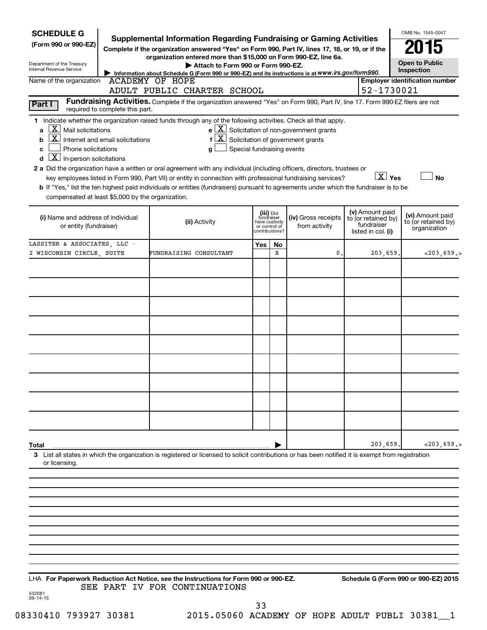| <b>SCHEDULE G</b>                                                                                                                                            |                                                                                                                                                                                                                                                                                                                                                                                                                                                                                                            |                            |                                                           |                                                                                                                        |                                                                            | OMB No. 1545-0047                                       |
|--------------------------------------------------------------------------------------------------------------------------------------------------------------|------------------------------------------------------------------------------------------------------------------------------------------------------------------------------------------------------------------------------------------------------------------------------------------------------------------------------------------------------------------------------------------------------------------------------------------------------------------------------------------------------------|----------------------------|-----------------------------------------------------------|------------------------------------------------------------------------------------------------------------------------|----------------------------------------------------------------------------|---------------------------------------------------------|
| (Form 990 or 990-EZ)                                                                                                                                         | <b>Supplemental Information Regarding Fundraising or Gaming Activities</b><br>Complete if the organization answered "Yes" on Form 990, Part IV, lines 17, 18, or 19, or if the                                                                                                                                                                                                                                                                                                                             |                            |                                                           |                                                                                                                        |                                                                            | 2015                                                    |
|                                                                                                                                                              | organization entered more than \$15,000 on Form 990-EZ, line 6a.                                                                                                                                                                                                                                                                                                                                                                                                                                           |                            |                                                           |                                                                                                                        |                                                                            | <b>Open to Public</b>                                   |
| Department of the Treasury<br>Internal Revenue Service                                                                                                       | Attach to Form 990 or Form 990-EZ.<br>Information about Schedule G (Form 990 or 990-EZ) and its instructions is at WWW.irs.gov/form990.                                                                                                                                                                                                                                                                                                                                                                    |                            |                                                           |                                                                                                                        |                                                                            | Inspection                                              |
| Name of the organization                                                                                                                                     | <b>ACADEMY OF HOPE</b>                                                                                                                                                                                                                                                                                                                                                                                                                                                                                     |                            |                                                           |                                                                                                                        |                                                                            | <b>Employer identification number</b>                   |
|                                                                                                                                                              | ADULT PUBLIC CHARTER SCHOOL                                                                                                                                                                                                                                                                                                                                                                                                                                                                                |                            |                                                           |                                                                                                                        | 52-1730021                                                                 |                                                         |
| Part I<br>required to complete this part.                                                                                                                    | Fundraising Activities. Complete if the organization answered "Yes" on Form 990, Part IV, line 17. Form 990-EZ filers are not                                                                                                                                                                                                                                                                                                                                                                              |                            |                                                           |                                                                                                                        |                                                                            |                                                         |
| $X$ Mail solicitations<br>a<br>X  <br>Internet and email solicitations<br>b<br>Phone solicitations<br>C<br>$\boxed{\mathbf{X}}$ In-person solicitations<br>d | 1 Indicate whether the organization raised funds through any of the following activities. Check all that apply.<br>g<br>2 a Did the organization have a written or oral agreement with any individual (including officers, directors, trustees or<br>key employees listed in Form 990, Part VII) or entity in connection with professional fundraising services?<br>b If "Yes," list the ten highest paid individuals or entities (fundraisers) pursuant to agreements under which the fundraiser is to be | Special fundraising events |                                                           | $e$ $\boxed{X}$ Solicitation of non-government grants<br>$f\left[\frac{X}{X}\right]$ Solicitation of government grants | $\boxed{\text{X}}$ Yes                                                     | <b>No</b>                                               |
| compensated at least \$5,000 by the organization.                                                                                                            |                                                                                                                                                                                                                                                                                                                                                                                                                                                                                                            |                            |                                                           |                                                                                                                        |                                                                            |                                                         |
| (i) Name and address of individual<br>or entity (fundraiser)                                                                                                 | (ii) Activity                                                                                                                                                                                                                                                                                                                                                                                                                                                                                              | or control of              | (iii) Did<br>fundraiser<br>have custody<br>contributions? | (iv) Gross receipts<br>from activity                                                                                   | (v) Amount paid<br>to (or retained by)<br>fundraiser<br>listed in col. (i) | (vi) Amount paid<br>to (or retained by)<br>organization |
| LASSITER & ASSOCIATES, LLC -                                                                                                                                 |                                                                                                                                                                                                                                                                                                                                                                                                                                                                                                            | Yes                        | No                                                        |                                                                                                                        |                                                                            |                                                         |
| 2 WISCONSIN CIRCLE, SUITE                                                                                                                                    | FUNDRAISING CONSULTANT                                                                                                                                                                                                                                                                                                                                                                                                                                                                                     |                            | X                                                         | $\mathbf{0}$ .                                                                                                         | 203,659.                                                                   | $<$ 203, 659. >                                         |
|                                                                                                                                                              |                                                                                                                                                                                                                                                                                                                                                                                                                                                                                                            |                            |                                                           |                                                                                                                        |                                                                            |                                                         |
|                                                                                                                                                              |                                                                                                                                                                                                                                                                                                                                                                                                                                                                                                            |                            |                                                           |                                                                                                                        |                                                                            |                                                         |
|                                                                                                                                                              |                                                                                                                                                                                                                                                                                                                                                                                                                                                                                                            |                            |                                                           |                                                                                                                        |                                                                            |                                                         |
|                                                                                                                                                              |                                                                                                                                                                                                                                                                                                                                                                                                                                                                                                            |                            |                                                           |                                                                                                                        |                                                                            |                                                         |
|                                                                                                                                                              |                                                                                                                                                                                                                                                                                                                                                                                                                                                                                                            |                            |                                                           |                                                                                                                        |                                                                            |                                                         |
|                                                                                                                                                              |                                                                                                                                                                                                                                                                                                                                                                                                                                                                                                            |                            |                                                           |                                                                                                                        |                                                                            |                                                         |
|                                                                                                                                                              |                                                                                                                                                                                                                                                                                                                                                                                                                                                                                                            |                            |                                                           |                                                                                                                        |                                                                            |                                                         |
|                                                                                                                                                              |                                                                                                                                                                                                                                                                                                                                                                                                                                                                                                            |                            |                                                           |                                                                                                                        |                                                                            |                                                         |
|                                                                                                                                                              |                                                                                                                                                                                                                                                                                                                                                                                                                                                                                                            |                            |                                                           |                                                                                                                        |                                                                            |                                                         |
|                                                                                                                                                              |                                                                                                                                                                                                                                                                                                                                                                                                                                                                                                            |                            |                                                           |                                                                                                                        |                                                                            |                                                         |
|                                                                                                                                                              |                                                                                                                                                                                                                                                                                                                                                                                                                                                                                                            |                            |                                                           |                                                                                                                        |                                                                            |                                                         |
|                                                                                                                                                              |                                                                                                                                                                                                                                                                                                                                                                                                                                                                                                            |                            |                                                           |                                                                                                                        |                                                                            |                                                         |
|                                                                                                                                                              |                                                                                                                                                                                                                                                                                                                                                                                                                                                                                                            |                            |                                                           |                                                                                                                        |                                                                            |                                                         |
| Total                                                                                                                                                        |                                                                                                                                                                                                                                                                                                                                                                                                                                                                                                            |                            |                                                           |                                                                                                                        | 203,659.                                                                   | $<$ 203,659.>                                           |
| or licensing.                                                                                                                                                | 3 List all states in which the organization is registered or licensed to solicit contributions or has been notified it is exempt from registration                                                                                                                                                                                                                                                                                                                                                         |                            |                                                           |                                                                                                                        |                                                                            |                                                         |
|                                                                                                                                                              |                                                                                                                                                                                                                                                                                                                                                                                                                                                                                                            |                            |                                                           |                                                                                                                        |                                                                            |                                                         |
|                                                                                                                                                              |                                                                                                                                                                                                                                                                                                                                                                                                                                                                                                            |                            |                                                           |                                                                                                                        |                                                                            |                                                         |
|                                                                                                                                                              |                                                                                                                                                                                                                                                                                                                                                                                                                                                                                                            |                            |                                                           |                                                                                                                        |                                                                            |                                                         |
|                                                                                                                                                              |                                                                                                                                                                                                                                                                                                                                                                                                                                                                                                            |                            |                                                           |                                                                                                                        |                                                                            |                                                         |
|                                                                                                                                                              |                                                                                                                                                                                                                                                                                                                                                                                                                                                                                                            |                            |                                                           |                                                                                                                        |                                                                            |                                                         |
|                                                                                                                                                              |                                                                                                                                                                                                                                                                                                                                                                                                                                                                                                            |                            |                                                           |                                                                                                                        |                                                                            |                                                         |
|                                                                                                                                                              |                                                                                                                                                                                                                                                                                                                                                                                                                                                                                                            |                            |                                                           |                                                                                                                        |                                                                            |                                                         |
|                                                                                                                                                              |                                                                                                                                                                                                                                                                                                                                                                                                                                                                                                            |                            |                                                           |                                                                                                                        |                                                                            |                                                         |
| LHA For Paperwork Reduction Act Notice, see the Instructions for Form 990 or 990-EZ.                                                                         |                                                                                                                                                                                                                                                                                                                                                                                                                                                                                                            |                            |                                                           |                                                                                                                        |                                                                            | Schedule G (Form 990 or 990-EZ) 2015                    |
| 532081<br>09-14-15                                                                                                                                           | SEE PART IV FOR CONTINUATIONS                                                                                                                                                                                                                                                                                                                                                                                                                                                                              |                            |                                                           |                                                                                                                        |                                                                            |                                                         |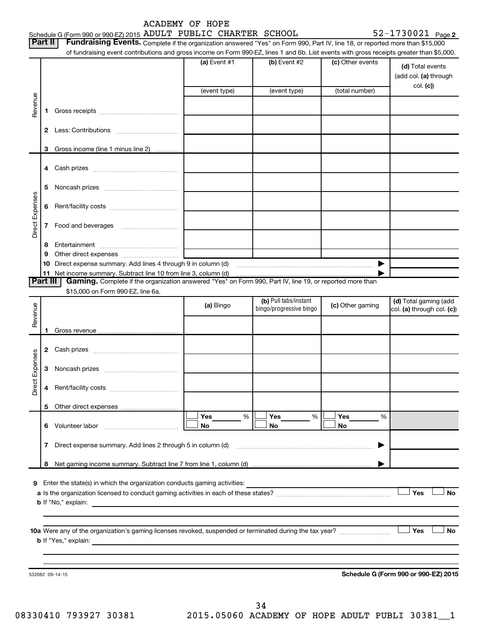| ACADEMY OF HOPE |  |
|-----------------|--|
|-----------------|--|

|                 |                | Schedule G (Form 990 or 990-EZ) 2015 ADULT PUBLIC CHARTER SCHOOL                                                                                                                                                                                                           |                |                                                                    |                  | $52 - 1730021$ Page 2                     |
|-----------------|----------------|----------------------------------------------------------------------------------------------------------------------------------------------------------------------------------------------------------------------------------------------------------------------------|----------------|--------------------------------------------------------------------|------------------|-------------------------------------------|
|                 | Part II        | Fundraising Events. Complete if the organization answered "Yes" on Form 990, Part IV, line 18, or reported more than \$15,000<br>of fundraising event contributions and gross income on Form 990-EZ, lines 1 and 6b. List events with gross receipts greater than \$5,000. |                |                                                                    |                  |                                           |
|                 |                |                                                                                                                                                                                                                                                                            | (a) Event #1   | (b) Event #2                                                       | (c) Other events | (d) Total events<br>(add col. (a) through |
|                 |                |                                                                                                                                                                                                                                                                            | (event type)   | (event type)                                                       | (total number)   | col. (c)                                  |
| Revenue         | 1.             |                                                                                                                                                                                                                                                                            |                |                                                                    |                  |                                           |
|                 | $\mathbf{2}$   |                                                                                                                                                                                                                                                                            |                |                                                                    |                  |                                           |
|                 | 3              | Gross income (line 1 minus line 2)                                                                                                                                                                                                                                         |                |                                                                    |                  |                                           |
|                 |                |                                                                                                                                                                                                                                                                            |                |                                                                    |                  |                                           |
|                 |                |                                                                                                                                                                                                                                                                            |                |                                                                    |                  |                                           |
|                 | 5              |                                                                                                                                                                                                                                                                            |                |                                                                    |                  |                                           |
| Direct Expenses | 6              |                                                                                                                                                                                                                                                                            |                |                                                                    |                  |                                           |
|                 | 7              |                                                                                                                                                                                                                                                                            |                |                                                                    |                  |                                           |
|                 | 8              |                                                                                                                                                                                                                                                                            |                |                                                                    |                  |                                           |
|                 | 9              |                                                                                                                                                                                                                                                                            |                |                                                                    |                  |                                           |
|                 | 10             | Direct expense summary. Add lines 4 through 9 in column (d) [11] manufactures in the summan contract expense summary. Add lines 4 through 9 in column (d)                                                                                                                  |                |                                                                    | ▶                |                                           |
|                 | 11<br>Part III | Gaming. Complete if the organization answered "Yes" on Form 990, Part IV, line 19, or reported more than                                                                                                                                                                   |                |                                                                    |                  |                                           |
|                 |                | \$15,000 on Form 990-EZ, line 6a.                                                                                                                                                                                                                                          |                |                                                                    |                  |                                           |
|                 |                |                                                                                                                                                                                                                                                                            | (a) Bingo      | (b) Pull tabs/instant                                              | (c) Other gaming | (d) Total gaming (add                     |
| Revenue         |                |                                                                                                                                                                                                                                                                            |                | bingo/progressive bingo                                            |                  | col. (a) through col. (c))                |
|                 |                |                                                                                                                                                                                                                                                                            |                |                                                                    |                  |                                           |
|                 |                |                                                                                                                                                                                                                                                                            |                |                                                                    |                  |                                           |
|                 | 2              | Cash prizes [11] Cash prizes [11] Cash prizes [11] Cash prizes [11] Casar Division [11] Division Casar Division [11] Division Casar Division [11] Division Casar Division [11] Division Division [11] Division Division Divisi                                             |                |                                                                    |                  |                                           |
| Expenses        | З              |                                                                                                                                                                                                                                                                            |                |                                                                    |                  |                                           |
| Direct          |                |                                                                                                                                                                                                                                                                            |                |                                                                    |                  |                                           |
|                 |                |                                                                                                                                                                                                                                                                            |                |                                                                    |                  |                                           |
|                 |                | 6 Volunteer labor                                                                                                                                                                                                                                                          | Yes<br>%<br>No | Yes<br>$\%$<br>No                                                  | Yes<br>%<br>No   |                                           |
|                 | 7              | Direct expense summary. Add lines 2 through 5 in column (d)                                                                                                                                                                                                                |                |                                                                    | ▶                |                                           |
|                 | 8              |                                                                                                                                                                                                                                                                            |                |                                                                    |                  |                                           |
|                 |                |                                                                                                                                                                                                                                                                            |                |                                                                    |                  |                                           |
| 9               |                | Enter the state(s) in which the organization conducts gaming activities:                                                                                                                                                                                                   |                | <u> 1989 - Johann Barbara, martxa amerikan personal (h. 1989).</u> |                  | Yes<br>No                                 |
|                 |                |                                                                                                                                                                                                                                                                            |                |                                                                    |                  |                                           |
|                 |                |                                                                                                                                                                                                                                                                            |                |                                                                    |                  | Yes<br>No                                 |
|                 |                |                                                                                                                                                                                                                                                                            |                |                                                                    |                  |                                           |
|                 |                | 532082 09-14-15                                                                                                                                                                                                                                                            |                |                                                                    |                  | Schedule G (Form 990 or 990-EZ) 2015      |
|                 |                |                                                                                                                                                                                                                                                                            |                |                                                                    |                  |                                           |

08330410 793927 30381 2015.05060 ACADEMY OF HOPE ADULT PUBLI 30381\_\_1 34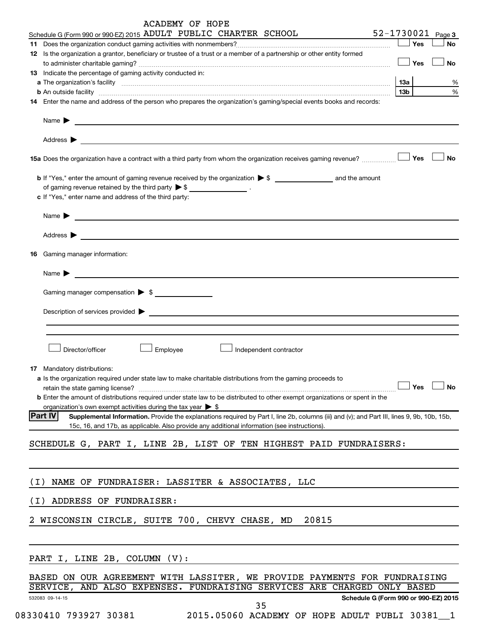|       | <b>ACADEMY OF HOPE</b>                                                                                                                                        |                   |           |
|-------|---------------------------------------------------------------------------------------------------------------------------------------------------------------|-------------------|-----------|
|       | Schedule G (Form 990 or 990-EZ) 2015 ADULT PUBLIC CHARTER SCHOOL                                                                                              | 52-1730021 Page 3 |           |
|       | 11 Does the organization conduct gaming activities with nonmembers?<br>[                                                                                      | Yes               | No        |
|       | 12 Is the organization a grantor, beneficiary or trustee of a trust or a member of a partnership or other entity formed                                       |                   |           |
|       | 13 Indicate the percentage of gaming activity conducted in:                                                                                                   | Yes               | No        |
|       |                                                                                                                                                               |                   | ℅         |
|       | b An outside facility www.communications.com/www.communications.com/www.communications.com/www.communications.com/                                            | 13 <sub>b</sub>   | %         |
|       | 14 Enter the name and address of the person who prepares the organization's gaming/special events books and records:                                          |                   |           |
|       | Name $\blacktriangleright$<br><u> 1989 - Johann Barn, fransk politik (d. 1989)</u>                                                                            |                   |           |
|       |                                                                                                                                                               |                   |           |
|       |                                                                                                                                                               |                   | <b>No</b> |
|       |                                                                                                                                                               |                   |           |
|       | of gaming revenue retained by the third party $\triangleright$ \$ ___________________.                                                                        |                   |           |
|       | c If "Yes," enter name and address of the third party:                                                                                                        |                   |           |
|       | Name $\blacktriangleright$<br><u> 1989 - Andrea Andrew Maria (h. 1989).</u>                                                                                   |                   |           |
|       | Address >                                                                                                                                                     |                   |           |
|       | <b>16</b> Gaming manager information:                                                                                                                         |                   |           |
|       | Name $\blacktriangleright$<br><u> 1980 - John Stein, mars and der Stein Stein Stein Stein Stein Stein Stein Stein Stein Stein Stein Stein Stein</u>           |                   |           |
|       | Gaming manager compensation > \$                                                                                                                              |                   |           |
|       |                                                                                                                                                               |                   |           |
|       |                                                                                                                                                               |                   |           |
|       | Director/officer<br>Employee<br>Independent contractor                                                                                                        |                   |           |
|       |                                                                                                                                                               |                   |           |
|       | 17 Mandatory distributions:                                                                                                                                   |                   |           |
|       | a Is the organization required under state law to make charitable distributions from the gaming proceeds to                                                   |                   |           |
|       | <b>b</b> Enter the amount of distributions required under state law to be distributed to other exempt organizations or spent in the                           | Yes               | No        |
|       | organization's own exempt activities during the tax year $\triangleright$ \$                                                                                  |                   |           |
|       | <b>Part IV</b><br>Supplemental Information. Provide the explanations required by Part I, line 2b, columns (iii) and (v); and Part III, lines 9, 9b, 10b, 15b, |                   |           |
|       | 15c, 16, and 17b, as applicable. Also provide any additional information (see instructions).                                                                  |                   |           |
|       |                                                                                                                                                               |                   |           |
|       | SCHEDULE G, PART I, LINE 2B, LIST OF TEN HIGHEST PAID FUNDRAISERS:                                                                                            |                   |           |
|       |                                                                                                                                                               |                   |           |
| ( I ) | NAME OF FUNDRAISER: LASSITER & ASSOCIATES, LLC                                                                                                                |                   |           |
| (I)   | ADDRESS OF FUNDRAISER:                                                                                                                                        |                   |           |
|       | 2 WISCONSIN CIRCLE, SUITE 700, CHEVY CHASE, MD<br>20815                                                                                                       |                   |           |
|       |                                                                                                                                                               |                   |           |
|       | PART I, LINE 2B, COLUMN (V):                                                                                                                                  |                   |           |
|       | BASED ON OUR AGREEMENT WITH LASSITER, WE PROVIDE PAYMENTS FOR FUNDRAISING                                                                                     |                   |           |
|       | AND ALSO EXPENSES. FUNDRAISING SERVICES ARE CHARGED ONLY BASED<br>SERVICE,                                                                                    |                   |           |
|       | Schedule G (Form 990 or 990-EZ) 2015<br>532083 09-14-15                                                                                                       |                   |           |
|       | 35                                                                                                                                                            |                   |           |

08330410 793927 30381 2015.05060 ACADEMY OF HOPE ADULT PUBLI 30381 1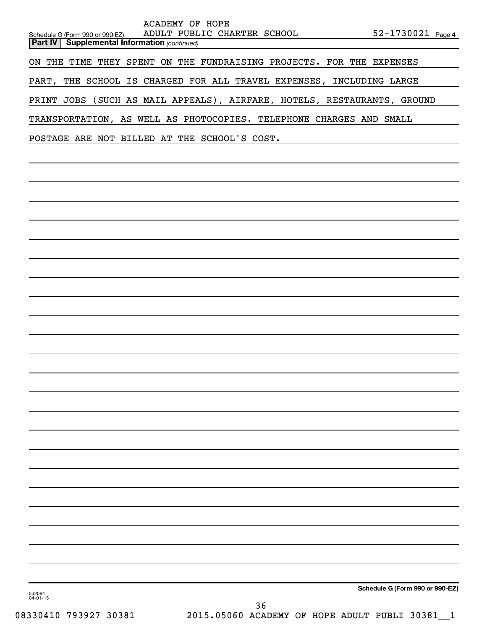|                                                       | ACADEMY OF HOPE                                                         |  |  |  |  |  |  |  |  |
|-------------------------------------------------------|-------------------------------------------------------------------------|--|--|--|--|--|--|--|--|
| Schedule G (Form 990 or 990-EZ)                       | ADULT PUBLIC CHARTER SCHOOL 52-1730021 Page 4                           |  |  |  |  |  |  |  |  |
| <b>Part IV   Supplemental Information (continued)</b> |                                                                         |  |  |  |  |  |  |  |  |
|                                                       | ON THE TIME THEY SPENT ON THE FUNDRAISING PROJECTS. FOR THE EXPENSES    |  |  |  |  |  |  |  |  |
|                                                       | PART, THE SCHOOL IS CHARGED FOR ALL TRAVEL EXPENSES, INCLUDING LARGE    |  |  |  |  |  |  |  |  |
|                                                       | PRINT JOBS (SUCH AS MAIL APPEALS), AIRFARE, HOTELS, RESTAURANTS, GROUND |  |  |  |  |  |  |  |  |
|                                                       | TRANSPORTATION, AS WELL AS PHOTOCOPIES. TELEPHONE CHARGES AND SMALL     |  |  |  |  |  |  |  |  |
|                                                       | POSTAGE ARE NOT BILLED AT THE SCHOOL'S COST.                            |  |  |  |  |  |  |  |  |
|                                                       |                                                                         |  |  |  |  |  |  |  |  |
|                                                       |                                                                         |  |  |  |  |  |  |  |  |
|                                                       |                                                                         |  |  |  |  |  |  |  |  |
|                                                       |                                                                         |  |  |  |  |  |  |  |  |
|                                                       |                                                                         |  |  |  |  |  |  |  |  |
|                                                       |                                                                         |  |  |  |  |  |  |  |  |
|                                                       |                                                                         |  |  |  |  |  |  |  |  |
|                                                       |                                                                         |  |  |  |  |  |  |  |  |
|                                                       |                                                                         |  |  |  |  |  |  |  |  |

**Schedule G (Form 990 or 990-EZ)**

532084 04-01-15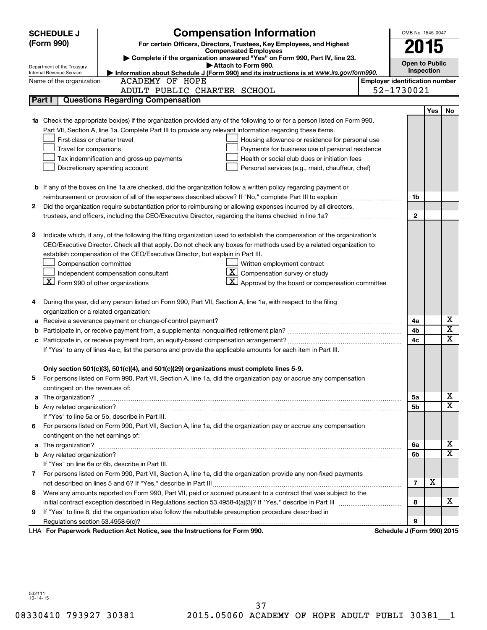| <b>SCHEDULE J</b> |                                                      | <b>Compensation Information</b>                                                                                           | OMB No. 1545-0047                     |     |                         |  |
|-------------------|------------------------------------------------------|---------------------------------------------------------------------------------------------------------------------------|---------------------------------------|-----|-------------------------|--|
|                   | (Form 990)                                           | For certain Officers, Directors, Trustees, Key Employees, and Highest                                                     | 2015                                  |     |                         |  |
|                   |                                                      | <b>Compensated Employees</b><br>Complete if the organization answered "Yes" on Form 990, Part IV, line 23.                |                                       |     |                         |  |
|                   | Department of the Treasury                           | Attach to Form 990.                                                                                                       | <b>Open to Public</b>                 |     |                         |  |
|                   | Internal Revenue Service                             | Information about Schedule J (Form 990) and its instructions is at www.irs.gov/form990.                                   | Inspection                            |     |                         |  |
|                   | Name of the organization                             | <b>ACADEMY OF HOPE</b>                                                                                                    | <b>Employer identification number</b> |     |                         |  |
|                   |                                                      | ADULT PUBLIC CHARTER SCHOOL                                                                                               | 52-1730021                            |     |                         |  |
|                   | Part I                                               | <b>Questions Regarding Compensation</b>                                                                                   |                                       |     |                         |  |
|                   |                                                      |                                                                                                                           |                                       | Yes | No                      |  |
|                   |                                                      | Check the appropriate box(es) if the organization provided any of the following to or for a person listed on Form 990,    |                                       |     |                         |  |
|                   |                                                      | Part VII, Section A, line 1a. Complete Part III to provide any relevant information regarding these items.                |                                       |     |                         |  |
|                   | First-class or charter travel                        | Housing allowance or residence for personal use                                                                           |                                       |     |                         |  |
|                   | Travel for companions                                | Payments for business use of personal residence                                                                           |                                       |     |                         |  |
|                   |                                                      | Health or social club dues or initiation fees<br>Tax indemnification and gross-up payments                                |                                       |     |                         |  |
|                   |                                                      | Discretionary spending account<br>Personal services (e.g., maid, chauffeur, chef)                                         |                                       |     |                         |  |
|                   |                                                      |                                                                                                                           |                                       |     |                         |  |
|                   |                                                      | <b>b</b> If any of the boxes on line 1a are checked, did the organization follow a written policy regarding payment or    |                                       |     |                         |  |
|                   |                                                      |                                                                                                                           | 1b                                    |     |                         |  |
| 2                 |                                                      | Did the organization require substantiation prior to reimbursing or allowing expenses incurred by all directors,          | $\mathbf{2}$                          |     |                         |  |
|                   |                                                      |                                                                                                                           |                                       |     |                         |  |
| з                 |                                                      | Indicate which, if any, of the following the filing organization used to establish the compensation of the organization's |                                       |     |                         |  |
|                   |                                                      | CEO/Executive Director. Check all that apply. Do not check any boxes for methods used by a related organization to        |                                       |     |                         |  |
|                   |                                                      | establish compensation of the CEO/Executive Director, but explain in Part III.                                            |                                       |     |                         |  |
|                   | Compensation committee                               | Written employment contract                                                                                               |                                       |     |                         |  |
|                   |                                                      | $ \mathbf{X} $ Compensation survey or study<br>Independent compensation consultant                                        |                                       |     |                         |  |
|                   | $\boxed{\textbf{X}}$ Form 990 of other organizations | $ \mathbf{X} $ Approval by the board or compensation committee                                                            |                                       |     |                         |  |
|                   |                                                      |                                                                                                                           |                                       |     |                         |  |
| 4                 |                                                      | During the year, did any person listed on Form 990, Part VII, Section A, line 1a, with respect to the filing              |                                       |     |                         |  |
|                   | organization or a related organization:              |                                                                                                                           |                                       |     |                         |  |
| а                 |                                                      | Receive a severance payment or change-of-control payment?                                                                 | 4a                                    |     | х                       |  |
| b                 |                                                      |                                                                                                                           | 4b                                    |     | $\overline{\textbf{x}}$ |  |
|                   |                                                      |                                                                                                                           | 4c                                    |     | $\mathbf x$             |  |
|                   |                                                      | If "Yes" to any of lines 4a-c, list the persons and provide the applicable amounts for each item in Part III.             |                                       |     |                         |  |
|                   |                                                      |                                                                                                                           |                                       |     |                         |  |
|                   |                                                      | Only section 501(c)(3), 501(c)(4), and 501(c)(29) organizations must complete lines 5-9.                                  |                                       |     |                         |  |
|                   |                                                      | For persons listed on Form 990, Part VII, Section A, line 1a, did the organization pay or accrue any compensation         |                                       |     |                         |  |
|                   | contingent on the revenues of:                       |                                                                                                                           |                                       |     |                         |  |
| a                 |                                                      |                                                                                                                           | 5а                                    |     | x                       |  |
|                   |                                                      |                                                                                                                           | 5b                                    |     | X                       |  |
|                   |                                                      | If "Yes" to line 5a or 5b, describe in Part III.                                                                          |                                       |     |                         |  |
| 6.                |                                                      | For persons listed on Form 990, Part VII, Section A, line 1a, did the organization pay or accrue any compensation         |                                       |     |                         |  |
|                   | contingent on the net earnings of:                   |                                                                                                                           |                                       |     |                         |  |
| a                 |                                                      |                                                                                                                           | 6a                                    |     | х                       |  |
|                   |                                                      |                                                                                                                           | 6b                                    |     | $\overline{\mathbf{X}}$ |  |
|                   |                                                      | If "Yes" on line 6a or 6b, describe in Part III.                                                                          |                                       |     |                         |  |
|                   |                                                      | 7 For persons listed on Form 990, Part VII, Section A, line 1a, did the organization provide any non-fixed payments       |                                       |     |                         |  |
|                   |                                                      |                                                                                                                           | $\overline{7}$                        | X   |                         |  |
| 8                 |                                                      | Were any amounts reported on Form 990, Part VII, paid or accrued pursuant to a contract that was subject to the           |                                       |     |                         |  |
|                   |                                                      |                                                                                                                           | 8                                     |     | x.                      |  |
| 9                 |                                                      | If "Yes" to line 8, did the organization also follow the rebuttable presumption procedure described in                    |                                       |     |                         |  |
|                   |                                                      |                                                                                                                           | 9                                     |     |                         |  |
|                   |                                                      | LHA For Paperwork Reduction Act Notice, see the Instructions for Form 990.                                                | Schedule J (Form 990) 2015            |     |                         |  |

532111 10-14-15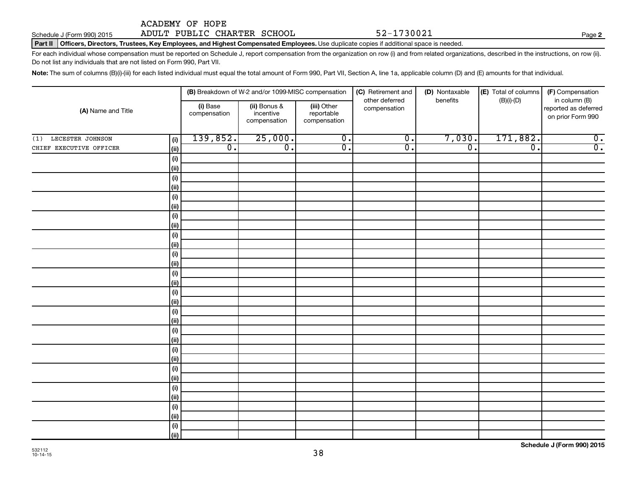# Schedule J (Form 990) 2015 Page ADULT PUBLIC CHARTER SCHOOL 52-1730021

Part II | Officers, Directors, Trustees, Key Employees, and Highest Compensated Employees. Use duplicate copies if additional space is needed.

For each individual whose compensation must be reported on Schedule J, report compensation from the organization on row (i) and from related organizations, described in the instructions, on row (ii). Do not list any individuals that are not listed on Form 990, Part VII.

Note: The sum of columns (B)(i)-(iii) for each listed individual must equal the total amount of Form 990, Part VII, Section A, line 1a, applicable column (D) and (E) amounts for that individual.

|                                |                          | (B) Breakdown of W-2 and/or 1099-MISC compensation |                                           | (C) Retirement and             | (D) Nontaxable   | (E) Total of columns | (F) Compensation                                           |  |
|--------------------------------|--------------------------|----------------------------------------------------|-------------------------------------------|--------------------------------|------------------|----------------------|------------------------------------------------------------|--|
| (A) Name and Title             | (i) Base<br>compensation | (ii) Bonus &<br>incentive<br>compensation          | (iii) Other<br>reportable<br>compensation | other deferred<br>compensation | benefits         | $(B)(i)-(D)$         | in column (B)<br>reported as deferred<br>on prior Form 990 |  |
| LECESTER JOHNSON<br>(1)<br>(i) | 139,852.                 | 25,000.                                            | $\overline{0}$ .                          | $\overline{0}$ .               | 7,030.           | 171,882.             | $\overline{0}$ .                                           |  |
| CHIEF EXECUTIVE OFFICER<br>(i) | $\overline{0}$ .         | $\overline{0}$ .                                   | $\overline{\mathfrak{o}}$ .               | $\overline{0}$ .               | $\overline{0}$ . | $\overline{0}$ .     | $\overline{0}$ .                                           |  |
| (i)                            |                          |                                                    |                                           |                                |                  |                      |                                                            |  |
| $\vert$ (ii)                   |                          |                                                    |                                           |                                |                  |                      |                                                            |  |
| (i)                            |                          |                                                    |                                           |                                |                  |                      |                                                            |  |
| $\vert$ (ii)                   |                          |                                                    |                                           |                                |                  |                      |                                                            |  |
| (i)                            |                          |                                                    |                                           |                                |                  |                      |                                                            |  |
| (ii)                           |                          |                                                    |                                           |                                |                  |                      |                                                            |  |
| (i)                            |                          |                                                    |                                           |                                |                  |                      |                                                            |  |
| $\vert$ (ii)<br>(i)            |                          |                                                    |                                           |                                |                  |                      |                                                            |  |
| (ii)                           |                          |                                                    |                                           |                                |                  |                      |                                                            |  |
| (i)                            |                          |                                                    |                                           |                                |                  |                      |                                                            |  |
| $\vert$ (ii)                   |                          |                                                    |                                           |                                |                  |                      |                                                            |  |
| (i)                            |                          |                                                    |                                           |                                |                  |                      |                                                            |  |
| (ii)                           |                          |                                                    |                                           |                                |                  |                      |                                                            |  |
| (i)                            |                          |                                                    |                                           |                                |                  |                      |                                                            |  |
| (ii)                           |                          |                                                    |                                           |                                |                  |                      |                                                            |  |
| (i)                            |                          |                                                    |                                           |                                |                  |                      |                                                            |  |
| $\vert$ (ii)                   |                          |                                                    |                                           |                                |                  |                      |                                                            |  |
| (i)                            |                          |                                                    |                                           |                                |                  |                      |                                                            |  |
| $\vert$ (ii)                   |                          |                                                    |                                           |                                |                  |                      |                                                            |  |
| (i)                            |                          |                                                    |                                           |                                |                  |                      |                                                            |  |
| $\vert$ (ii)                   |                          |                                                    |                                           |                                |                  |                      |                                                            |  |
| (i)<br>$\vert$ (ii)            |                          |                                                    |                                           |                                |                  |                      |                                                            |  |
| (i)                            |                          |                                                    |                                           |                                |                  |                      |                                                            |  |
| $\vert$ (ii)                   |                          |                                                    |                                           |                                |                  |                      |                                                            |  |
| (i)                            |                          |                                                    |                                           |                                |                  |                      |                                                            |  |
| $\vert$ (ii)                   |                          |                                                    |                                           |                                |                  |                      |                                                            |  |
| (i)                            |                          |                                                    |                                           |                                |                  |                      |                                                            |  |
| (iii)                          |                          |                                                    |                                           |                                |                  |                      |                                                            |  |

**2**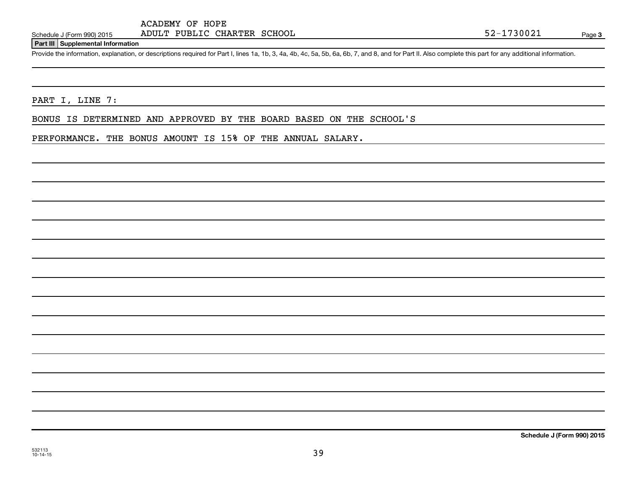## **Part III Supplemental Information**

Provide the information, explanation, or descriptions required for Part I, lines 1a, 1b, 3, 4a, 4b, 4c, 5a, 5b, 6a, 6b, 7, and 8, and for Part II. Also complete this part for any additional information.

PART I, LINE 7:

BONUS IS DETERMINED AND APPROVED BY THE BOARD BASED ON THE SCHOOL'S

PERFORMANCE. THE BONUS AMOUNT IS 15% OF THE ANNUAL SALARY.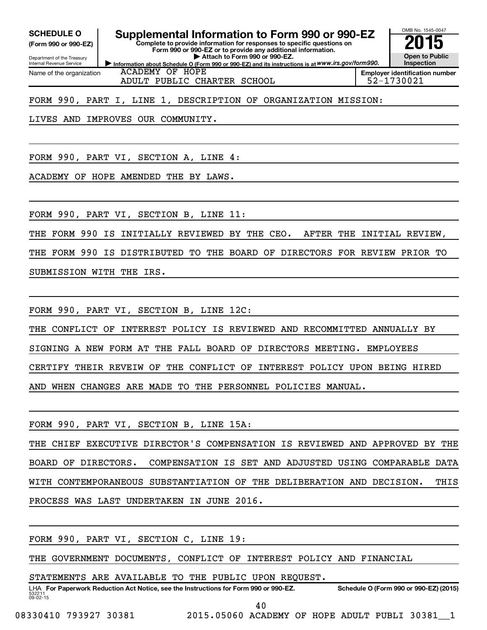Internal Revenue Service

Department of the Treasury **(Form 990 or 990-EZ)**

Name of the organization

SCHEDULE O **Supplemental Information to Form 990 or 990-EZ** 2015<br>(Form 990 or 990-EZ) Complete to provide information for responses to specific questions on

**Information about Schedule O (Form 990 or 990-EZ) and its instructions is at WWW.irs.gov/form990. Complete to provide information for responses to specific questions on Form 990 or 990-EZ or to provide any additional information. | Attach to Form 990 or 990-EZ.**



ACADEMY OF HOPE ADULT PUBLIC CHARTER SCHOOL  $\vert$  52-1730021

**Employer identification number**

FORM 990, PART I, LINE 1, DESCRIPTION OF ORGANIZATION MISSION:

LIVES AND IMPROVES OUR COMMUNITY.

FORM 990, PART VI, SECTION A, LINE 4:

ACADEMY OF HOPE AMENDED THE BY LAWS.

FORM 990, PART VI, SECTION B, LINE 11:

THE FORM 990 IS INITIALLY REVIEWED BY THE CEO. AFTER THE INITIAL REVIEW,

THE FORM 990 IS DISTRIBUTED TO THE BOARD OF DIRECTORS FOR REVIEW PRIOR TO

SUBMISSION WITH THE IRS.

FORM 990, PART VI, SECTION B, LINE 12C:

THE CONFLICT OF INTEREST POLICY IS REVIEWED AND RECOMMITTED ANNUALLY BY SIGNING A NEW FORM AT THE FALL BOARD OF DIRECTORS MEETING. EMPLOYEES CERTIFY THEIR REVEIW OF THE CONFLICT OF INTEREST POLICY UPON BEING HIRED AND WHEN CHANGES ARE MADE TO THE PERSONNEL POLICIES MANUAL.

FORM 990, PART VI, SECTION B, LINE 15A: THE CHIEF EXECUTIVE DIRECTOR'S COMPENSATION IS REVIEWED AND APPROVED BY THE BOARD OF DIRECTORS. COMPENSATION IS SET AND ADJUSTED USING COMPARABLE DATA WITH CONTEMPORANEOUS SUBSTANTIATION OF THE DELIBERATION AND DECISION. THIS PROCESS WAS LAST UNDERTAKEN IN JUNE 2016.

FORM 990, PART VI, SECTION C, LINE 19:

THE GOVERNMENT DOCUMENTS, CONFLICT OF INTEREST POLICY AND FINANCIAL

STATEMENTS ARE AVAILABLE TO THE PUBLIC UPON REQUEST.

532211  $09 - 02 - 15$ LHA For Paperwork Reduction Act Notice, see the Instructions for Form 990 or 990-EZ. Schedule O (Form 990 or 990-EZ) (2015)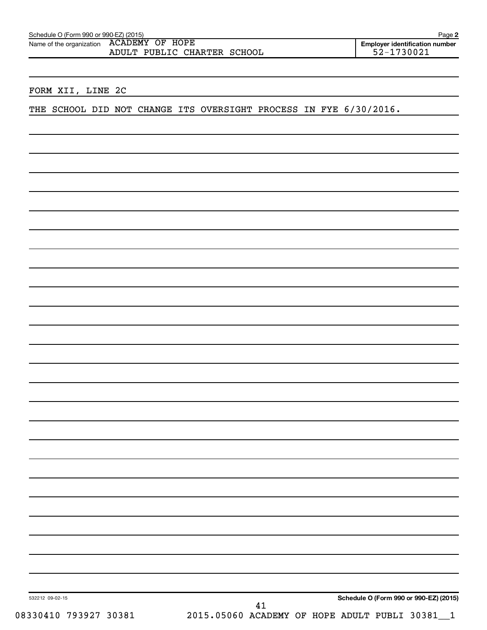| Name of the organization  ACADEMY OF  HOPE |  |                             |  |
|--------------------------------------------|--|-----------------------------|--|
|                                            |  | ADULT PUBLIC CHARTER SCHOOL |  |

# FORM XII, LINE 2C

THE SCHOOL DID NOT CHANGE ITS OVERSIGHT PROCESS IN FYE 6/30/2016.

**Schedule O (Form 990 or 990-EZ) (2015)**

532212 09-02-15

08330410 793927 30381 2015.05060 ACADEMY OF HOPE ADULT PUBLI 30381\_1 41